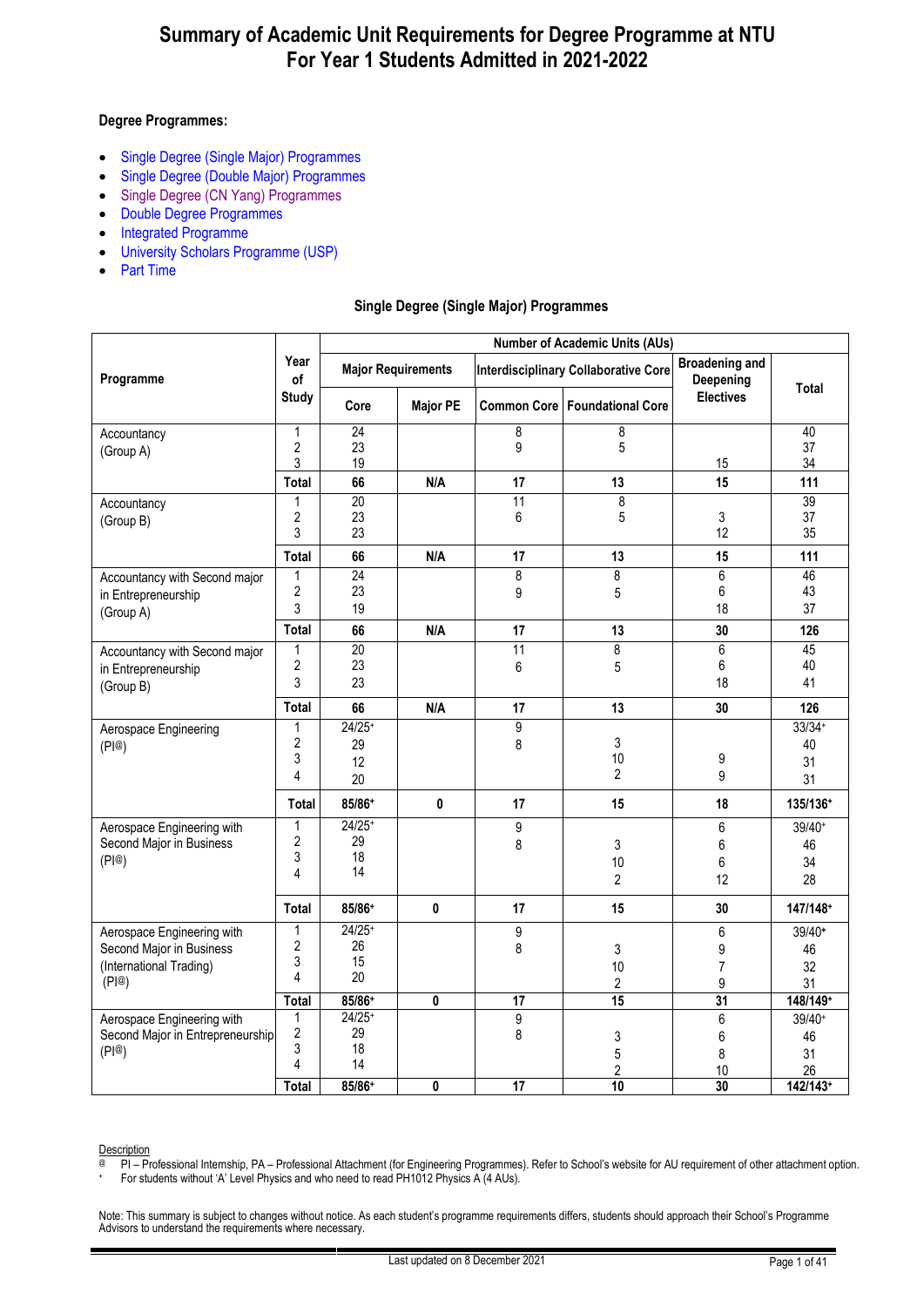#### **Degree Programmes:**

- [Single Degree \(Single Major\) Programmes](#page-0-0)
- [Single Degree \(Double Major\) Programmes](#page-12-0)
- [Single Degree \(CN Yang\) Programmes](#page-15-0)
- [Double Degree Programmes](#page-16-0)
- [Integrated Programme](#page-32-0)
- [University Scholars Programme \(USP\)](#page-33-0)
- [Part Time](#page-40-0)

#### **Single Degree (Single Major) Programmes**

<span id="page-0-0"></span>

|                                  |                                | <b>Number of Academic Units (AUs)</b> |                           |                 |                                             |                                    |                |  |  |
|----------------------------------|--------------------------------|---------------------------------------|---------------------------|-----------------|---------------------------------------------|------------------------------------|----------------|--|--|
| Programme                        | Year<br>of                     |                                       | <b>Major Requirements</b> |                 | <b>Interdisciplinary Collaborative Core</b> | <b>Broadening and</b><br>Deepening | <b>Total</b>   |  |  |
|                                  | <b>Study</b>                   | Core                                  | <b>Major PE</b>           |                 | Common Core   Foundational Core             | <b>Electives</b>                   |                |  |  |
| Accountancy                      | $\mathbf{1}$                   | 24                                    |                           | 8               | 8                                           |                                    | 40             |  |  |
| (Group A)                        | $\overline{2}$<br>3            | 23<br>19                              |                           | 9               | $5\,$                                       | 15                                 | 37<br>34       |  |  |
|                                  | <b>Total</b>                   | 66                                    | N/A                       | 17              | 13                                          | 15                                 | 111            |  |  |
| Accountancy                      | 1                              | 20                                    |                           | 11              | $\overline{8}$                              |                                    | 39             |  |  |
| (Group B)                        | $\overline{2}$                 | 23                                    |                           | 6               | 5                                           | 3                                  | 37             |  |  |
|                                  | 3                              | 23                                    |                           |                 |                                             | 12                                 | 35             |  |  |
|                                  | Total                          | 66                                    | N/A                       | 17              | 13                                          | 15                                 | 111            |  |  |
| Accountancy with Second major    | $\mathbf{1}$<br>$\overline{2}$ | 24<br>23                              |                           | 8               | $\overline{8}$                              | $\overline{6}$<br>6                | 46<br>43       |  |  |
| in Entrepreneurship<br>(Group A) | 3                              | 19                                    |                           | 9               | 5                                           | 18                                 | 37             |  |  |
|                                  | Total                          | 66                                    | N/A                       | 17              | 13                                          | 30                                 | 126            |  |  |
| Accountancy with Second major    | 1                              | 20                                    |                           | 11              | 8                                           | 6                                  | 45             |  |  |
| in Entrepreneurship              | $\overline{2}$                 | 23                                    |                           | 6               | 5                                           | 6                                  | 40             |  |  |
| (Group B)                        | 3                              | 23                                    |                           |                 |                                             | 18                                 | 41             |  |  |
|                                  | Total                          | 66                                    | N/A                       | 17              | 13                                          | 30                                 | 126            |  |  |
| Aerospace Engineering            | 1                              | $24/25+$                              |                           | 9               |                                             |                                    | $33/34+$       |  |  |
| (PI@)                            | 2<br>3                         | 29                                    |                           | 8               | 3<br>10                                     | 9                                  | 40             |  |  |
|                                  | 4                              | 12<br>20                              |                           |                 | $\overline{2}$                              | 9                                  | 31<br>31       |  |  |
|                                  | Total                          | 85/86+                                | 0                         | 17              | 15                                          | 18                                 | 135/136+       |  |  |
| Aerospace Engineering with       | $\mathbf{1}$                   | $24/25+$                              |                           | 9               |                                             | 6                                  | 39/40+         |  |  |
| Second Major in Business         | $\overline{c}$                 | 29                                    |                           | 8               | 3                                           | 6                                  | 46             |  |  |
| (PI@)                            | 3<br>4                         | 18<br>14                              |                           |                 | 10                                          | 6                                  | 34             |  |  |
|                                  |                                |                                       |                           |                 | $\overline{2}$                              | 12                                 | 28             |  |  |
|                                  | Total                          | 85/86+                                | 0                         | 17              | 15                                          | 30                                 | 147/148+       |  |  |
| Aerospace Engineering with       | $\mathbf{1}$<br>$\overline{c}$ | $24/25+$<br>26                        |                           | 9               |                                             | 6                                  | 39/40+         |  |  |
| Second Major in Business         | 3                              | 15                                    |                           | 8               | 3                                           | 9                                  | 46             |  |  |
| (International Trading)<br>(PI@) | 4                              | 20                                    |                           |                 | 10<br>2                                     | $\overline{7}$<br>9                | 32<br>31       |  |  |
|                                  | Total                          | 85/86+                                | 0                         | 17              | 15                                          | $\overline{31}$                    | 148/149+       |  |  |
| Aerospace Engineering with       | 1                              | $24/25+$                              |                           | 9               |                                             | 6                                  | 39/40+         |  |  |
| Second Major in Entrepreneurship | $\overline{c}$                 | 29                                    |                           | 8               | 3                                           | 6                                  | 46             |  |  |
| (PI@)                            | 3<br>4                         | 18<br>14                              |                           |                 | 5                                           | 8                                  | 31             |  |  |
|                                  | Total                          | 85/86+                                | 0                         | $\overline{17}$ | $\overline{2}$<br>10                        | 10<br>30                           | 26<br>142/143+ |  |  |
|                                  |                                |                                       |                           |                 |                                             |                                    |                |  |  |

Description

@ PI – Professional Internship, PA – Professional Attachment (for Engineering Programmes). Refer to School's website for AU requirement of other attachment option.

+ For students without 'A' Level Physics and who need to read PH1012 Physics A (4 AUs).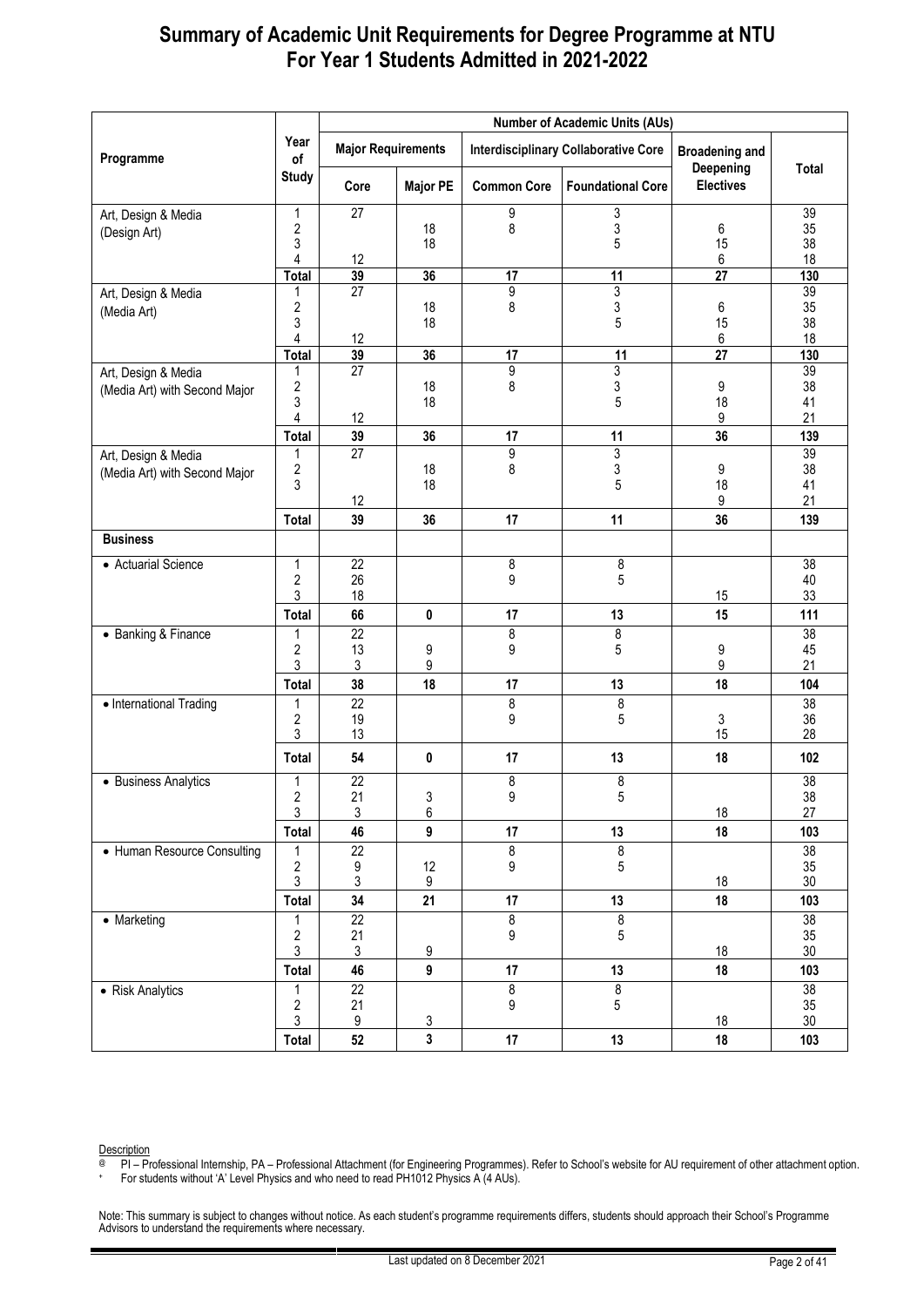|                               |                                |                           |                 |                    | <b>Number of Academic Units (AUs)</b>       |                                    |                 |
|-------------------------------|--------------------------------|---------------------------|-----------------|--------------------|---------------------------------------------|------------------------------------|-----------------|
| Programme                     | Year<br>of                     | <b>Major Requirements</b> |                 |                    | <b>Interdisciplinary Collaborative Core</b> | <b>Broadening and</b><br>Deepening | <b>Total</b>    |
|                               | <b>Study</b>                   | Core                      | <b>Major PE</b> | <b>Common Core</b> | <b>Foundational Core</b>                    | <b>Electives</b>                   |                 |
| Art, Design & Media           | 1                              | 27                        |                 | 9                  | 3                                           |                                    | 39              |
| (Design Art)                  | 2<br>3                         |                           | 18<br>18        | 8                  | 3<br>5                                      | 6<br>15                            | 35<br>38        |
|                               | 4                              | 12                        |                 |                    |                                             | 6                                  | 18              |
|                               | <b>Total</b>                   | 39                        | 36              | 17                 | $\overline{11}$                             | $\overline{27}$                    | 130             |
| Art, Design & Media           | 1                              | $\overline{27}$           |                 | 9                  | 3                                           |                                    | 39              |
| (Media Art)                   | $\overline{\mathbf{c}}$        |                           | 18              | 8                  | 3                                           | 6                                  | 35              |
|                               | 3<br>4                         | 12                        | 18              |                    | 5                                           | 15<br>6                            | 38<br>18        |
|                               | Total                          | 39                        | 36              | 17                 | 11                                          | $\overline{27}$                    | 130             |
| Art, Design & Media           | 1                              | 27                        |                 | 9                  | 3                                           |                                    | 39              |
| (Media Art) with Second Major | 2                              |                           | 18              | 8                  | 3                                           | 9                                  | 38              |
|                               | 3<br>4                         | 12                        | 18              |                    | 5                                           | 18<br>9                            | 41<br>21        |
|                               | <b>Total</b>                   | 39                        | 36              | 17                 | 11                                          | 36                                 | 139             |
| Art, Design & Media           | 1                              | $\overline{27}$           |                 | 9                  | 3                                           |                                    | 39              |
| (Media Art) with Second Major | $\boldsymbol{2}$               |                           | 18              | 8                  | 3                                           | 9                                  | 38              |
|                               | 3                              |                           | 18              |                    | 5                                           | 18                                 | 41              |
|                               |                                | 12<br>39                  | 36              | 17                 | 11                                          | 9<br>36                            | 21<br>139       |
| <b>Business</b>               | Total                          |                           |                 |                    |                                             |                                    |                 |
| • Actuarial Science           | 1                              | $\overline{22}$           |                 |                    |                                             |                                    | $\overline{38}$ |
|                               | $\boldsymbol{2}$               | 26                        |                 | 8<br>9             | 8<br>5                                      |                                    | 40              |
|                               | 3                              | 18                        |                 |                    |                                             | 15                                 | 33              |
|                               | Total                          | 66                        | 0               | 17                 | 13                                          | 15                                 | 111             |
| • Banking & Finance           | 1                              | $\overline{22}$           |                 | 8                  | 8                                           |                                    | $\overline{38}$ |
|                               | 2<br>3                         | 13<br>3                   | 9<br>9          | 9                  | 5                                           | 9<br>9                             | 45<br>21        |
|                               | Total                          | 38                        | 18              | 17                 | 13                                          | 18                                 | 104             |
| • International Trading       | 1                              | $\overline{22}$           |                 | 8                  | 8                                           |                                    | $\overline{38}$ |
|                               | 2                              | 19                        |                 | 9                  | 5                                           | 3                                  | 36              |
|                               | 3                              | 13                        |                 |                    |                                             | 15                                 | 28              |
|                               | Total                          | 54                        | $\pmb{0}$       | 17                 | 13                                          | 18                                 | 102             |
| • Business Analytics          | 1                              | 22                        |                 | 8                  | 8                                           |                                    | 38              |
|                               | 2<br>$\ensuremath{\mathsf{3}}$ | 21<br>$\mathfrak{S}$      | 3<br>6          | 9                  | 5                                           | 18                                 | 38<br>27        |
|                               | Total                          | 46                        | 9               | 17                 | 13                                          | 18                                 | 103             |
| • Human Resource Consulting   | 1                              | $\overline{22}$           |                 | 8                  | 8                                           |                                    | 38              |
|                               | $\overline{\mathbf{c}}$        | 9                         | 12              | 9                  | $\mathbf 5$                                 |                                    | $35\,$          |
|                               | $\mathfrak{S}$                 | $\mathfrak{Z}$            | 9               |                    |                                             | 18                                 | $30\,$          |
|                               | Total                          | 34                        | 21              | 17                 | 13                                          | 18                                 | 103             |
| • Marketing                   | 1                              | $\overline{22}$           |                 | 8                  | $\infty$                                    |                                    | 38              |
|                               | $\overline{\mathbf{c}}$<br>3   | 21<br>$\mathfrak{Z}$      | 9               | 9                  | $\mathbf 5$                                 | 18                                 | 35<br>30        |
|                               | <b>Total</b>                   | 46                        | 9               | 17                 | 13                                          | 18                                 | 103             |
| • Risk Analytics              | 1                              | $\overline{22}$           |                 | $\infty$           | 8                                           |                                    | 38              |
|                               | $\boldsymbol{2}$               | 21                        |                 | 9                  | 5                                           |                                    | 35              |
|                               | 3                              | 9                         | $\mathsf 3$     |                    |                                             | 18                                 | $30\,$          |
|                               | <b>Total</b>                   | $52\,$                    | 3               | 17                 | 13                                          | 18                                 | 103             |

Description

@ PI – Professional Internship, PA – Professional Attachment (for Engineering Programmes). Refer to School's website for AU requirement of other attachment option.

+ For students without 'A' Level Physics and who need to read PH1012 Physics A (4 AUs).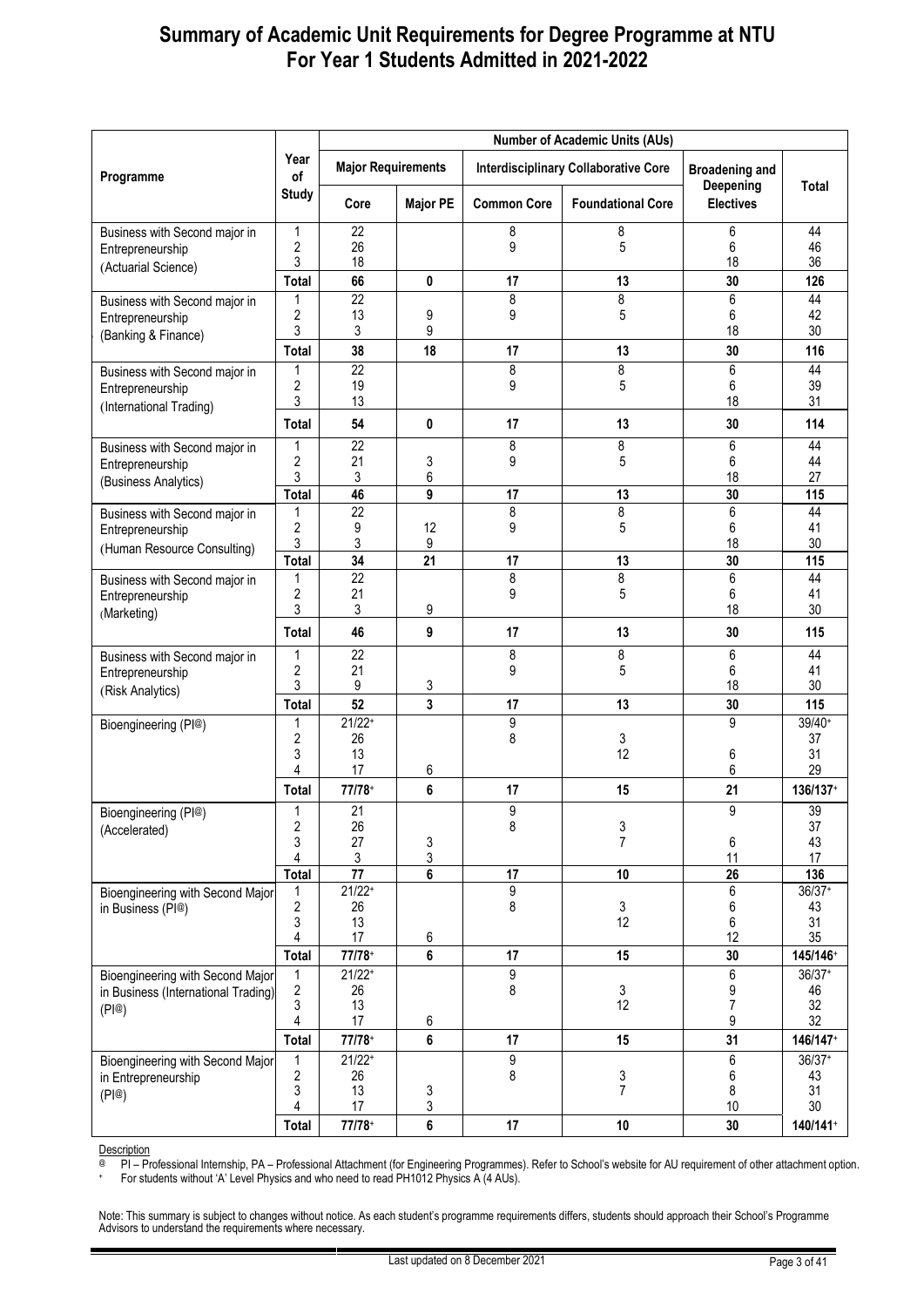|                                                                         |                       |                           | <b>Number of Academic Units (AUs)</b> |                    |                                             |                                    |                       |  |  |  |
|-------------------------------------------------------------------------|-----------------------|---------------------------|---------------------------------------|--------------------|---------------------------------------------|------------------------------------|-----------------------|--|--|--|
| Programme                                                               | Year<br>οf            | <b>Major Requirements</b> |                                       |                    | <b>Interdisciplinary Collaborative Core</b> | <b>Broadening and</b><br>Deepening | Total                 |  |  |  |
|                                                                         | <b>Study</b>          | Core                      | <b>Major PE</b>                       | <b>Common Core</b> | <b>Foundational Core</b>                    | <b>Electives</b>                   |                       |  |  |  |
| Business with Second major in                                           | 1                     | 22                        |                                       | 8                  | 8                                           | 6                                  | 44                    |  |  |  |
| Entrepreneurship                                                        | 2<br>3                | 26<br>18                  |                                       | 9                  | 5                                           | 6<br>18                            | 46<br>36              |  |  |  |
| (Actuarial Science)                                                     | Total                 | 66                        | 0                                     | 17                 | 13                                          | 30                                 | 126                   |  |  |  |
| Business with Second major in                                           | 1                     | 22                        |                                       | 8                  | 8                                           | 6                                  | 44                    |  |  |  |
| Entrepreneurship                                                        | 2<br>3                | 13<br>3                   | 9<br>9                                | 9                  | 5                                           | 6<br>18                            | 42<br>30              |  |  |  |
| (Banking & Finance)                                                     | <b>Total</b>          | 38                        | 18                                    | 17                 | 13                                          | 30                                 | 116                   |  |  |  |
| Business with Second major in                                           | 1                     | 22                        |                                       | 8                  | 8                                           | 6                                  | 44                    |  |  |  |
| Entrepreneurship                                                        | 2                     | 19                        |                                       | 9                  | 5                                           | 6                                  | 39                    |  |  |  |
| (International Trading)                                                 | 3<br><b>Total</b>     | 13<br>54                  | 0                                     | 17                 | 13                                          | 18<br>30                           | 31<br>114             |  |  |  |
| Business with Second major in                                           | 1                     | 22                        |                                       | 8                  | 8                                           | 6                                  | 44                    |  |  |  |
| Entrepreneurship                                                        | 2                     | 21                        | 3                                     | 9                  | 5                                           | 6                                  | 44                    |  |  |  |
| (Business Analytics)                                                    | 3<br>Total            | 3<br>46                   | 6<br>9                                | 17                 | 13                                          | 18<br>30                           | 27<br>115             |  |  |  |
| Business with Second major in                                           | 1                     | 22                        |                                       | 8                  | 8                                           | 6                                  | 44                    |  |  |  |
| Entrepreneurship                                                        | $\overline{c}$        | 9                         | 12                                    | 9                  | 5                                           | 6                                  | 41                    |  |  |  |
| (Human Resource Consulting)                                             | 3<br>Total            | 3<br>$\overline{34}$      | 9<br>$\overline{21}$                  | 17                 | 13                                          | 18<br>30                           | 30<br>115             |  |  |  |
| Business with Second major in                                           | 1                     | $\overline{22}$           |                                       | 8                  | $\overline{8}$                              | 6                                  | 44                    |  |  |  |
| Entrepreneurship                                                        | 2                     | 21                        |                                       | 9                  | 5                                           | 6                                  | 41                    |  |  |  |
| (Marketing)                                                             | 3<br>Total            | 3<br>46                   | 9<br>9                                | 17                 | 13                                          | 18<br>30                           | 30<br>115             |  |  |  |
| Business with Second major in                                           | 1                     | 22                        |                                       | 8                  | 8                                           | 6                                  | 44                    |  |  |  |
| Entrepreneurship                                                        | 2                     | 21                        |                                       | 9                  | 5                                           | 6                                  | 41                    |  |  |  |
| (Risk Analytics)                                                        | 3                     | 9<br>52                   | 3                                     |                    |                                             | 18                                 | 30                    |  |  |  |
| Bioengineering (PI@)                                                    | Total<br>1            | $21/22+$                  | 3                                     | 17<br>9            | 13                                          | 30<br>9                            | 115<br>39/40+         |  |  |  |
|                                                                         | 2                     | 26                        |                                       | 8                  | 3                                           |                                    | 37                    |  |  |  |
|                                                                         | 3<br>Δ                | 13<br>17                  | 6                                     |                    | 12                                          | 6<br>6                             | 31<br>29              |  |  |  |
|                                                                         | Total                 | $77/78+$                  | 6                                     | 17                 | 15                                          | 21                                 | 136/137+              |  |  |  |
| Bioengineering (PI@)                                                    | $\mathbf{1}$          | 21                        |                                       | 9                  |                                             | 9                                  | 39                    |  |  |  |
| (Accelerated)                                                           | 2<br>3                | 26<br>27                  | 3                                     | 8                  | 3<br>$\overline{7}$                         | 6                                  | 37<br>43              |  |  |  |
|                                                                         | 4                     | 3                         | 3                                     |                    |                                             | 11                                 | 17                    |  |  |  |
|                                                                         | <b>Total</b>          | 77                        | 6                                     | 17                 | 10                                          | 26                                 | 136                   |  |  |  |
| Bioengineering with Second Major<br>in Business (PI@)                   | 1<br>$\boldsymbol{2}$ | $21/22+$<br>26            |                                       | 9<br>8             | 3                                           | 6<br>6                             | $36/37+$<br>43        |  |  |  |
|                                                                         | 3                     | 13                        |                                       |                    | 12                                          | 6                                  | 31                    |  |  |  |
|                                                                         | 4                     | 17                        | 6                                     |                    |                                             | 12                                 | 35                    |  |  |  |
|                                                                         | Total<br>1            | $77/78+$<br>$21/22+$      | 6                                     | 17                 | 15                                          | 30<br>6                            | 145/146+<br>$36/37+$  |  |  |  |
| Bioengineering with Second Major<br>in Business (International Trading) | 2                     | 26                        |                                       | 9<br>8             | 3                                           | 9                                  | 46                    |  |  |  |
| (P @)                                                                   | 3                     | 13                        |                                       |                    | 12                                          | 7                                  | 32                    |  |  |  |
|                                                                         | 4<br>Total            | 17<br>$77/78+$            | 6<br>6                                | 17                 | 15                                          | 9<br>31                            | 32<br>146/147+        |  |  |  |
| Bioengineering with Second Major                                        | 1                     | $21/22$ <sup>+</sup>      |                                       | 9                  |                                             | 6                                  | 36/37+                |  |  |  |
| in Entrepreneurship                                                     | 2                     | 26                        |                                       | 8                  | 3                                           | 6                                  | 43                    |  |  |  |
| (P @)                                                                   | 3<br>4                | 13<br>17                  | 3<br>3                                |                    | 7                                           | 8<br>10                            | 31<br>30 <sup>°</sup> |  |  |  |
|                                                                         | Total                 | $77/78+$                  | 6                                     | 17                 | 10                                          | 30                                 | 140/141+              |  |  |  |
|                                                                         |                       |                           |                                       |                    |                                             |                                    |                       |  |  |  |

Description

@ PI – Professional Internship, PA – Professional Attachment (for Engineering Programmes). Refer to School's website for AU requirement of other attachment option.

+ For students without 'A' Level Physics and who need to read PH1012 Physics A (4 AUs).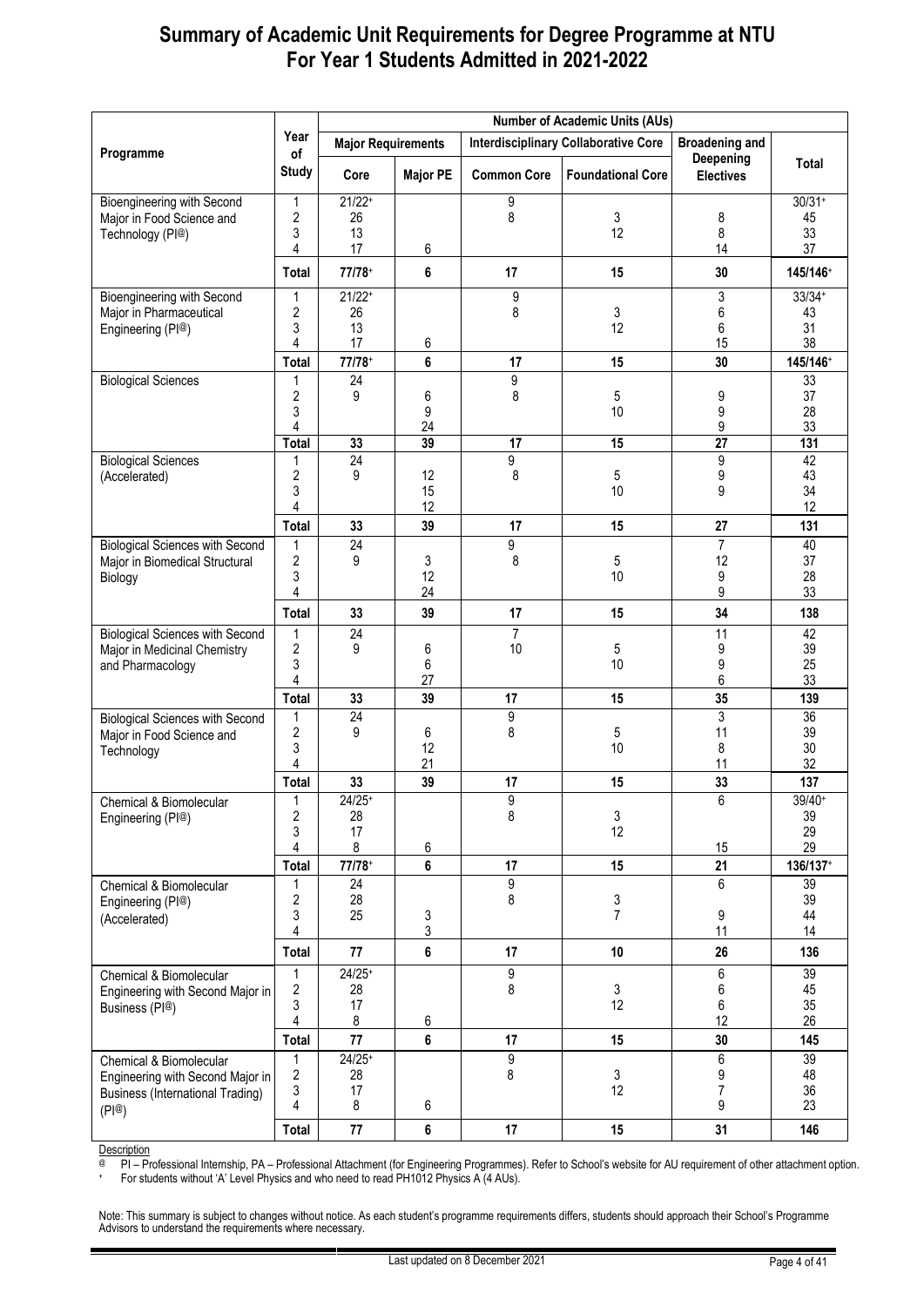|                                                                                                                 |                                        | <b>Number of Academic Units (AUs)</b>  |                 |                      |                                             |                               |                                        |  |  |
|-----------------------------------------------------------------------------------------------------------------|----------------------------------------|----------------------------------------|-----------------|----------------------|---------------------------------------------|-------------------------------|----------------------------------------|--|--|
|                                                                                                                 | Year                                   | <b>Major Requirements</b>              |                 |                      | <b>Interdisciplinary Collaborative Core</b> | <b>Broadening and</b>         |                                        |  |  |
| Programme                                                                                                       | of<br><b>Study</b>                     | Core                                   | <b>Major PE</b> | <b>Common Core</b>   | <b>Foundational Core</b>                    | Deepening<br><b>Electives</b> | Total                                  |  |  |
| <b>Bioengineering with Second</b><br>Major in Food Science and<br>Technology (PI@)                              | 1<br>2<br>3<br>4                       | $21/22+$<br>26<br>13<br>17             | 6               | 9<br>8               | 3<br>12                                     | 8<br>8<br>14                  | $30/31+$<br>45<br>33<br>37             |  |  |
|                                                                                                                 | <b>Total</b>                           | $77/78+$                               | 6               | 17                   | 15                                          | 30                            | 145/146+                               |  |  |
| <b>Bioengineering with Second</b><br>Major in Pharmaceutical<br>Engineering (PI®)                               | 1<br>2<br>3<br>4<br><b>Total</b>       | $21/22+$<br>26<br>13<br>17<br>$77/78+$ | 6<br>6          | 9<br>8<br>17         | 3<br>12<br>15                               | 3<br>6<br>6<br>15<br>30       | $33/34+$<br>43<br>31<br>38<br>145/146+ |  |  |
| <b>Biological Sciences</b>                                                                                      | 1                                      | 24                                     |                 | 9                    |                                             |                               | 33                                     |  |  |
|                                                                                                                 | $\overline{\mathbf{c}}$<br>3<br>4      | 9                                      | 6<br>9<br>24    | 8                    | 5<br>10                                     | 9<br>9<br>9                   | 37<br>28<br>33                         |  |  |
|                                                                                                                 | <b>Total</b>                           | 33                                     | 39              | 17                   | 15                                          | 27                            | 131                                    |  |  |
| <b>Biological Sciences</b><br>(Accelerated)                                                                     | 1<br>$\overline{\mathbf{c}}$<br>3<br>4 | $\overline{24}$<br>9                   | 12<br>15<br>12  | 9<br>8               | 5<br>10                                     | 9<br>9<br>9                   | 42<br>43<br>34<br>12                   |  |  |
|                                                                                                                 | Total                                  | 33                                     | 39              | 17                   | 15                                          | 27                            | 131                                    |  |  |
| <b>Biological Sciences with Second</b><br>Major in Biomedical Structural<br>Biology                             | 1<br>$\overline{\mathbf{c}}$<br>3<br>4 | 24<br>9                                | 3<br>12<br>24   | 9<br>8               | 5<br>10                                     | 7<br>12<br>9<br>9             | 40<br>37<br>28<br>33                   |  |  |
|                                                                                                                 | Total                                  | 33                                     | 39              | 17                   | 15                                          | 34                            | 138                                    |  |  |
| <b>Biological Sciences with Second</b><br>Major in Medicinal Chemistry<br>and Pharmacology                      | $\mathbf{1}$<br>2<br>3<br>4            | 24<br>9                                | 6<br>6<br>27    | $\overline{7}$<br>10 | 5<br>10                                     | 11<br>9<br>9<br>6             | 42<br>39<br>25<br>33                   |  |  |
|                                                                                                                 | Total                                  | 33                                     | 39              | 17                   | 15                                          | 35                            | 139                                    |  |  |
| <b>Biological Sciences with Second</b><br>Major in Food Science and<br>Technology                               | 1<br>2<br>3<br>4                       | 24<br>9                                | 6<br>12<br>21   | 9<br>8               | 5<br>10                                     | 3<br>11<br>8<br>11            | $\overline{36}$<br>39<br>30<br>32      |  |  |
|                                                                                                                 | <b>Total</b>                           | 33                                     | 39              | 17                   | 15                                          | 33                            | 137                                    |  |  |
| Chemical & Biomolecular<br>Engineering (PI@)                                                                    | 1<br>$\overline{\mathbf{c}}$<br>3<br>4 | $24/25+$<br>28<br>17<br>8              | 6               | q<br>8               | $\mathsf 3$<br>12                           | 6<br>15                       | 39/40+<br>39<br>29<br>29               |  |  |
|                                                                                                                 | Total                                  | $77/78+$                               | 6               | 17                   | 15                                          | 21                            | 136/137+                               |  |  |
| Chemical & Biomolecular<br>Engineering (PI@)<br>(Accelerated)                                                   | 1<br>2<br>3<br>4                       | 24<br>28<br>25                         | $\frac{3}{3}$   | 9<br>8               | 3<br>7                                      | 6<br>9<br>11                  | 39<br>39<br>44<br>14                   |  |  |
|                                                                                                                 | <b>Total</b>                           | 77                                     | 6               | 17                   | 10                                          | 26                            | 136                                    |  |  |
| Chemical & Biomolecular<br>Engineering with Second Major in<br>Business (PI@)                                   | 1<br>$\boldsymbol{2}$<br>3<br>4        | $24/25+$<br>28<br>17<br>8              | 6               | 9<br>8               | 3<br>12                                     | 6<br>6<br>6<br>12             | 39<br>45<br>35<br>26                   |  |  |
|                                                                                                                 | Total                                  | 77<br>$24/25+$                         | 6               | 17                   | 15                                          | 30                            | 145<br>39                              |  |  |
| Chemical & Biomolecular<br>Engineering with Second Major in<br><b>Business (International Trading)</b><br>(PI@) | 1<br>$\sqrt{2}$<br>3<br>4              | 28<br>17<br>8                          | 6               | 9<br>8               | $\mathfrak{Z}$<br>12                        | 6<br>9<br>$\overline{7}$<br>9 | 48<br>36<br>23                         |  |  |
|                                                                                                                 | <b>Total</b>                           | 77                                     | 6               | 17                   | 15                                          | 31                            | 146                                    |  |  |

Description

@ PI – Professional Internship, PA – Professional Attachment (for Engineering Programmes). Refer to School's website for AU requirement of other attachment option.

+ For students without 'A' Level Physics and who need to read PH1012 Physics A (4 AUs).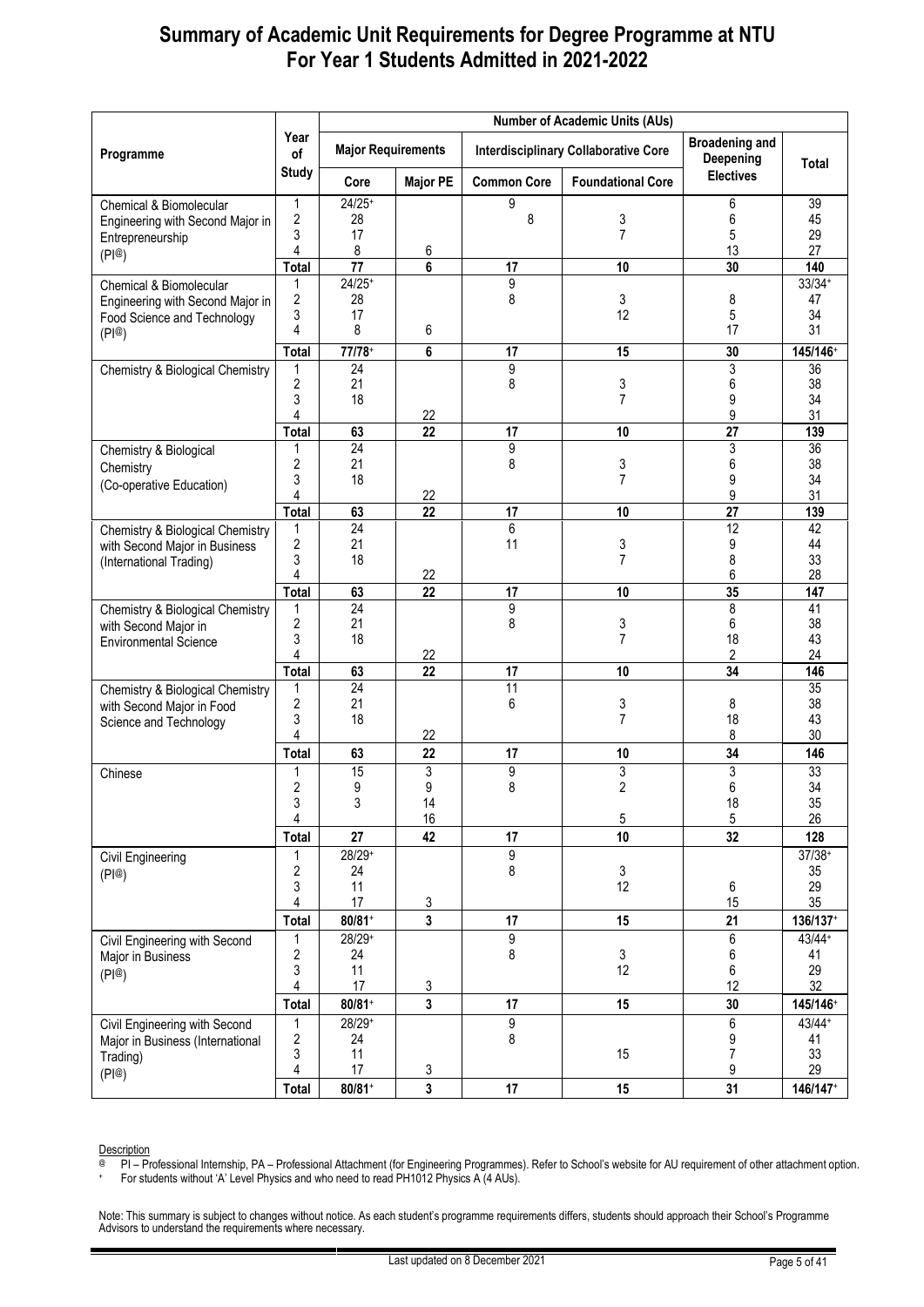|                                                                                                         |                                                                 | <b>Number of Academic Units (AUs)</b>            |                          |                           |                                             |                                      |                                                    |  |  |
|---------------------------------------------------------------------------------------------------------|-----------------------------------------------------------------|--------------------------------------------------|--------------------------|---------------------------|---------------------------------------------|--------------------------------------|----------------------------------------------------|--|--|
| Programme                                                                                               | Year<br>of                                                      | <b>Major Requirements</b>                        |                          |                           | <b>Interdisciplinary Collaborative Core</b> | <b>Broadening and</b><br>Deepening   | Total                                              |  |  |
|                                                                                                         | <b>Study</b>                                                    | Core                                             | <b>Major PE</b>          | <b>Common Core</b>        | <b>Foundational Core</b>                    | <b>Electives</b>                     |                                                    |  |  |
| Chemical & Biomolecular<br>Engineering with Second Major in<br>Entrepreneurship                         | 1<br>$\boldsymbol{2}$<br>3<br>4                                 | $24/25+$<br>28<br>17<br>8                        | 6                        | 9<br>8                    | 3<br>$\overline{7}$                         | 6<br>6<br>5<br>13                    | 39<br>45<br>29<br>27                               |  |  |
| (PI@)                                                                                                   | <b>Total</b>                                                    | 77                                               | 6                        | 17                        | 10                                          | 30                                   | 140                                                |  |  |
| Chemical & Biomolecular<br>Engineering with Second Major in<br>Food Science and Technology<br>(PI@)     | 1<br>2<br>3<br>4<br><b>Total</b>                                | $24/25+$<br>28<br>17<br>8<br>77/78+              | 6<br>6                   | 9<br>8<br>17              | 3<br>12<br>15                               | 8<br>5<br>17<br>30                   | $33/34+$<br>47<br>34<br>31<br>145/146+             |  |  |
| <b>Chemistry &amp; Biological Chemistry</b>                                                             | 1<br>$\boldsymbol{2}$<br>3<br>4<br><b>Total</b>                 | 24<br>21<br>18<br>63                             | 22<br>22                 | 9<br>8<br>17              | 3<br>$\overline{7}$<br>10                   | 3<br>6<br>9<br>9<br>27               | $\overline{36}$<br>38<br>34<br>31<br>139           |  |  |
| Chemistry & Biological<br>Chemistry<br>(Co-operative Education)                                         | 1<br>2<br>3<br>4                                                | 24<br>21<br>18                                   | 22                       | 9<br>8                    | 3<br>$\overline{7}$                         | 3<br>6<br>9<br>9                     | 36<br>38<br>34<br>31                               |  |  |
| <b>Chemistry &amp; Biological Chemistry</b><br>with Second Major in Business<br>(International Trading) | <b>Total</b><br>1<br>2<br>3<br>4                                | 63<br>24<br>21<br>18                             | $\overline{22}$<br>22    | 17<br>6<br>11             | 10<br>3<br>7                                | $\overline{27}$<br>12<br>9<br>8<br>6 | 139<br>42<br>44<br>33<br>28                        |  |  |
| Chemistry & Biological Chemistry<br>with Second Major in<br><b>Environmental Science</b>                | <b>Total</b><br>1<br>$\overline{c}$<br>3<br>4                   | 63<br>$\overline{24}$<br>21<br>18                | 22<br>22                 | 17<br>$\overline{9}$<br>8 | 10<br>3<br>7                                | 35<br>8<br>6<br>18<br>2              | 147<br>$\overline{41}$<br>38<br>43<br>24           |  |  |
| Chemistry & Biological Chemistry<br>with Second Major in Food<br>Science and Technology                 | <b>Total</b><br>1<br>$\boldsymbol{2}$<br>3<br>4                 | 63<br>24<br>21<br>18                             | 22<br>22                 | 17<br>11<br>6             | 10<br>3<br>7                                | 34<br>8<br>18<br>8                   | 146<br>35<br>38<br>43<br>30                        |  |  |
| Chinese                                                                                                 | <b>Total</b><br>1<br>$\boldsymbol{2}$<br>3<br>4                 | 63<br>15<br>9<br>3                               | 22<br>3<br>9<br>14<br>16 | 17<br>9<br>8              | 10<br>3<br>$\overline{2}$<br>5              | 34<br>3<br>6<br>18<br>5              | 146<br>33<br>34<br>35<br>26                        |  |  |
| Civil Engineering<br>(PI@)                                                                              | <b>Total</b><br>1<br>$\boldsymbol{2}$<br>3<br>4                 | 27<br>28/29+<br>24<br>11<br>17                   | 42<br>3                  | 17<br>9<br>8              | 10<br>3<br>12                               | 32<br>6<br>15                        | 128<br>$37/38+$<br>35<br>29<br>35                  |  |  |
| Civil Engineering with Second<br>Major in Business<br>(PI@)                                             | <b>Total</b><br>1<br>$\boldsymbol{2}$<br>3<br>4<br><b>Total</b> | $80/81+$<br>28/29+<br>24<br>11<br>17<br>$80/81+$ | 3<br>3<br>3              | 17<br>9<br>8<br>17        | 15<br>3<br>12<br>15                         | 21<br>6<br>6<br>6<br>12<br>30        | 136/137+<br>$43/44+$<br>41<br>29<br>32<br>145/146+ |  |  |
| Civil Engineering with Second<br>Major in Business (International<br>Trading)<br>(PI@)                  | 1<br>2<br>3<br>4<br>Total                                       | 28/29+<br>24<br>11<br>17<br>$80/81+$             | 3<br>3                   | 9<br>8<br>17              | 15<br>15                                    | 6<br>9<br>$\overline{7}$<br>9<br>31  | $43/44+$<br>41<br>33<br>29<br>146/147+             |  |  |

Description

@ PI – Professional Internship, PA – Professional Attachment (for Engineering Programmes). Refer to School's website for AU requirement of other attachment option.

+ For students without 'A' Level Physics and who need to read PH1012 Physics A (4 AUs).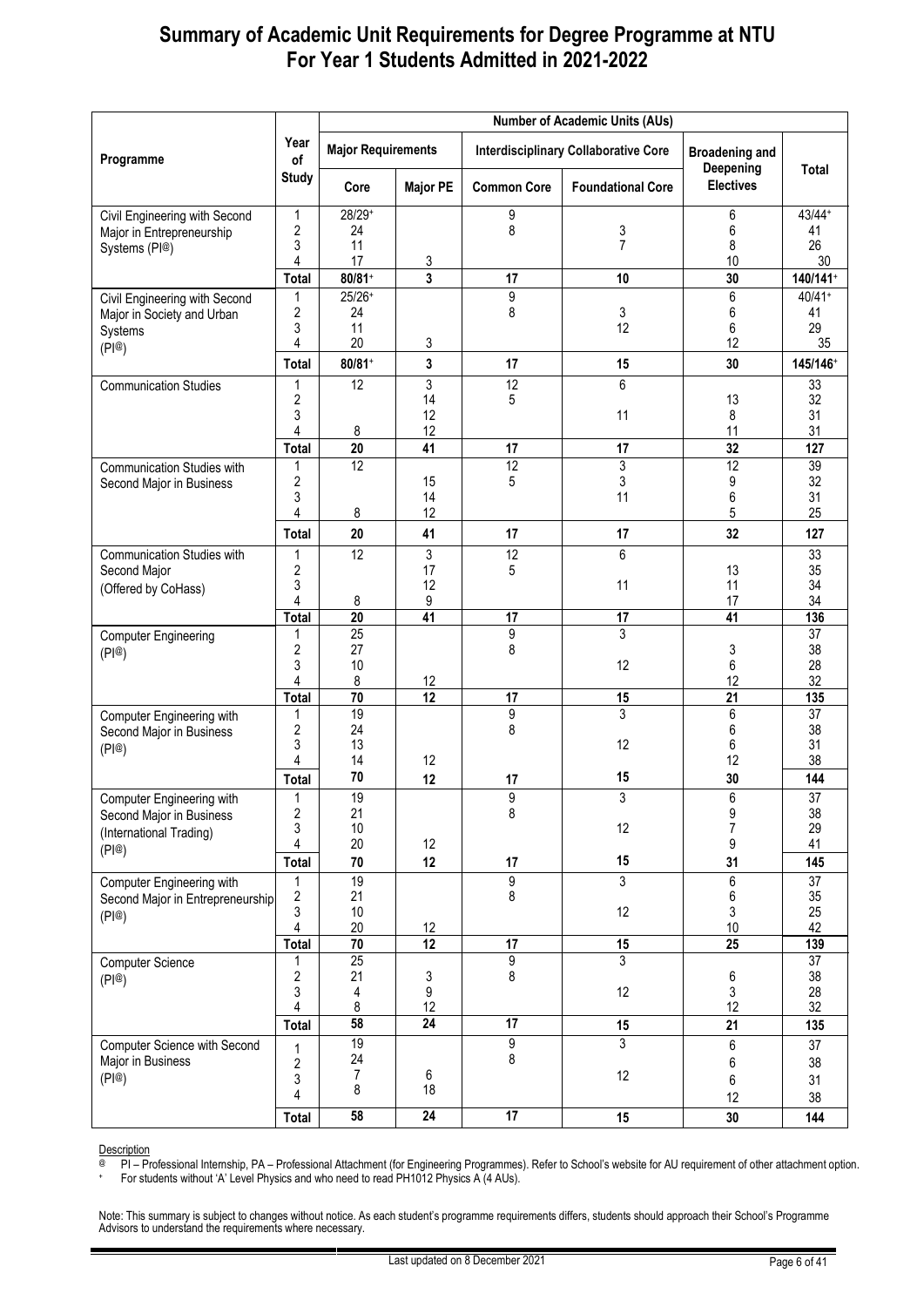|                                                       |                              | <b>Number of Academic Units (AUs)</b> |                 |                    |                                             |                                    |           |  |  |  |
|-------------------------------------------------------|------------------------------|---------------------------------------|-----------------|--------------------|---------------------------------------------|------------------------------------|-----------|--|--|--|
| Programme                                             | Year<br>of                   | <b>Major Requirements</b>             |                 |                    | <b>Interdisciplinary Collaborative Core</b> | <b>Broadening and</b><br>Deepening | Total     |  |  |  |
|                                                       | <b>Study</b>                 | Core                                  | <b>Major PE</b> | <b>Common Core</b> | <b>Foundational Core</b>                    | <b>Electives</b>                   |           |  |  |  |
| Civil Engineering with Second                         | 1                            | $28/29+$                              |                 | 9                  |                                             | 6                                  | $43/44+$  |  |  |  |
| Major in Entrepreneurship                             | 2<br>3                       | 24<br>11                              |                 | 8                  | 3<br>$\overline{7}$                         | 6<br>8                             | 41<br>26  |  |  |  |
| Systems (PI@)                                         | 4                            | 17                                    | 3               |                    |                                             | 10                                 | 30        |  |  |  |
|                                                       | Total                        | $80/81+$                              | 3               | 17                 | 10                                          | 30                                 | 140/141+  |  |  |  |
| Civil Engineering with Second                         | 1                            | $25/26+$                              |                 | 9                  |                                             | 6                                  | $40/41+$  |  |  |  |
| Major in Society and Urban                            | 2<br>3                       | 24<br>11                              |                 | 8                  | 3<br>12                                     | 6<br>6                             | 41<br>29  |  |  |  |
| Systems<br>(P @)                                      | $\overline{4}$               | 20                                    | 3               |                    |                                             | 12                                 | 35        |  |  |  |
|                                                       | <b>Total</b>                 | $80/81+$                              | 3               | 17                 | 15                                          | 30                                 | 145/146+  |  |  |  |
| <b>Communication Studies</b>                          | 1                            | $\overline{12}$                       | 3               | 12                 | 6                                           |                                    | 33        |  |  |  |
|                                                       | $\overline{2}$<br>3          |                                       | 14<br>12        | 5                  | 11                                          | 13<br>8                            | 32<br>31  |  |  |  |
|                                                       | 4                            | 8                                     | 12              |                    |                                             | 11                                 | 31        |  |  |  |
|                                                       | <b>Total</b>                 | 20                                    | 41              | 17                 | 17                                          | 32                                 | 127       |  |  |  |
| <b>Communication Studies with</b>                     | 1                            | 12                                    |                 | 12                 | 3                                           | 12                                 | 39        |  |  |  |
| Second Major in Business                              | 2<br>3                       |                                       | 15<br>14        | 5                  | 3<br>11                                     | 9<br>6                             | 32<br>31  |  |  |  |
|                                                       | 4                            | 8                                     | 12              |                    |                                             | 5                                  | 25        |  |  |  |
|                                                       | <b>Total</b>                 | 20                                    | 41              | 17                 | 17                                          | 32                                 | 127       |  |  |  |
| <b>Communication Studies with</b><br>Second Major     | 1<br>2                       | 12                                    | 3<br>17         | 12<br>5            | 6                                           | 13                                 | 33<br>35  |  |  |  |
| (Offered by CoHass)                                   | 3                            |                                       | 12              |                    | 11                                          | 11                                 | 34        |  |  |  |
|                                                       | 4                            | 8                                     | 9               |                    |                                             | 17                                 | 34        |  |  |  |
|                                                       | Total                        | $\overline{20}$                       | $\overline{41}$ | 17                 | 17                                          | 41                                 | 136       |  |  |  |
| <b>Computer Engineering</b>                           | 1<br>2                       | 25<br>27                              |                 | 9<br>8             | 3                                           | 3                                  | 37<br>38  |  |  |  |
| (PI@)                                                 | 3                            | 10                                    |                 |                    | 12                                          | 6                                  | 28        |  |  |  |
|                                                       | 4                            | 8                                     | 12              |                    |                                             | 12                                 | 32        |  |  |  |
|                                                       | Total                        | $70$<br>19                            | $\overline{12}$ | 17<br>9            | 15<br>3                                     | 21<br>6                            | 135<br>37 |  |  |  |
| Computer Engineering with<br>Second Major in Business | 1<br>2                       | 24                                    |                 | 8                  |                                             | 6                                  | 38        |  |  |  |
| (PI@)                                                 | 3                            | 13                                    |                 |                    | 12                                          | 6                                  | 31        |  |  |  |
|                                                       | 4                            | 14                                    | 12              |                    |                                             | 12                                 | 38        |  |  |  |
|                                                       | Total                        | 70                                    | 12              | 17                 | 15                                          | 30                                 | 144       |  |  |  |
| Computer Engineering with                             | $\boldsymbol{2}$             | 19<br>21                              |                 | 9<br>8             | 3                                           | 6<br>9                             | 37<br>38  |  |  |  |
| Second Major in Business<br>(International Trading)   | 3                            | 10                                    |                 |                    | 12                                          | $\overline{7}$                     | 29        |  |  |  |
| (PI@)                                                 | 4                            | 20                                    | 12              |                    |                                             | 9                                  | 41        |  |  |  |
|                                                       | <b>Total</b>                 | 70                                    | 12              | 17                 | 15                                          | 31                                 | 145       |  |  |  |
| Computer Engineering with                             | 1                            | 19                                    |                 | 9<br>8             | 3                                           | 6                                  | 37        |  |  |  |
| Second Major in Entrepreneurship                      | $\overline{\mathbf{c}}$<br>3 | 21<br>$10$                            |                 |                    | 12                                          | 6<br>3                             | 35<br>25  |  |  |  |
| (PI@)                                                 | $\overline{\mathbf{4}}$      | 20                                    | 12              |                    |                                             | 10                                 | 42        |  |  |  |
|                                                       | <b>Total</b>                 | $70\,$                                | 12              | 17                 | 15                                          | 25                                 | 139       |  |  |  |
| <b>Computer Science</b>                               | 1<br>$\overline{\mathbf{c}}$ | $\overline{25}$<br>21                 | 3               | 9<br>8             | 3                                           | $\,6\,$                            | 37<br>38  |  |  |  |
| (PI@)                                                 | 3                            | 4                                     | 9               |                    | 12                                          | 3                                  | 28        |  |  |  |
|                                                       | 4                            | 8                                     | 12              |                    |                                             | 12                                 | 32        |  |  |  |
|                                                       | <b>Total</b>                 | 58                                    | 24              | 17                 | 15                                          | 21                                 | 135       |  |  |  |
| Computer Science with Second                          | 1                            | 19<br>24                              |                 | 9<br>8             | 3                                           | 6                                  | 37        |  |  |  |
| Major in Business<br>(PI@)                            | $\boldsymbol{2}$             | $\boldsymbol{7}$                      | 6               |                    | 12                                          | 6                                  | 38        |  |  |  |
|                                                       | 3<br>4                       | 8                                     | 18              |                    |                                             | 6<br>12                            | 31<br>38  |  |  |  |
|                                                       | Total                        | 58                                    | $\overline{24}$ | 17                 | 15                                          | 30                                 | 144       |  |  |  |
|                                                       |                              |                                       |                 |                    |                                             |                                    |           |  |  |  |

Description

@ PI – Professional Internship, PA – Professional Attachment (for Engineering Programmes). Refer to School's website for AU requirement of other attachment option.

+ For students without 'A' Level Physics and who need to read PH1012 Physics A (4 AUs).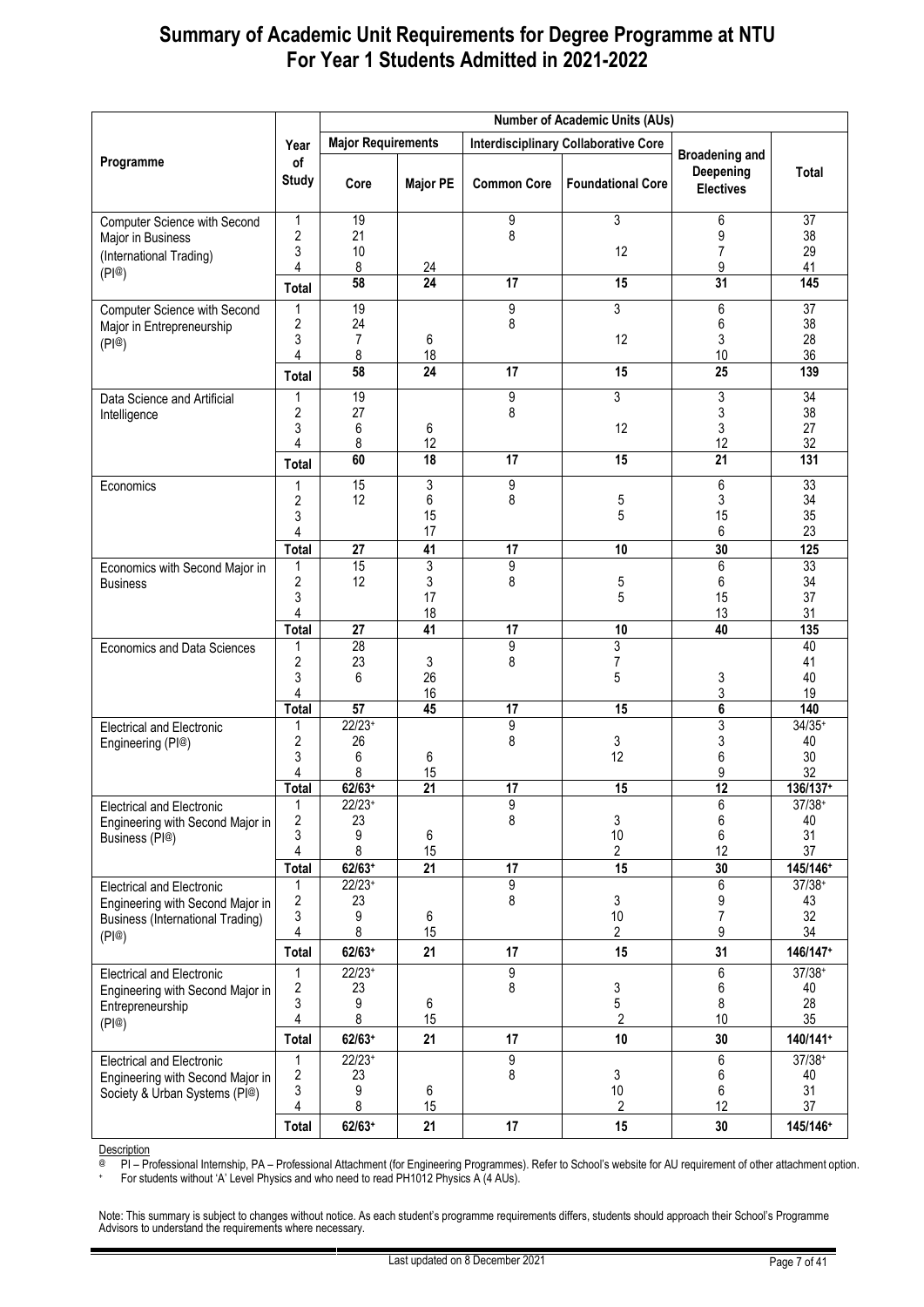|                                                                      |                     |                           | <b>Number of Academic Units (AUs)</b> |                      |                                             |                                                        |                      |  |  |
|----------------------------------------------------------------------|---------------------|---------------------------|---------------------------------------|----------------------|---------------------------------------------|--------------------------------------------------------|----------------------|--|--|
|                                                                      | Year                | <b>Major Requirements</b> |                                       |                      | <b>Interdisciplinary Collaborative Core</b> |                                                        |                      |  |  |
| Programme                                                            | of<br><b>Study</b>  | Core                      | <b>Major PE</b>                       | <b>Common Core</b>   | <b>Foundational Core</b>                    | <b>Broadening and</b><br>Deepening<br><b>Electives</b> | Total                |  |  |
| Computer Science with Second                                         | 1                   | 19                        |                                       | 9                    | $\overline{3}$                              | 6                                                      | $\overline{37}$      |  |  |
| Major in Business                                                    | $\sqrt{2}$<br>3     | 21<br>10                  |                                       | 8                    | 12                                          | 9<br>7                                                 | 38<br>29             |  |  |
| (International Trading)<br>(PI@)                                     | 4                   | 8                         | <u>24</u>                             |                      |                                             | 9                                                      | 41                   |  |  |
|                                                                      | Total               | 58                        | $\overline{24}$                       | 17                   | 15                                          | 31                                                     | 145                  |  |  |
| Computer Science with Second                                         | 1                   | 19                        |                                       | 9                    | 3                                           | 6                                                      | 37                   |  |  |
| Major in Entrepreneurship                                            | 2                   | 24                        |                                       | 8                    |                                             | 6                                                      | 38<br>28             |  |  |
| (PI@)                                                                | 3<br>4              | $\overline{7}$<br>8       | 6<br>18                               |                      | 12                                          | 3<br>10                                                | 36                   |  |  |
|                                                                      | <b>Total</b>        | 58                        | $\overline{24}$                       | 17                   | 15                                          | 25                                                     | 139                  |  |  |
| Data Science and Artificial                                          | 1                   | 19                        |                                       | 9                    | 3                                           | 3                                                      | $\overline{34}$      |  |  |
| Intelligence                                                         | 2<br>3              | 27<br>6                   | 6                                     | 8                    | 12                                          | 3<br>3                                                 | 38<br>27             |  |  |
|                                                                      | 4                   | 8                         | 12                                    |                      |                                             | 12                                                     | 32                   |  |  |
|                                                                      | Total               | 60                        | $\overline{18}$                       | 17                   | 15                                          | $\overline{21}$                                        | $\overline{131}$     |  |  |
| Economics                                                            | 1                   | 15<br>12                  | 3<br>6                                | 9<br>8               | $\mathbf 5$                                 | 6<br>3                                                 | 33<br>34             |  |  |
|                                                                      | 2<br>3              |                           | 15                                    |                      | 5                                           | 15                                                     | 35                   |  |  |
|                                                                      | 4                   |                           | 17                                    |                      |                                             | 6                                                      | 23                   |  |  |
|                                                                      | <b>Total</b>        | 27                        | $\overline{41}$                       | 17                   | 10                                          | 30                                                     | 125                  |  |  |
| Economics with Second Major in<br><b>Business</b>                    | 1<br>$\overline{2}$ | 15<br>12                  | 3<br>3                                | 9<br>8               | $\mathbf 5$                                 | 6<br>6                                                 | 33<br>34             |  |  |
|                                                                      | 3                   |                           | 17                                    |                      | 5                                           | 15                                                     | 37                   |  |  |
|                                                                      | 4                   |                           | 18<br>41                              |                      |                                             | 13<br>40                                               | 31                   |  |  |
| <b>Economics and Data Sciences</b>                                   | <b>Total</b><br>1   | 27<br>28                  |                                       | 17<br>9              | 10<br>3                                     |                                                        | 135<br>40            |  |  |
|                                                                      | $\boldsymbol{2}$    | 23                        | 3                                     | 8                    | 7                                           |                                                        | 41                   |  |  |
|                                                                      | 3<br>4              | 6                         | 26<br>16                              |                      | 5                                           | 3<br>3                                                 | 40<br>19             |  |  |
|                                                                      | Total               | $\overline{57}$           | 45                                    | 17                   | 15                                          | 6                                                      | 140                  |  |  |
| <b>Electrical and Electronic</b>                                     | 1                   | $22/23+$                  |                                       | 9                    |                                             | 3                                                      | $34/35+$             |  |  |
| Engineering (PI@)                                                    | 2<br>3              | 26<br>6                   | 6                                     | 8                    | 3<br>12                                     | 3<br>6                                                 | 40<br>30             |  |  |
|                                                                      | 4                   | 8                         | 15                                    |                      |                                             | 9                                                      | 32                   |  |  |
|                                                                      | <b>Total</b>        | $62/63+$                  | $\overline{21}$                       | 17                   | 15                                          | 12                                                     | 136/137+             |  |  |
| Electrical and Electronic                                            | T.<br>2             | $22/23+$<br>23            |                                       | 9<br>8               | 3                                           | 6<br>6                                                 | $37/38 +$<br>40      |  |  |
| Engineering with Second Major in<br>Business (PI@)                   | 3                   | 9                         | 6                                     |                      | 10                                          | 6                                                      | 31                   |  |  |
|                                                                      | 4                   | 8                         | 15                                    |                      | 2                                           | 12                                                     | 37                   |  |  |
|                                                                      | <b>Total</b><br>1   | $62/63+$<br>$22/23+$      | 21                                    | 17<br>$\overline{9}$ | 15                                          | 30<br>6                                                | 145/146+<br>$37/38+$ |  |  |
| <b>Electrical and Electronic</b><br>Engineering with Second Major in | $\sqrt{2}$          | 23                        |                                       | 8                    | 3                                           | 9                                                      | 43                   |  |  |
| <b>Business (International Trading)</b>                              | 3                   | 9                         | 6                                     |                      | 10                                          | 7                                                      | 32                   |  |  |
| (PI@)                                                                | 4<br><b>Total</b>   | 8<br>$62/63+$             | 15<br>21                              | 17                   | 2<br>15                                     | 9<br>31                                                | 34<br>146/147+       |  |  |
| <b>Electrical and Electronic</b>                                     | 1                   | $22/23+$                  |                                       | 9                    |                                             | 6                                                      | $37/38+$             |  |  |
| Engineering with Second Major in                                     | $\boldsymbol{2}$    | 23                        |                                       | 8                    | 3                                           | 6                                                      | 40                   |  |  |
| Entrepreneurship                                                     | 3<br>4              | 9<br>8                    | 6<br>15                               |                      | 5<br>$\overline{2}$                         | 8<br>10                                                | 28<br>35             |  |  |
| (PI@)                                                                | <b>Total</b>        | $62/63+$                  | 21                                    | 17                   | 10                                          | 30                                                     | 140/141+             |  |  |
| <b>Electrical and Electronic</b>                                     | 1                   | $22/23+$                  |                                       | 9                    |                                             | 6                                                      | $37/38+$             |  |  |
| Engineering with Second Major in                                     | $\sqrt{2}$          | 23                        |                                       | 8                    | 3                                           | 6                                                      | 40                   |  |  |
| Society & Urban Systems (PI@)                                        | 3<br>4              | 9<br>8                    | 6<br>15                               |                      | $10$<br>$\overline{c}$                      | 6<br>12                                                | 31<br>37             |  |  |
|                                                                      | <b>Total</b>        | 62/63+                    | 21                                    | 17                   | 15                                          | 30                                                     | 145/146+             |  |  |

Description

@ PI – Professional Internship, PA – Professional Attachment (for Engineering Programmes). Refer to School's website for AU requirement of other attachment option.

+ For students without 'A' Level Physics and who need to read PH1012 Physics A (4 AUs).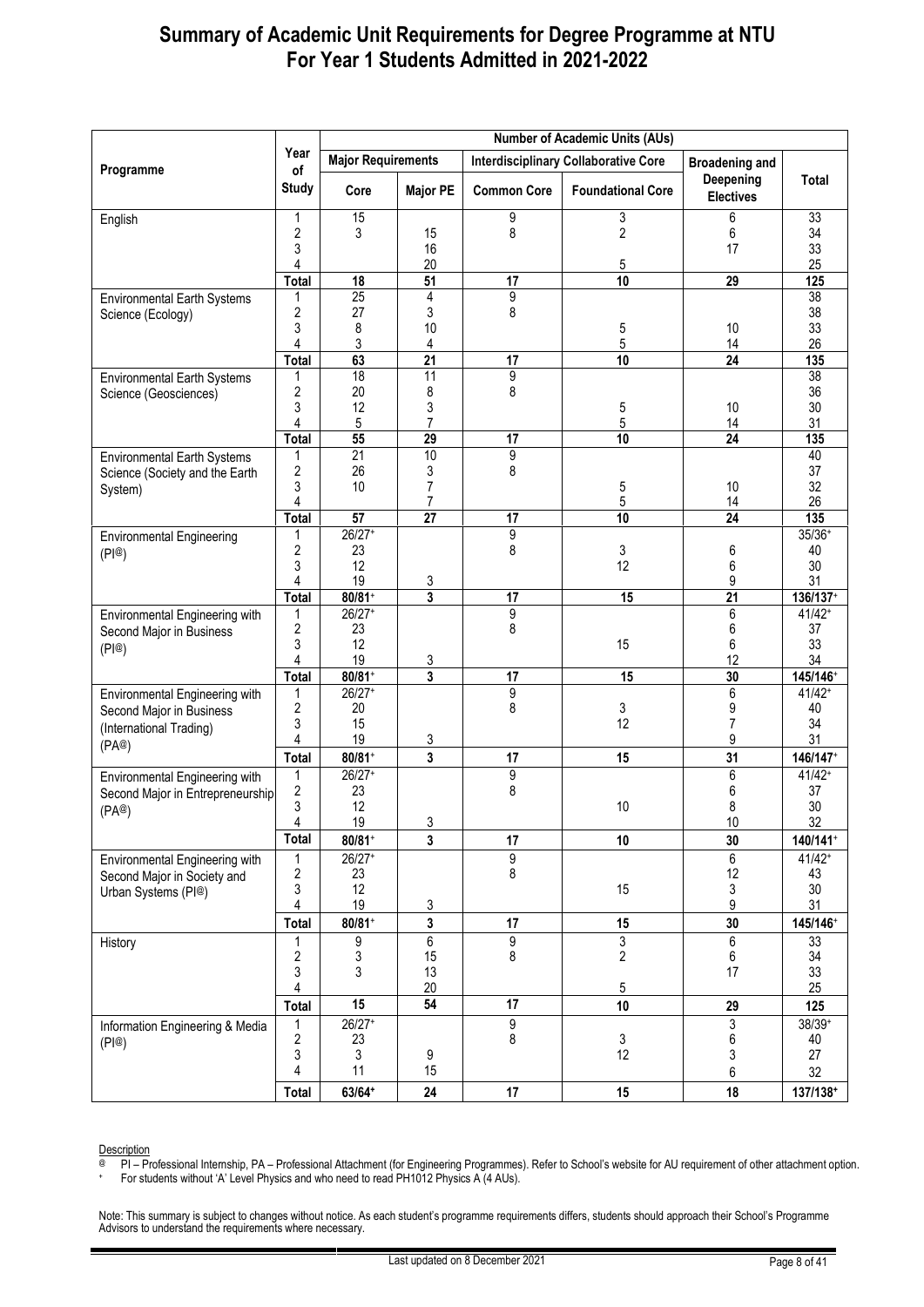|                                           |                         |                           |                      |                      | <b>Number of Academic Units (AUs)</b>       |                               |                      |
|-------------------------------------------|-------------------------|---------------------------|----------------------|----------------------|---------------------------------------------|-------------------------------|----------------------|
|                                           | Year                    | <b>Major Requirements</b> |                      |                      | <b>Interdisciplinary Collaborative Core</b> | <b>Broadening and</b>         |                      |
| Programme                                 | of<br><b>Study</b>      | Core                      | <b>Major PE</b>      | <b>Common Core</b>   | <b>Foundational Core</b>                    | Deepening<br><b>Electives</b> | Total                |
| English                                   | 1                       | 15                        |                      | 9                    | 3                                           | 6                             | 33                   |
|                                           | 2                       | 3                         | 15                   | 8                    | $\overline{\mathbf{c}}$                     | 6                             | 34                   |
|                                           | 3<br>4                  |                           | 16<br>20             |                      | 5                                           | 17                            | 33<br>25             |
|                                           | <b>Total</b>            | 18                        | 51                   | $\overline{17}$      | 10                                          | $\overline{29}$               | 125                  |
| <b>Environmental Earth Systems</b>        | 1                       | 25                        | 4                    | $\overline{9}$       |                                             |                               | $\overline{38}$      |
| Science (Ecology)                         | $\overline{\mathbf{c}}$ | 27                        | 3                    | 8                    |                                             |                               | 38                   |
|                                           | 3<br>4                  | 8<br>3                    | 10<br>4              |                      | 5<br>5                                      | 10<br>14                      | 33<br>26             |
|                                           | <b>Total</b>            | 63                        | $\overline{21}$      | 17                   | $\overline{10}$                             | $\overline{24}$               | 135                  |
| <b>Environmental Earth Systems</b>        | 1                       | $\overline{18}$           | $\overline{11}$      | $\overline{9}$       |                                             |                               | 38                   |
| Science (Geosciences)                     | 2                       | 20                        | 8                    | 8                    |                                             |                               | 36                   |
|                                           | 3<br>4                  | 12<br>5                   | 3<br>$\overline{7}$  |                      | 5<br>5                                      | 10<br>14                      | 30<br>31             |
|                                           | Total                   | 55                        | $\overline{29}$      | $\overline{17}$      | $\overline{10}$                             | $\overline{24}$               | 135                  |
| <b>Environmental Earth Systems</b>        | 1                       | $\overline{21}$           | 10                   | $\overline{9}$       |                                             |                               | 40                   |
| Science (Society and the Earth            | 2                       | 26                        | 3                    | 8                    |                                             |                               | 37                   |
| System)                                   | 3                       | 10                        | 7                    |                      | 5                                           | 10                            | 32                   |
|                                           | 4<br><b>Total</b>       | $\overline{57}$           | 7<br>$\overline{27}$ | 17                   | 5<br>$\overline{10}$                        | 14<br>24                      | 26<br>135            |
| <b>Environmental Engineering</b>          | 1                       | $26/27+$                  |                      | $\overline{9}$       |                                             |                               | $35/36+$             |
| (PI@)                                     | 2                       | 23                        |                      | 8                    | 3                                           | 6                             | 40                   |
|                                           | 3                       | 12                        |                      |                      | 12                                          | 6                             | 30                   |
|                                           | 4<br>Total              | 19<br>$80/81+$            | 3<br>3               | 17                   | 15                                          | 9<br>$\overline{21}$          | 31<br>136/137+       |
| Environmental Engineering with            | 1                       | $26/27+$                  |                      | 9                    |                                             | 6                             | $41/42+$             |
| Second Major in Business                  | $\overline{\mathbf{c}}$ | 23                        |                      | 8                    |                                             | 6                             | 37                   |
| (PI@)                                     | 3                       | 12                        |                      |                      | 15                                          | 6                             | 33                   |
|                                           | 4                       | 19                        | 3<br>$\overline{3}$  |                      |                                             | 12                            | 34                   |
| Environmental Engineering with            | Total<br>1              | $80/81+$<br>$26/27+$      |                      | 17<br>$\overline{9}$ | 15                                          | 30<br>6                       | 145/146+<br>$41/42+$ |
| Second Major in Business                  | 2                       | 20                        |                      | 8                    | 3                                           | 9                             | 40                   |
| (International Trading)                   | 3                       | 15                        |                      |                      | 12                                          | 7                             | 34                   |
| (PA@)                                     | 4                       | 19                        | 3                    |                      |                                             | 9                             | 31                   |
|                                           | <b>Total</b>            | $80/81+$                  | $\overline{3}$       | 17                   | 15                                          | 31                            | 146/147+             |
| Environmental Engineering with            | 1<br>2                  | $26/27+$<br>23            |                      | 9<br>8               |                                             | 6<br>6                        | $41/42+$<br>37       |
| Second Major in Entrepreneurship<br>(PA@) | 3                       | 12                        |                      |                      | 10                                          | 8                             | 30                   |
|                                           | 4                       | $19$                      | 3                    |                      |                                             | $10\,$                        | 32                   |
|                                           | <b>Total</b>            | $80/81+$                  | 3                    | 17                   | 10                                          | 30                            | 140/141+             |
| Environmental Engineering with            | 1                       | $26/27+$                  |                      | $\overline{9}$       |                                             | 6                             | $41/42+$             |
| Second Major in Society and               | 2<br>3                  | 23<br>12                  |                      | 8                    | 15                                          | 12<br>3                       | 43<br>$30\,$         |
| Urban Systems (PI@)                       | 4                       | 19                        | 3                    |                      |                                             | 9                             | 31                   |
|                                           | Total                   | $80/81+$                  | 3                    | 17                   | 15                                          | 30                            | 145/146+             |
| History                                   | 1                       | 9                         | $\overline{6}$       | 9                    | 3                                           | 6                             | 33                   |
|                                           | $\overline{\mathbf{c}}$ | 3                         | 15                   | 8                    | 2                                           | 6                             | 34                   |
|                                           | 3<br>4                  | 3                         | 13<br>20             |                      | 5                                           | 17                            | 33<br>25             |
|                                           | <b>Total</b>            | 15                        | 54                   | $\overline{17}$      | 10                                          | 29                            | 125                  |
| Information Engineering & Media           | 1                       | $26/27+$                  |                      | $\boldsymbol{9}$     |                                             | 3                             | $38/39+$             |
| (PI@)                                     | $\overline{\mathbf{c}}$ | 23                        |                      | 8                    | 3                                           | 6                             | 40                   |
|                                           | 3                       | 3                         | 9                    |                      | 12                                          | 3                             | 27                   |
|                                           | 4                       | 11                        | 15                   |                      |                                             | 6                             | 32                   |
|                                           | <b>Total</b>            | $63/64+$                  | 24                   | 17                   | 15                                          | 18                            | 137/138+             |

Description

@ PI – Professional Internship, PA – Professional Attachment (for Engineering Programmes). Refer to School's website for AU requirement of other attachment option.

+ For students without 'A' Level Physics and who need to read PH1012 Physics A (4 AUs).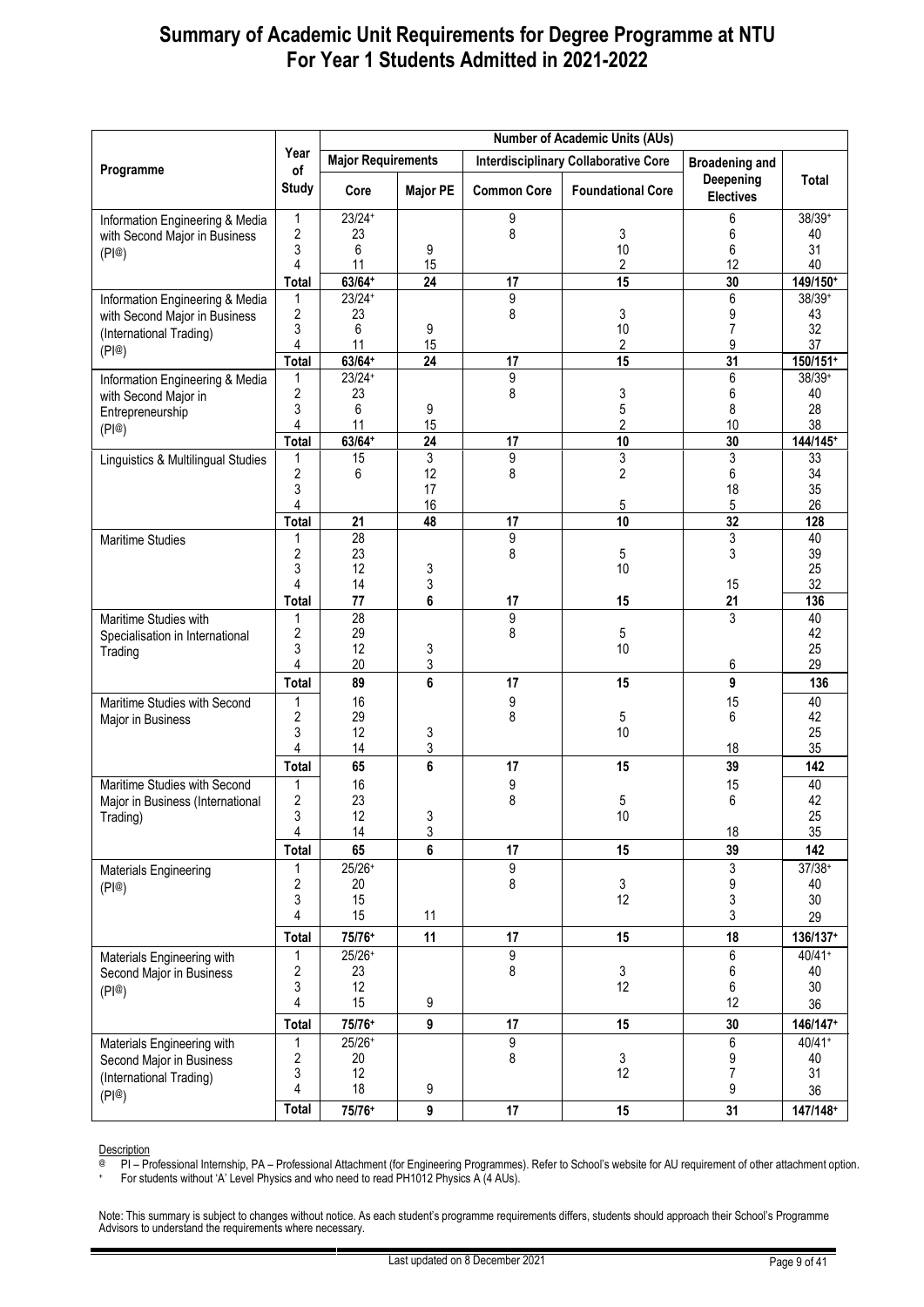|                                                        |                    |                           |                 |                    | <b>Number of Academic Units (AUs)</b>       |                               |                      |
|--------------------------------------------------------|--------------------|---------------------------|-----------------|--------------------|---------------------------------------------|-------------------------------|----------------------|
|                                                        | Year               | <b>Major Requirements</b> |                 |                    | <b>Interdisciplinary Collaborative Core</b> | <b>Broadening and</b>         |                      |
| Programme                                              | of<br><b>Study</b> | Core                      | <b>Major PE</b> | <b>Common Core</b> | <b>Foundational Core</b>                    | Deepening<br><b>Electives</b> | Total                |
| Information Engineering & Media                        | 1                  | $23/24+$                  |                 | 9                  |                                             | 6                             | 38/39+               |
| with Second Major in Business                          | 2<br>3             | 23<br>6                   | 9               | 8                  | 3<br>10                                     | 6<br>6                        | 40<br>31             |
| (PI@)                                                  | 4                  | 11                        | 15              |                    | 2                                           | 12                            | 40                   |
|                                                        | Total              | $63/64+$                  | $\overline{24}$ | 17                 | $\overline{15}$                             | 30                            | 149/150+             |
| Information Engineering & Media                        | 1                  | $23/24+$                  |                 | $\overline{9}$     |                                             | 6                             | 38/39+               |
| with Second Major in Business                          | 2                  | 23                        |                 | 8                  | 3                                           | 9                             | 43                   |
| (International Trading)                                | 3<br>4             | 6<br>11                   | 9<br>15         |                    | 10                                          | $\overline{7}$<br>9           | 32<br>37             |
| (PI@)                                                  | <b>Total</b>       | $63/64+$                  | 24              | 17                 | 2<br>15                                     | 31                            | 150/151+             |
| Information Engineering & Media                        | 1                  | $23/24+$                  |                 | 9                  |                                             | 6                             | $38/39+$             |
| with Second Major in                                   | 2                  | 23                        |                 | 8                  | 3                                           | 6                             | 40                   |
| Entrepreneurship                                       | 3                  | 6                         | 9               |                    | 5                                           | 8                             | 28                   |
| (PI@)                                                  | 4<br><b>Total</b>  | 11<br>$63/64+$            | 15<br>24        | 17                 | 2<br>10                                     | 10<br>30                      | 38<br>144/145+       |
| Linguistics & Multilingual Studies                     | 1                  | 15                        | 3               | 9                  | 3                                           | 3                             | 33                   |
|                                                        | $\overline{2}$     | 6                         | 12              | 8                  | $\overline{c}$                              | 6                             | 34                   |
|                                                        | 3                  |                           | 17              |                    |                                             | 18                            | 35                   |
|                                                        | 4                  |                           | 16              |                    | 5                                           | 5                             | 26                   |
|                                                        | <b>Total</b>       | 21<br>$\overline{28}$     | 48              | 17<br>9            | 10                                          | 32<br>3                       | 128<br>40            |
| Maritime Studies                                       | 2                  | 23                        |                 | 8                  | 5                                           | 3                             | 39                   |
|                                                        | 3                  | 12                        | 3               |                    | 10                                          |                               | 25                   |
|                                                        | 4                  | 14                        | 3               |                    |                                             | 15                            | 32                   |
|                                                        | <b>Total</b>       | 77                        | 6               | 17                 | 15                                          | 21                            | 136                  |
| Maritime Studies with                                  | 1<br>2             | $\overline{28}$<br>29     |                 | 9<br>8             | 5                                           | 3                             | 40<br>42             |
| Specialisation in International<br>Trading             | 3                  | 12                        | 3               |                    | 10                                          |                               | 25                   |
|                                                        | 4                  | 20                        | 3               |                    |                                             | 6                             | 29                   |
|                                                        | Total              | 89                        | 6               | 17                 | 15                                          | 9                             | 136                  |
| Maritime Studies with Second                           | 1                  | 16                        |                 | 9                  |                                             | 15                            | 40                   |
| Major in Business                                      | 2                  | 29                        |                 | 8                  | 5                                           | 6                             | 42                   |
|                                                        | 3<br>4             | 12<br>14                  | 3<br>3          |                    | 10                                          | 18                            | 25<br>35             |
|                                                        | Total              | 65                        | 6               | 17                 | 15                                          | 39                            | 142                  |
| Maritime Studies with Second                           | 1                  | 16                        |                 | 9                  |                                             | 15                            | 40                   |
| Major in Business (International                       | 2                  | 23                        |                 | 8                  | 5                                           | 6                             | 42                   |
| Trading)                                               | 3                  | 12                        | 3               |                    | 10                                          |                               | 25                   |
|                                                        | 4                  | 14                        | 3               |                    |                                             | 18                            | 35                   |
|                                                        | <b>Total</b>       | 65                        | 6               | 17                 | 15                                          | 39                            | 142                  |
| Materials Engineering                                  | 2                  | $25/26+$<br>20            |                 | 9<br>8             | 3                                           | 3<br>9                        | $37/38+$<br>40       |
| (PI@)                                                  | 3                  | 15                        |                 |                    | 12                                          | 3                             | 30                   |
|                                                        | 4                  | 15                        | 11              |                    |                                             | 3                             | 29                   |
|                                                        | <b>Total</b>       | 75/76+                    | 11              | 17                 | 15                                          | 18                            | 136/137+             |
| Materials Engineering with                             | 1                  | $25/26+$                  |                 | 9                  |                                             | 6                             | $40/41+$             |
| Second Major in Business                               | 2                  | 23                        |                 | 8                  | 3                                           | 6                             | 40                   |
| (PI@)                                                  | 3<br>4             | 12<br>15                  | 9               |                    | 12                                          | 6<br>12                       | 30                   |
|                                                        |                    |                           |                 |                    |                                             |                               | 36                   |
|                                                        | <b>Total</b>       | 75/76+<br>$25/26+$        | 9               | 17<br>9            | 15                                          | 30<br>6                       | 146/147+<br>$40/41+$ |
| Materials Engineering with<br>Second Major in Business | 1<br>2             | 20                        |                 | 8                  | 3                                           | 9                             | 40                   |
| (International Trading)                                | 3                  | 12                        |                 |                    | 12                                          | $\overline{7}$                | 31                   |
| (PI@)                                                  | 4                  | 18                        | 9               |                    |                                             | 9                             | 36                   |
|                                                        | Total              | 75/76+                    | 9               | 17                 | 15                                          | 31                            | 147/148+             |

Description

@ PI – Professional Internship, PA – Professional Attachment (for Engineering Programmes). Refer to School's website for AU requirement of other attachment option.

+ For students without 'A' Level Physics and who need to read PH1012 Physics A (4 AUs).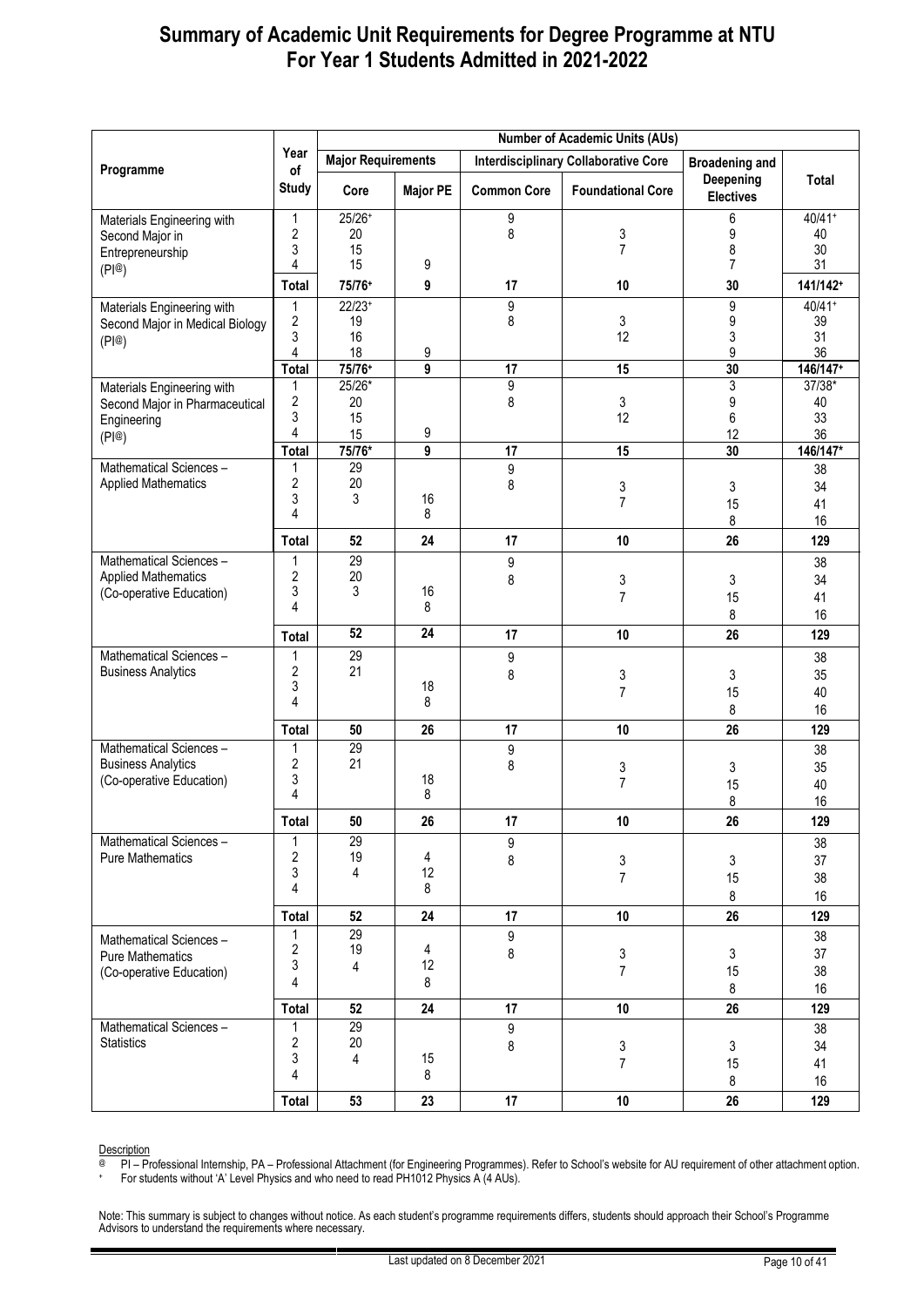|                                                                                      |                                        |                            |                 |                       | <b>Number of Academic Units (AUs)</b>       |                                 |                            |
|--------------------------------------------------------------------------------------|----------------------------------------|----------------------------|-----------------|-----------------------|---------------------------------------------|---------------------------------|----------------------------|
|                                                                                      | Year                                   | <b>Major Requirements</b>  |                 |                       | <b>Interdisciplinary Collaborative Core</b> | <b>Broadening and</b>           |                            |
| Programme                                                                            | of<br><b>Study</b>                     | Core                       | <b>Major PE</b> | <b>Common Core</b>    | <b>Foundational Core</b>                    | Deepening<br><b>Electives</b>   | <b>Total</b>               |
| Materials Engineering with<br>Second Major in<br>Entrepreneurship<br>(PI@)           | 1<br>2<br>3<br>4                       | $25/26+$<br>20<br>15<br>15 | 9               | 9<br>8                | 3<br>$\overline{7}$                         | 6<br>9<br>8<br>7                | $40/41+$<br>40<br>30<br>31 |
|                                                                                      | <b>Total</b>                           | 75/76+                     | 9               | 17                    | 10                                          | 30                              | 141/142+                   |
| Materials Engineering with<br>Second Major in Medical Biology<br>(PI@)               | 1<br>$\overline{2}$<br>3<br>4          | $22/23+$<br>19<br>16<br>18 | 9               | 9<br>8                | 3<br>12                                     | $\boldsymbol{9}$<br>9<br>3<br>9 | $40/41+$<br>39<br>31<br>36 |
|                                                                                      | <b>Total</b>                           | 75/76+<br>25/26*           | 9               | 17<br>9               | 15                                          | 30<br>3                         | 146/147+<br>37/38*         |
| Materials Engineering with<br>Second Major in Pharmaceutical<br>Engineering<br>(PI@) | 1<br>$\overline{\mathbf{c}}$<br>3<br>4 | 20<br>15<br>15             | 9               | 8                     | 3<br>12                                     | 9<br>6<br>12                    | 40<br>33<br>36             |
|                                                                                      | <b>Total</b>                           | 75/76*                     | 9               | 17                    | 15                                          | 30                              | 146/147*                   |
| Mathematical Sciences -<br><b>Applied Mathematics</b>                                | 1<br>2<br>3<br>4                       | 29<br>20<br>3              | 16<br>8         | 9<br>8                | 3<br>$\overline{7}$                         | 3<br>15<br>8                    | 38<br>34<br>41<br>16       |
|                                                                                      | <b>Total</b>                           | 52                         | 24              | 17                    | 10                                          | 26                              | 129                        |
| Mathematical Sciences-<br><b>Applied Mathematics</b><br>(Co-operative Education)     | 1<br>2<br>3<br>4                       | 29<br>20<br>3              | 16<br>8         | 9<br>8                | 3<br>$\overline{7}$                         | 3<br>15<br>8                    | 38<br>34<br>41<br>16       |
|                                                                                      | <b>Total</b>                           | $\overline{52}$            | 24              | 17                    | 10                                          | 26                              | 129                        |
| Mathematical Sciences-<br><b>Business Analytics</b>                                  | 1<br>2<br>3<br>4                       | 29<br>21                   | 18<br>8         | 9<br>8                | 3<br>$\overline{7}$                         | 3<br>15<br>8                    | 38<br>35<br>40<br>16       |
|                                                                                      | <b>Total</b>                           | 50                         | 26              | 17                    | 10                                          | 26                              | 129                        |
| Mathematical Sciences-<br><b>Business Analytics</b><br>(Co-operative Education)      | 1<br>2<br>3<br>4                       | 29<br>21                   | 18<br>8         | 9<br>8                | 3<br>$\overline{7}$                         | 3<br>15<br>8                    | 38<br>35<br>40<br>16       |
|                                                                                      | <b>Total</b>                           | ${\bf 50}$                 | 26              | 17                    | 10                                          | 26                              | 129                        |
| Mathematical Sciences-<br><b>Pure Mathematics</b>                                    | 1<br>2<br>3<br>4                       | 29<br>19<br>4              | 4<br>12<br>8    | 9<br>8                | 3<br>$\overline{7}$                         | 3<br>15<br>8                    | 38<br>37<br>38<br>16       |
|                                                                                      | Total                                  | 52                         | 24              | 17                    | 10                                          | 26                              | 129                        |
| Mathematical Sciences -<br><b>Pure Mathematics</b><br>(Co-operative Education)       | 1<br>2<br>3<br>4                       | 29<br>19<br>4              | 4<br>12<br>8    | $9\,$<br>8            | 3<br>$\overline{7}$                         | 3<br>15<br>8                    | 38<br>37<br>38<br>16       |
|                                                                                      | <b>Total</b>                           | 52                         | 24              | 17                    | 10                                          | 26                              | 129                        |
| Mathematical Sciences-<br><b>Statistics</b>                                          | 1<br>2<br>3<br>4                       | 29<br>$20\,$<br>4          | 15<br>8         | $\boldsymbol{9}$<br>8 | 3<br>$\overline{7}$                         | 3<br>15<br>8                    | 38<br>34<br>41<br>16       |
|                                                                                      | <b>Total</b>                           | 53                         | 23              | 17                    | 10                                          | 26                              | 129                        |

Description

@ PI – Professional Internship, PA – Professional Attachment (for Engineering Programmes). Refer to School's website for AU requirement of other attachment option.

+ For students without 'A' Level Physics and who need to read PH1012 Physics A (4 AUs).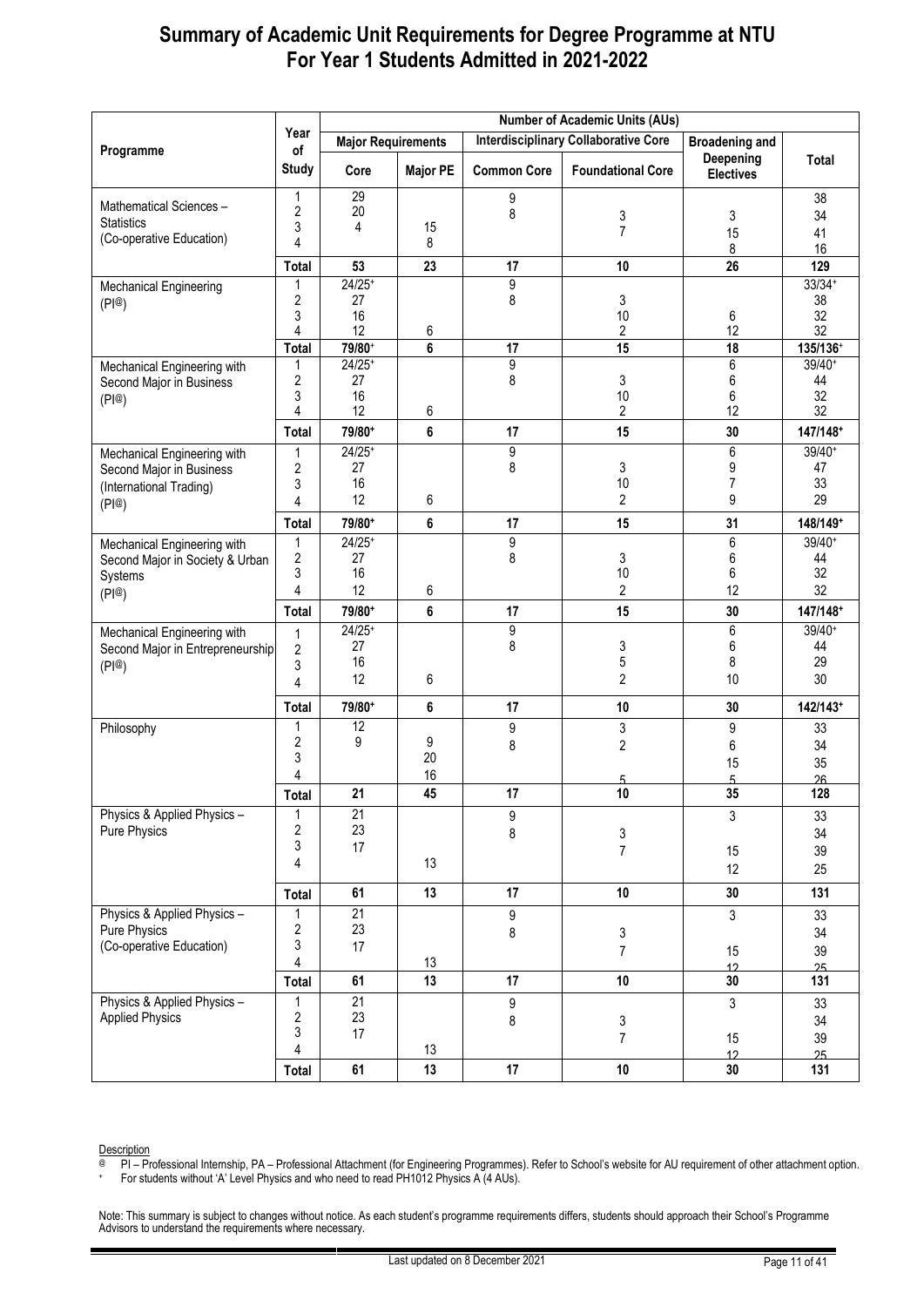|                                                                                             |                                                                | <b>Number of Academic Units (AUs)</b> |                 |                       |                                             |                               |                                      |  |  |  |
|---------------------------------------------------------------------------------------------|----------------------------------------------------------------|---------------------------------------|-----------------|-----------------------|---------------------------------------------|-------------------------------|--------------------------------------|--|--|--|
|                                                                                             | Year                                                           | <b>Major Requirements</b>             |                 |                       | <b>Interdisciplinary Collaborative Core</b> | <b>Broadening and</b>         |                                      |  |  |  |
| Programme                                                                                   | of<br><b>Study</b>                                             | Core                                  | <b>Major PE</b> | <b>Common Core</b>    | <b>Foundational Core</b>                    | Deepening<br><b>Electives</b> | Total                                |  |  |  |
| Mathematical Sciences-<br><b>Statistics</b><br>(Co-operative Education)                     | 1<br>$\overline{\mathbf{c}}$<br>3                              | 29<br>20<br>4                         | 15              | 9<br>8                | 3<br>$\overline{7}$                         | 3<br>15                       | 38<br>34<br>41                       |  |  |  |
|                                                                                             | 4                                                              |                                       | 8               |                       |                                             | 8                             | 16                                   |  |  |  |
|                                                                                             | <b>Total</b><br>1                                              | 53<br>$24/25+$                        | 23              | 17<br>$\overline{9}$  | 10                                          | 26                            | 129<br>$33/34+$                      |  |  |  |
| Mechanical Engineering<br>(P @)                                                             | $\overline{2}$<br>3<br>4                                       | 27<br>16<br>12                        | 6               | 8                     | 3<br>10<br>2                                | 6<br>12                       | 38<br>32<br>32                       |  |  |  |
|                                                                                             | <b>Total</b>                                                   | 79/80+                                | 6               | 17                    | 15                                          | $\overline{18}$               | 135/136+                             |  |  |  |
| Mechanical Engineering with<br>Second Major in Business<br>(P @)                            | 1<br>$\overline{\mathbf{c}}$<br>3<br>4                         | $24/25+$<br>27<br>16<br>12            | 6               | 9<br>8                | 3<br>10<br>2                                | 6<br>6<br>6<br>12             | $39/40+$<br>44<br>32<br>32           |  |  |  |
|                                                                                             | Total                                                          | 79/80+                                | 6               | 17                    | 15                                          | 30                            | 147/148+                             |  |  |  |
| Mechanical Engineering with<br>Second Major in Business<br>(International Trading)<br>(P @) | 1<br>$\overline{\mathbf{c}}$<br>3<br>4                         | $24/25+$<br>27<br>16<br>12            | 6               | 9<br>8                | 3<br>10<br>$\overline{2}$                   | 6<br>9<br>7<br>9              | 39/40+<br>47<br>33<br>29             |  |  |  |
|                                                                                             | Total                                                          | 79/80+                                | 6               | 17                    | 15                                          | 31                            | 148/149+                             |  |  |  |
| Mechanical Engineering with<br>Second Major in Society & Urban<br>Systems<br>(P @)          | 1<br>$\overline{\mathbf{c}}$<br>3<br>$\overline{4}$            | $24/25+$<br>27<br>16<br>12<br>79/80+  | 6<br>6          | 9<br>8<br>17          | 3<br>10<br>$\overline{c}$<br>15             | 6<br>6<br>6<br>12<br>30       | 39/40+<br>44<br>32<br>32<br>147/148+ |  |  |  |
| Mechanical Engineering with                                                                 | Total                                                          | $24/25+$                              |                 | 9                     |                                             | 6                             | 39/40+                               |  |  |  |
| Second Major in Entrepreneurship<br>(PI@)                                                   | 1<br>$\overline{2}$<br>3<br>$\overline{4}$                     | 27<br>16<br>12                        | 6               | 8                     | 3<br>5<br>$\overline{2}$                    | 6<br>8<br>10                  | 44<br>29<br>30                       |  |  |  |
|                                                                                             | Total                                                          | 79/80+                                | 6               | 17                    | 10                                          | 30                            | 142/143+                             |  |  |  |
| Philosophy                                                                                  | 1<br>$\overline{\mathbf{c}}$<br>3<br>4                         | 12<br>9                               | 9<br>20<br>16   | 9<br>8                | 3<br>$\mathbf{2}$<br>5                      | 9<br>6<br>15<br>5             | 33<br>34<br>35<br>26                 |  |  |  |
|                                                                                             | <b>Total</b>                                                   | 21                                    | 45              | 17                    | 10                                          | 35                            | 128                                  |  |  |  |
| Physics & Applied Physics -<br>Pure Physics                                                 | 1<br>$\overline{\mathbf{c}}$<br>3<br>4                         | $\overline{21}$<br>23<br>17           | 13              | 9<br>8                | 3<br>$\overline{7}$                         | 3<br>15<br>12                 | 33<br>34<br>39<br>25                 |  |  |  |
|                                                                                             | <b>Total</b>                                                   | 61                                    | 13              | 17                    | 10                                          | 30                            | 131                                  |  |  |  |
| Physics & Applied Physics -<br>Pure Physics<br>(Co-operative Education)                     | 1<br>$\boldsymbol{2}$<br>3<br>$\overline{\mathbf{r}}$<br>Total | $\overline{21}$<br>23<br>17<br>61     | 13<br>13        | 9<br>8<br>17          | 3<br>$\overline{7}$<br>10                   | 3<br>15<br>12<br>30           | 33<br>34<br>39<br>25<br>131          |  |  |  |
| Physics & Applied Physics -<br><b>Applied Physics</b>                                       | 1<br>$\overline{\mathbf{c}}$<br>3<br>$\overline{\mathbf{r}}$   | 21<br>23<br>17                        | 13              | $\boldsymbol{9}$<br>8 | 3<br>$\overline{7}$                         | 3<br>15<br>12                 | 33<br>34<br>39<br>25                 |  |  |  |
|                                                                                             | Total                                                          | 61                                    | 13              | 17                    | 10                                          | 30                            | 131                                  |  |  |  |

Description

@ PI – Professional Internship, PA – Professional Attachment (for Engineering Programmes). Refer to School's website for AU requirement of other attachment option.

+ For students without 'A' Level Physics and who need to read PH1012 Physics A (4 AUs).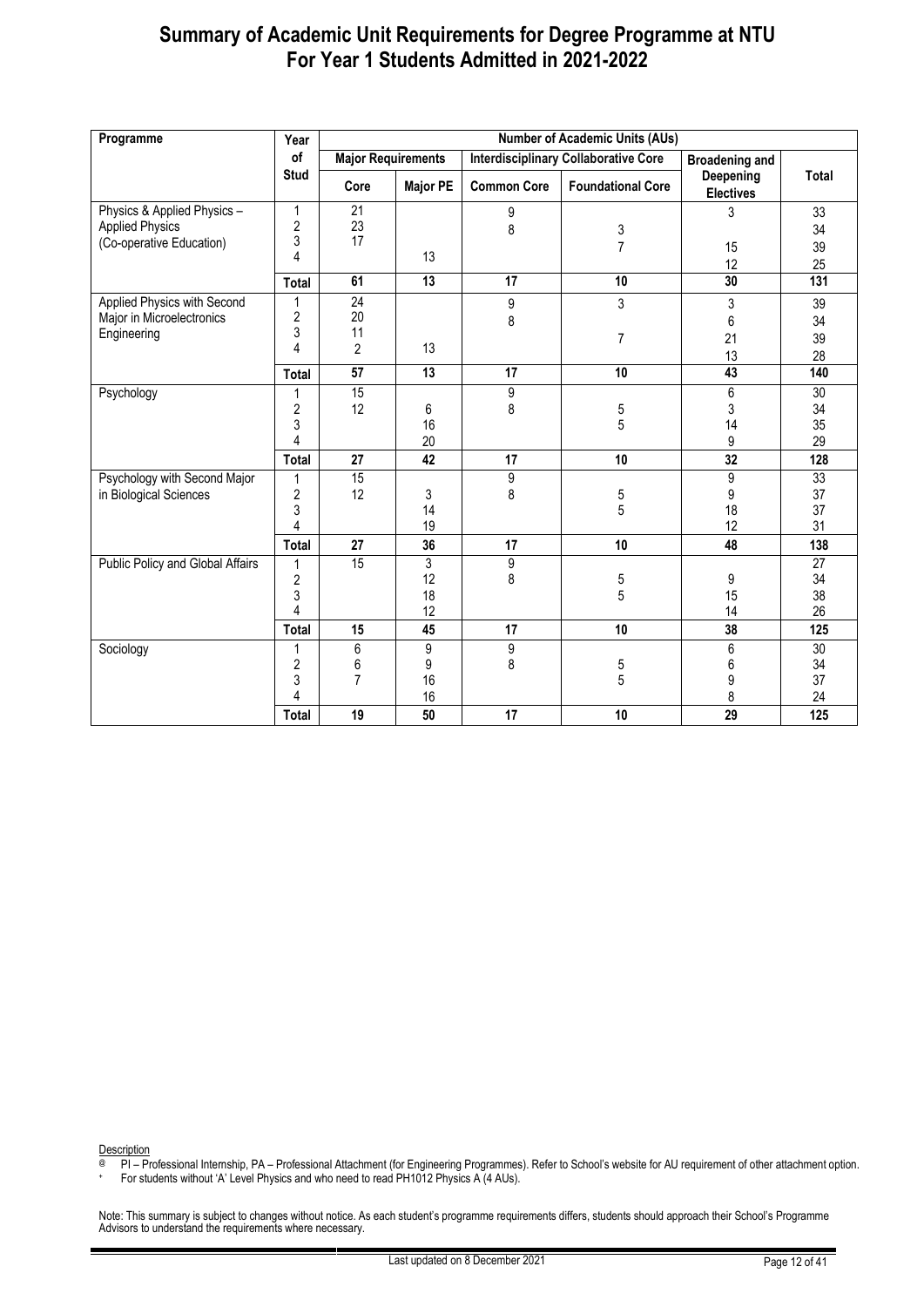| Programme                        | Year                    | <b>Number of Academic Units (AUs)</b> |                 |                    |                                             |                               |              |  |  |
|----------------------------------|-------------------------|---------------------------------------|-----------------|--------------------|---------------------------------------------|-------------------------------|--------------|--|--|
|                                  | of                      | <b>Major Requirements</b>             |                 |                    | <b>Interdisciplinary Collaborative Core</b> | <b>Broadening and</b>         |              |  |  |
|                                  | <b>Stud</b>             | Core                                  | <b>Major PE</b> | <b>Common Core</b> | <b>Foundational Core</b>                    | Deepening<br><b>Electives</b> | <b>Total</b> |  |  |
| Physics & Applied Physics -      | $\mathbf{1}$            | 21                                    |                 | 9                  |                                             | 3                             | 33           |  |  |
| <b>Applied Physics</b>           | $\overline{\mathbf{c}}$ | 23                                    |                 | 8                  | 3                                           |                               | 34           |  |  |
| (Co-operative Education)         | 3                       | 17                                    |                 |                    | $\overline{7}$                              | 15                            | 39           |  |  |
|                                  | 4                       |                                       | 13              |                    |                                             | 12                            | 25           |  |  |
|                                  | Total                   | 61                                    | 13              | 17                 | 10                                          | 30                            | 131          |  |  |
| Applied Physics with Second      | 1                       | $\overline{24}$                       |                 | 9                  | 3                                           | 3                             | 39           |  |  |
| Major in Microelectronics        | $\overline{\mathbf{c}}$ | 20                                    |                 | 8                  |                                             | 6                             | 34           |  |  |
| Engineering                      | 3                       | 11                                    |                 |                    | 7                                           | 21                            | 39           |  |  |
|                                  | 4                       | 2                                     | 13              |                    |                                             | 13                            | 28           |  |  |
|                                  | Total                   | $\overline{57}$                       | $\overline{13}$ | $\overline{17}$    | 10                                          | 43                            | 140          |  |  |
| Psychology                       | 1                       | 15                                    |                 | 9                  |                                             | 6                             | 30           |  |  |
|                                  | $\overline{\mathbf{c}}$ | 12                                    | 6               | 8                  | $\frac{5}{5}$                               | 3                             | 34           |  |  |
|                                  | 3                       |                                       | 16              |                    |                                             | 14                            | 35           |  |  |
|                                  | 4                       |                                       | 20              |                    |                                             | 9                             | 29           |  |  |
|                                  | Total                   | 27                                    | 42              | 17                 | 10                                          | 32                            | 128          |  |  |
| Psychology with Second Major     | 1                       | 15                                    |                 | 9                  |                                             | 9                             | 33           |  |  |
| in Biological Sciences           | $\overline{c}$          | 12                                    | 3               | 8                  | 5                                           | 9                             | 37           |  |  |
|                                  | 3                       |                                       | 14              |                    | 5                                           | 18                            | 37           |  |  |
|                                  | 4                       |                                       | 19              |                    |                                             | 12                            | 31           |  |  |
|                                  | Total                   | 27                                    | 36              | 17                 | 10                                          | 48                            | 138          |  |  |
| Public Policy and Global Affairs | 1                       | 15                                    | 3               | 9                  |                                             |                               | 27           |  |  |
|                                  | $\overline{c}$          |                                       | 12              | 8                  | 5                                           | 9                             | 34           |  |  |
|                                  | 3<br>4                  |                                       | 18              |                    | 5                                           | 15                            | 38           |  |  |
|                                  |                         |                                       | 12              |                    |                                             | 14                            | 26           |  |  |
|                                  | <b>Total</b>            | 15                                    | 45              | 17                 | 10                                          | 38                            | 125          |  |  |
| Sociology                        | 1                       | 6                                     | 9               | $\overline{9}$     |                                             | 6                             | 30           |  |  |
|                                  | $\overline{c}$          | 6<br>7                                | 9               | 8                  | 5<br>5                                      | 6                             | 34<br>37     |  |  |
|                                  | 3<br>4                  |                                       | 16<br>16        |                    |                                             | 9<br>8                        | 24           |  |  |
|                                  |                         |                                       |                 |                    |                                             |                               |              |  |  |
|                                  | Total                   | 19                                    | 50              | 17                 | 10                                          | 29                            | 125          |  |  |

Description

@ PI – Professional Internship, PA – Professional Attachment (for Engineering Programmes). Refer to School's website for AU requirement of other attachment option.

+ For students without 'A' Level Physics and who need to read PH1012 Physics A (4 AUs).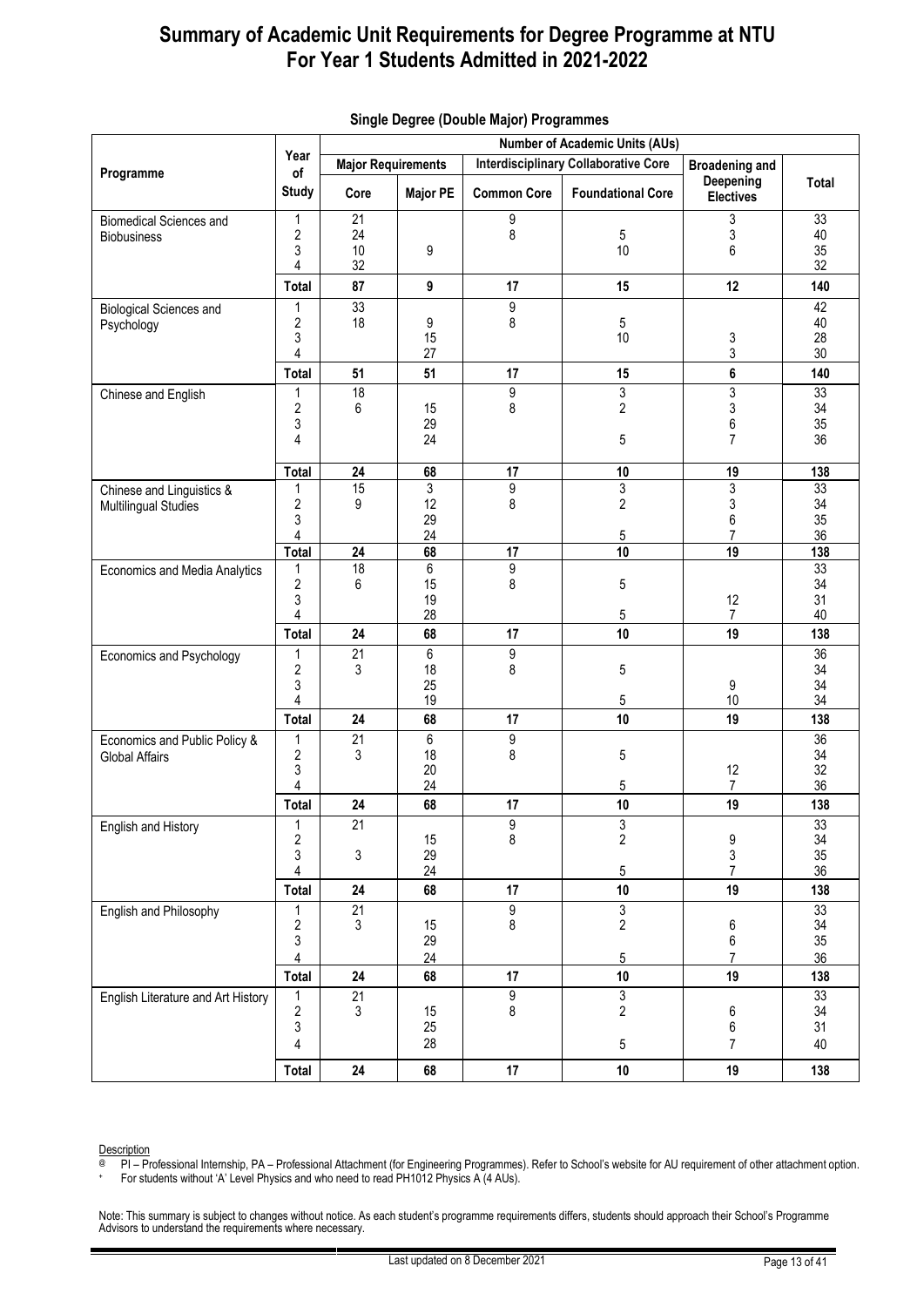|                                              | Year                |                           |                 |                    | <b>Number of Academic Units (AUs)</b>       |                               |              |  |  |  |
|----------------------------------------------|---------------------|---------------------------|-----------------|--------------------|---------------------------------------------|-------------------------------|--------------|--|--|--|
| Programme                                    | of                  | <b>Major Requirements</b> |                 |                    | <b>Interdisciplinary Collaborative Core</b> | <b>Broadening and</b>         |              |  |  |  |
|                                              | <b>Study</b>        | Core                      | <b>Major PE</b> | <b>Common Core</b> | <b>Foundational Core</b>                    | Deepening<br><b>Electives</b> | <b>Total</b> |  |  |  |
| <b>Biomedical Sciences and</b>               | 1                   | 21                        |                 | 9                  |                                             | 3                             | 33           |  |  |  |
| <b>Biobusiness</b>                           | $\mathbf{2}$        | 24                        |                 | 8                  | $5\,$                                       | 3                             | 40           |  |  |  |
|                                              | 3                   | 10                        | 9               |                    | 10                                          | 6                             | 35           |  |  |  |
|                                              | 4                   | 32                        | 9               |                    | 15                                          | 12                            | 32           |  |  |  |
|                                              | <b>Total</b>        | 87<br>33                  |                 | 17                 |                                             |                               | 140<br>42    |  |  |  |
| <b>Biological Sciences and</b><br>Psychology | 1<br>$\overline{2}$ | 18                        | 9               | 9<br>8             | 5                                           |                               | 40           |  |  |  |
|                                              | 3                   |                           | 15              |                    | 10                                          | 3                             | 28           |  |  |  |
|                                              | 4                   |                           | 27              |                    |                                             | 3                             | 30           |  |  |  |
|                                              | Total               | 51                        | 51              | 17                 | 15                                          | 6                             | 140          |  |  |  |
| Chinese and English                          | 1                   | $\overline{18}$           |                 | $\overline{9}$     | $\overline{3}$                              | $\overline{3}$                | 33           |  |  |  |
|                                              | $\overline{2}$<br>3 | 6                         | 15<br>29        | 8                  | $\overline{2}$                              | 3                             | $34\,$<br>35 |  |  |  |
|                                              | 4                   |                           | 24              |                    | $5\phantom{.0}$                             | 6<br>$\overline{7}$           | 36           |  |  |  |
|                                              |                     |                           |                 |                    |                                             |                               |              |  |  |  |
|                                              | <b>Total</b>        | 24                        | 68              | 17                 | $10\,$                                      | 19                            | 138          |  |  |  |
| Chinese and Linguistics &                    | 1                   | 15                        | 3               | 9                  | $\mathfrak{Z}$                              | 3                             | 33           |  |  |  |
| <b>Multilingual Studies</b>                  | 2<br>3              | 9                         | 12<br>29        | 8                  | $\overline{2}$                              | 3<br>6                        | 34<br>35     |  |  |  |
|                                              | 4                   |                           | 24              |                    | 5                                           | $\overline{7}$                | 36           |  |  |  |
|                                              | <b>Total</b>        | 24                        | 68              | 17                 | 10                                          | 19                            | 138          |  |  |  |
| Economics and Media Analytics                | 1                   | $\overline{18}$           | 6               | $\overline{9}$     |                                             |                               | 33           |  |  |  |
|                                              | $\overline{2}$      | 6                         | 15              | 8                  | 5                                           |                               | 34           |  |  |  |
|                                              | 3                   |                           | 19              |                    |                                             | 12                            | 31           |  |  |  |
|                                              | 4<br><b>Total</b>   | 24                        | 28<br>68        | 17                 | $5\phantom{.0}$<br>10                       | $\overline{7}$<br>19          | 40<br>138    |  |  |  |
| Economics and Psychology                     | 1                   | 21                        | 6               | $\overline{9}$     |                                             |                               | 36           |  |  |  |
|                                              | 2                   | 3                         | 18              | 8                  | 5                                           |                               | 34           |  |  |  |
|                                              | 3                   |                           | 25              |                    |                                             | 9                             | 34           |  |  |  |
|                                              | $\overline{4}$      |                           | 19              |                    | $5\phantom{.0}$                             | 10                            | 34           |  |  |  |
|                                              | <b>Total</b>        | 24                        | 68              | 17                 | 10                                          | 19                            | 138          |  |  |  |
| Economics and Public Policy &                | 1                   | $\overline{21}$           | 6               | $\overline{9}$     |                                             |                               | 36           |  |  |  |
| <b>Global Affairs</b>                        | $\overline{c}$<br>3 | 3                         | 18<br>20        | 8                  | $5\,$                                       | 12                            | 34<br>32     |  |  |  |
|                                              | $\overline{4}$      |                           | 24              |                    | 5                                           | 7                             | 36           |  |  |  |
|                                              | <b>Total</b>        | 24                        | 68              | 17                 | $10\,$                                      | 19                            | 138          |  |  |  |
| English and History                          | 1                   | 21                        |                 | 9<br>8             | $\frac{3}{2}$                               |                               | 33           |  |  |  |
|                                              | 2                   |                           | 15              |                    |                                             | 9                             | 34           |  |  |  |
|                                              | 3<br>4              | 3                         | 29<br>24        |                    | 5                                           | $\mathfrak{S}$<br>7           | 35<br>36     |  |  |  |
|                                              | <b>Total</b>        | 24                        | 68              | 17                 | $10\,$                                      | 19                            | 138          |  |  |  |
| English and Philosophy                       | 1                   | 21                        |                 | $\overline{9}$     | $\mathfrak{S}$                              |                               | 33           |  |  |  |
|                                              | 2                   | 3                         | 15              | 8                  | $\overline{2}$                              | 6                             | $34\,$       |  |  |  |
|                                              | 3                   |                           | 29              |                    |                                             | 6                             | 35           |  |  |  |
|                                              | 4                   |                           | 24              |                    | $5\phantom{.0}$                             | $\overline{7}$                | 36           |  |  |  |
|                                              | <b>Total</b>        | 24                        | 68              | 17                 | $10\,$                                      | 19                            | 138<br>33    |  |  |  |
| English Literature and Art History           | 1<br>2              | 21<br>3                   | 15              | 9<br>8             | $\overline{3}$<br>$\overline{2}$            | 6                             | 34           |  |  |  |
|                                              | 3                   |                           | 25              |                    |                                             | $\,6$                         | 31           |  |  |  |
|                                              | 4                   |                           | 28              |                    | $5\,$                                       | $\overline{7}$                | 40           |  |  |  |
|                                              | <b>Total</b>        | 24                        | 68              | 17                 | $10\,$                                      | 19                            | 138          |  |  |  |

#### <span id="page-12-0"></span>**Single Degree (Double Major) Programmes**

@ PI – Professional Internship, PA – Professional Attachment (for Engineering Programmes). Refer to School's website for AU requirement of other attachment option.

+ For students without 'A' Level Physics and who need to read PH1012 Physics A (4 AUs).

**Description**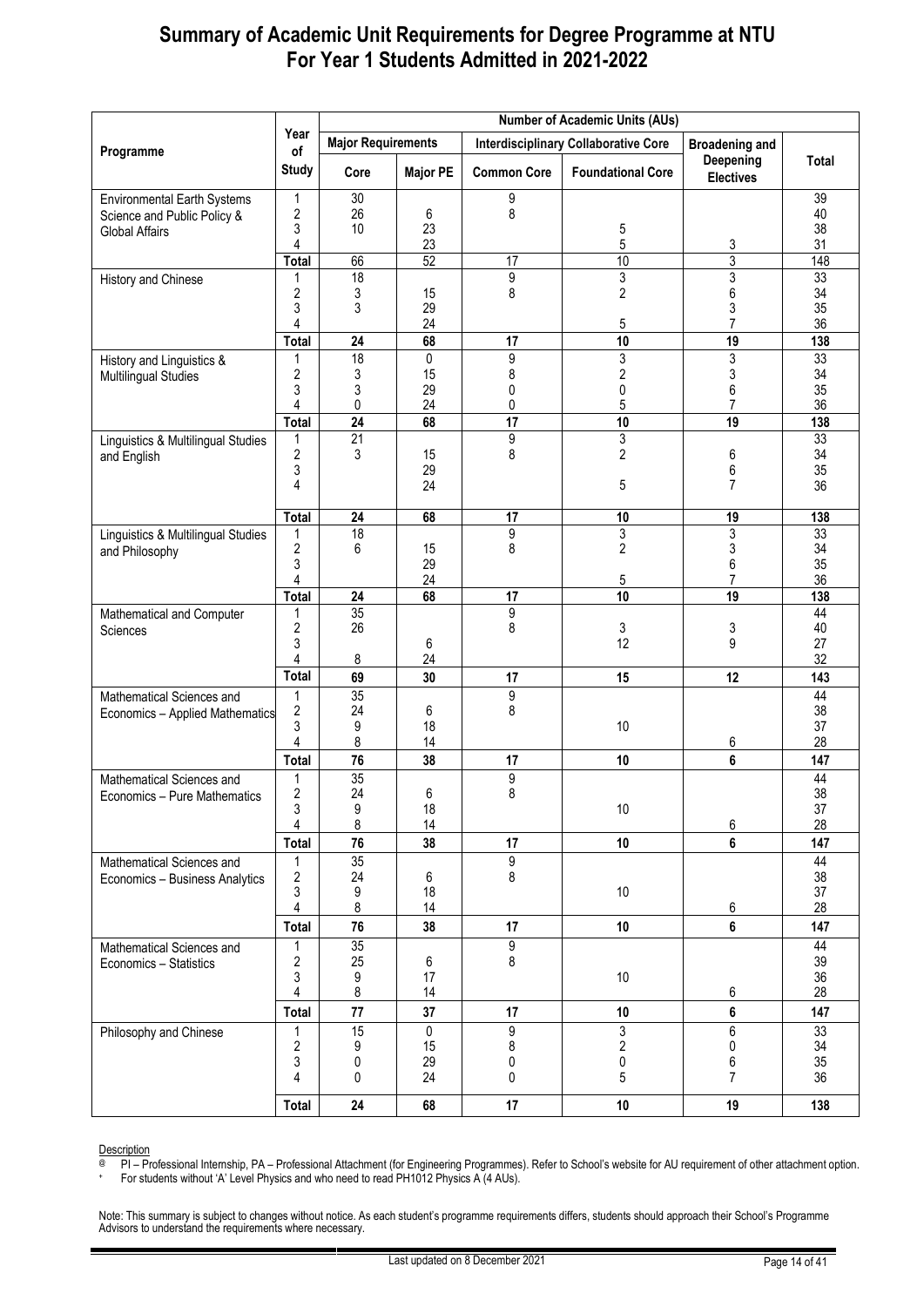|                                    |                              |                           |                 |                    | <b>Number of Academic Units (AUs)</b>       |                               |          |
|------------------------------------|------------------------------|---------------------------|-----------------|--------------------|---------------------------------------------|-------------------------------|----------|
| Programme                          | Year<br>of                   | <b>Major Requirements</b> |                 |                    | <b>Interdisciplinary Collaborative Core</b> | <b>Broadening and</b>         |          |
|                                    | <b>Study</b>                 | Core                      | <b>Major PE</b> | <b>Common Core</b> | <b>Foundational Core</b>                    | Deepening<br><b>Electives</b> | Total    |
| <b>Environmental Earth Systems</b> | 1                            | 30                        |                 | 9                  |                                             |                               | 39       |
| Science and Public Policy &        | $\overline{2}$<br>3          | 26<br>10                  | 6<br>23         | 8                  | $\mathbf 5$                                 |                               | 40<br>38 |
| Global Affairs                     | 4                            |                           | 23              |                    | $5\,$                                       | 3                             | 31       |
|                                    | <b>Total</b>                 | 66                        | 52              | 17                 | 10                                          | $\overline{3}$                | 148      |
| History and Chinese                | 1                            | 18                        |                 | 9                  | 3                                           | 3                             | 33       |
|                                    | $\overline{c}$<br>3          | 3<br>3                    | 15<br>29        | 8                  | $\overline{c}$                              | 6<br>3                        | 34<br>35 |
|                                    | 4                            |                           | 24              |                    | 5                                           | 7                             | 36       |
|                                    | <b>Total</b>                 | 24                        | 68              | 17                 | 10                                          | 19                            | 138      |
| History and Linguistics &          | 1                            | 18                        | $\overline{0}$  | 9                  | $\overline{3}$                              | $\overline{3}$                | 33       |
| <b>Multilingual Studies</b>        | 2<br>3                       | 3<br>3                    | 15<br>29        | 8<br>0             | $\sqrt{2}$<br>$\pmb{0}$                     | 3<br>6                        | 34<br>35 |
|                                    | 4                            | 0                         | 24              | 0                  | 5                                           | $\overline{7}$                | 36       |
|                                    | <b>Total</b>                 | 24                        | 68              | 17                 | 10                                          | 19                            | 138      |
| Linguistics & Multilingual Studies | 1                            | 21                        |                 | 9                  | 3                                           |                               | 33       |
| and English                        | $\overline{c}$<br>3          | 3                         | 15<br>29        | 8                  | $\overline{2}$                              | 6<br>6                        | 34<br>35 |
|                                    | 4                            |                           | 24              |                    | 5                                           | 7                             | 36       |
|                                    | Total                        | 24                        | 68              | 17                 | $10$                                        | 19                            | 138      |
| Linguistics & Multilingual Studies | 1                            | 18                        |                 | 9                  | 3                                           | 3                             | 33       |
| and Philosophy                     | 2<br>3                       | 6                         | 15<br>29        | 8                  | $\overline{c}$                              | 3<br>6                        | 34<br>35 |
|                                    | 4                            |                           | 24              |                    | 5                                           | $\overline{7}$                | 36       |
|                                    | <b>Total</b>                 | 24                        | 68              | 17                 | 10                                          | $\overline{19}$               | 138      |
| Mathematical and Computer          | 1<br>$\overline{c}$          | 35<br>26                  |                 | 9                  |                                             |                               | 44<br>40 |
| Sciences                           | 3                            |                           | 6               | 8                  | 3<br>12                                     | 3<br>9                        | 27       |
|                                    | 4                            | 8                         | 24              |                    |                                             |                               | 32       |
|                                    | <b>Total</b>                 | 69                        | 30              | 17                 | 15                                          | 12                            | 143      |
| Mathematical Sciences and          | 1                            | 35                        |                 | 9                  |                                             |                               | 44       |
| Economics - Applied Mathematics    | $\overline{\mathbf{c}}$<br>3 | 24<br>9                   | 6<br>18         | 8                  | 10                                          |                               | 38<br>37 |
|                                    | 4                            | 8                         | 14              |                    |                                             | 6                             | 28       |
|                                    | <b>Total</b>                 | 76                        | 38              | 17                 | 10                                          | 6                             | 147      |
| Mathematical Sciences and          |                              | 35                        |                 | 9                  |                                             |                               | 44       |
| Economics - Pure Mathematics       | 2<br>3                       | 24<br>9                   | 6<br>18         | 8                  | $10\,$                                      |                               | 38<br>37 |
|                                    | $\overline{4}$               | 8                         | 14              |                    |                                             | 6                             | 28       |
|                                    | <b>Total</b>                 | $\overline{76}$           | 38              | 17                 | 10                                          | $\bf 6$                       | 147      |
| Mathematical Sciences and          | 1                            | 35                        |                 | $\overline{9}$     |                                             |                               | 44       |
| Economics - Business Analytics     | 2<br>3                       | 24<br>9                   | 6<br>18         | 8                  | 10                                          |                               | 38<br>37 |
|                                    | $\overline{4}$               | 8                         | 14              |                    |                                             | 6                             | 28       |
|                                    | <b>Total</b>                 | 76                        | 38              | 17                 | 10                                          | $\bf 6$                       | 147      |
| Mathematical Sciences and          |                              | 35                        |                 | $\overline{9}$     |                                             |                               | 44       |
| Economics - Statistics             | 2<br>3                       | 25<br>9                   | $\,6\,$<br>17   | 8                  | 10                                          |                               | 39<br>36 |
|                                    | $\overline{4}$               | 8                         | 14              |                    |                                             | 6                             | 28       |
|                                    | <b>Total</b>                 | 77                        | 37              | 17                 | 10                                          | $\bf 6$                       | 147      |
| Philosophy and Chinese             | 1<br>2                       | 15<br>9                   | 0<br>15         | 9<br>8             | 3<br>$\overline{\mathbf{c}}$                | $6\overline{6}$<br>$\pmb{0}$  | 33<br>34 |
|                                    | 3                            | 0                         | 29              | 0                  | 0                                           | 6                             | 35       |
|                                    | 4                            | 0                         | 24              | 0                  | 5                                           | $\overline{7}$                | 36       |
|                                    | Total                        | 24                        | 68              | 17                 | 10                                          | 19                            | 138      |

Description

@ PI – Professional Internship, PA – Professional Attachment (for Engineering Programmes). Refer to School's website for AU requirement of other attachment option.

+ For students without 'A' Level Physics and who need to read PH1012 Physics A (4 AUs).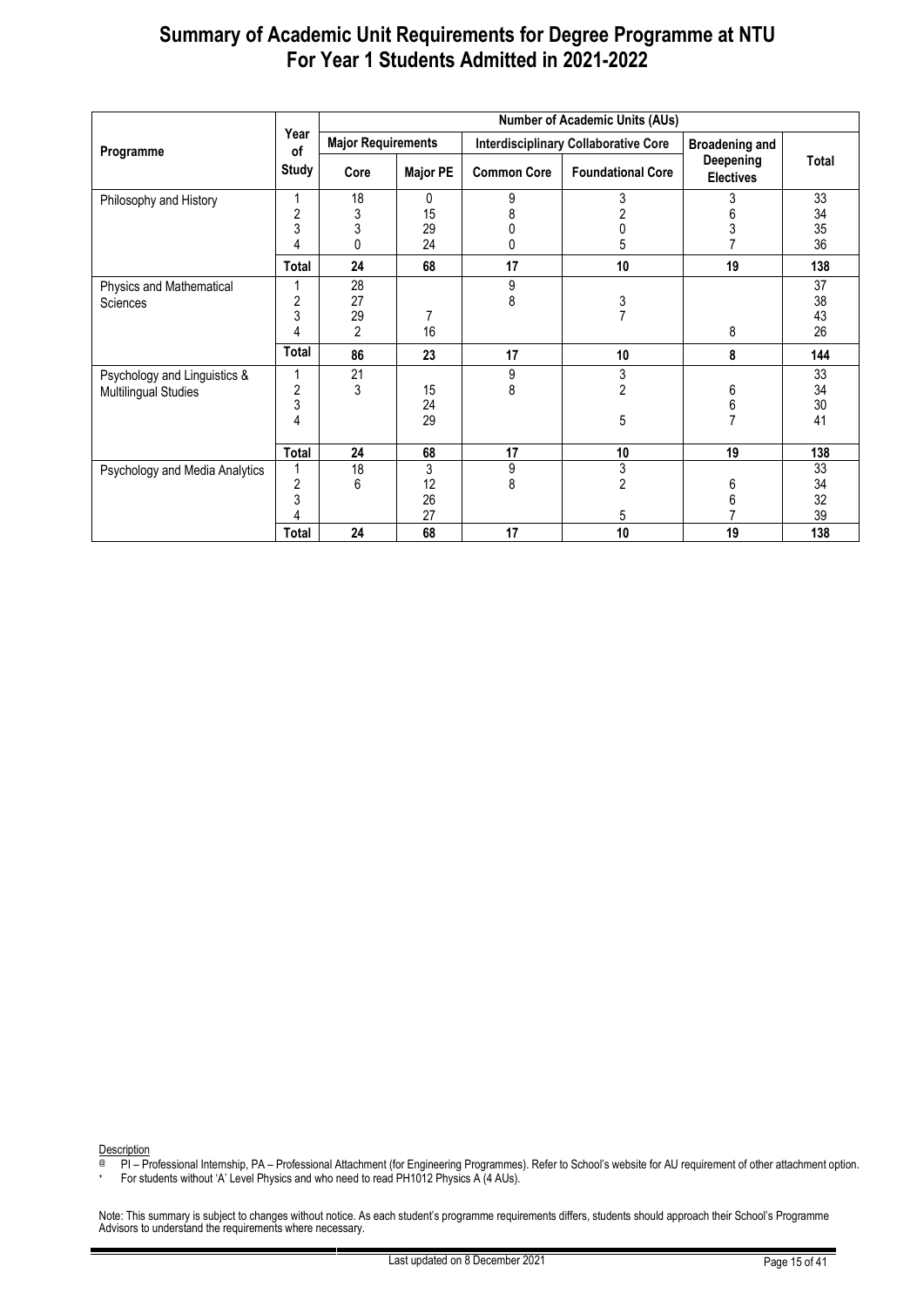|                                |                | <b>Number of Academic Units (AUs)</b> |                 |                    |                                             |                               |       |  |  |  |
|--------------------------------|----------------|---------------------------------------|-----------------|--------------------|---------------------------------------------|-------------------------------|-------|--|--|--|
| Programme                      | Year<br>of     | <b>Major Requirements</b>             |                 |                    | <b>Interdisciplinary Collaborative Core</b> | <b>Broadening and</b>         |       |  |  |  |
|                                | <b>Study</b>   | Core                                  | <b>Major PE</b> | <b>Common Core</b> | <b>Foundational Core</b>                    | Deepening<br><b>Electives</b> | Total |  |  |  |
| Philosophy and History         |                | 18                                    | 0               | 9                  | 3                                           | 3                             | 33    |  |  |  |
|                                | $\overline{c}$ | 3                                     | 15              | 8                  |                                             | 6                             | 34    |  |  |  |
|                                | 3              | 3                                     | 29              |                    |                                             | 3                             | 35    |  |  |  |
|                                | 4              | 0                                     | 24              | 0                  | 5                                           |                               | 36    |  |  |  |
|                                | Total          | 24                                    | 68              | 17                 | 10                                          | 19                            | 138   |  |  |  |
| Physics and Mathematical       |                | 28                                    |                 | 9                  |                                             |                               | 37    |  |  |  |
| <b>Sciences</b>                | 2              | 27                                    |                 | 8                  | 3                                           |                               | 38    |  |  |  |
|                                | 3              | 29                                    |                 |                    | $\overline{7}$                              |                               | 43    |  |  |  |
|                                | 4              | $\mathfrak{p}$                        | 16              |                    |                                             | 8                             | 26    |  |  |  |
|                                | <b>Total</b>   | 86                                    | 23              | 17                 | 10                                          | 8                             | 144   |  |  |  |
| Psychology and Linguistics &   |                | 21                                    |                 | 9                  | 3                                           |                               | 33    |  |  |  |
| <b>Multilingual Studies</b>    | $\overline{c}$ | 3                                     | 15              | 8                  | $\overline{2}$                              | 6                             | 34    |  |  |  |
|                                | 3              |                                       | 24              |                    |                                             | 6                             | 30    |  |  |  |
|                                | 4              |                                       | 29              |                    | 5                                           |                               | 41    |  |  |  |
|                                |                |                                       |                 |                    |                                             |                               |       |  |  |  |
|                                | Total          | 24                                    | 68              | 17                 | 10                                          | 19                            | 138   |  |  |  |
| Psychology and Media Analytics |                | 18                                    | 3               | 9                  | 3                                           |                               | 33    |  |  |  |
|                                | $\overline{c}$ | 6                                     | 12              | 8                  | $\overline{2}$                              | 6                             | 34    |  |  |  |
|                                | 3              |                                       | 26              |                    |                                             | 6                             | 32    |  |  |  |
|                                | 4              |                                       | 27              |                    | 5                                           |                               | 39    |  |  |  |
|                                | Total          | 24                                    | 68              | 17                 | 10                                          | 19                            | 138   |  |  |  |

Description

@ PI – Professional Internship, PA – Professional Attachment (for Engineering Programmes). Refer to School's website for AU requirement of other attachment option.

+ For students without 'A' Level Physics and who need to read PH1012 Physics A (4 AUs).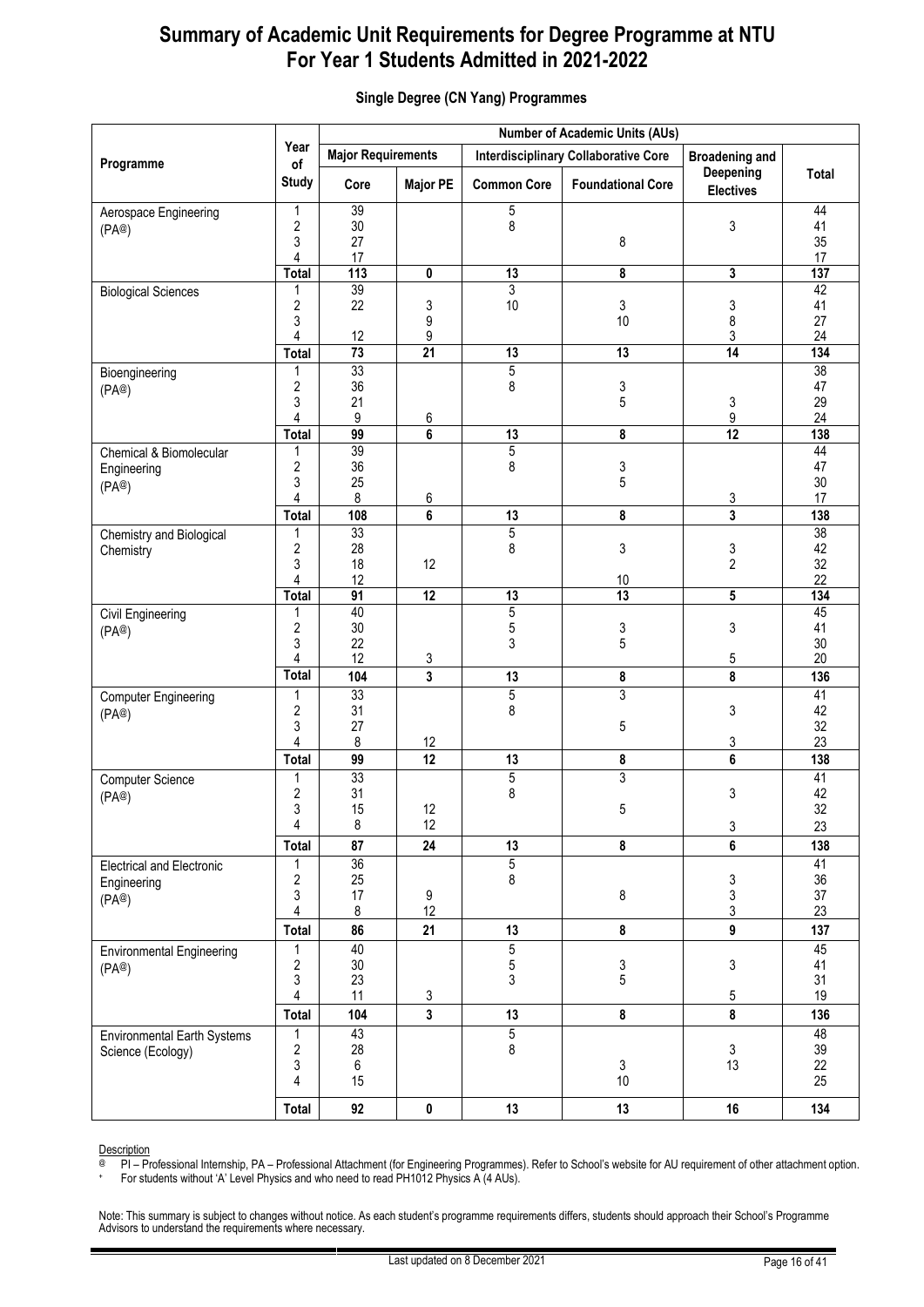|                                                          |                                        |                           |                         |                          | <b>Number of Academic Units (AUs)</b>       |                               |                                   |
|----------------------------------------------------------|----------------------------------------|---------------------------|-------------------------|--------------------------|---------------------------------------------|-------------------------------|-----------------------------------|
|                                                          | Year<br>of                             | <b>Major Requirements</b> |                         |                          | <b>Interdisciplinary Collaborative Core</b> | <b>Broadening and</b>         |                                   |
| Programme                                                | <b>Study</b>                           | Core                      | <b>Major PE</b>         | <b>Common Core</b>       | <b>Foundational Core</b>                    | Deepening<br><b>Electives</b> | Total                             |
| Aerospace Engineering<br>(PA@)                           | 1<br>$\overline{\mathbf{c}}$<br>3<br>4 | 39<br>$30\,$<br>27<br>17  |                         | 5<br>8                   | 8                                           | 3                             | 44<br>41<br>35<br>17              |
|                                                          | <b>Total</b>                           | $\frac{1}{113}$           | 0                       | 13                       | 8                                           | 3                             | 137                               |
| <b>Biological Sciences</b>                               | 1<br>$\overline{2}$<br>3<br>4          | 39<br>22<br>12            | 3<br>9<br>9             | $\overline{3}$<br>10     | 3<br>10                                     | 3<br>8<br>3                   | 42<br>41<br>27<br>24              |
|                                                          | <b>Total</b>                           | 73                        | $\overline{21}$         | 13                       | $\overline{13}$                             | $\overline{14}$               | 134                               |
| Bioengineering<br>(PA@)                                  | 1<br>$\overline{2}$<br>3<br>4          | 33<br>36<br>21<br>9       | 6                       | $\overline{5}$<br>8      | 3<br>5                                      | 3<br>9                        | 38<br>47<br>29<br>24              |
|                                                          | <b>Total</b>                           | 99<br>39                  | 6                       | 13                       | 8                                           | $\overline{12}$               | 138                               |
| Chemical & Biomolecular<br>Engineering<br>(PA@)          | 1<br>2<br>3<br>4                       | 36<br>25<br>8             | 6                       | $\overline{5}$<br>8      | 3<br>5                                      | 3                             | 44<br>47<br>30<br>17              |
|                                                          | <b>Total</b>                           | 108                       | 6                       | 13                       | 8                                           | 3                             | 138                               |
| Chemistry and Biological<br>Chemistry                    | 1<br>$\overline{\mathbf{c}}$<br>3<br>4 | 33<br>28<br>18<br>12      | 12                      | $\overline{5}$<br>8      | 3<br>10                                     | 3<br>$\overline{2}$           | $\overline{38}$<br>42<br>32<br>22 |
|                                                          | <b>Total</b>                           | $\overline{91}$           | $\overline{12}$         | 13                       | $\overline{13}$                             | 5                             | 134                               |
| Civil Engineering<br>(PA@)                               | 1<br>$\sqrt{2}$<br>3<br>4              | 40<br>30<br>22<br>12      | 3                       | 5<br>5<br>3              | 3<br>5                                      | 3<br>5                        | 45<br>41<br>30<br>20              |
|                                                          | <b>Total</b>                           | 104                       | 3                       | 13                       | 8                                           | 8                             | 136                               |
| <b>Computer Engineering</b><br>(PA@)                     | 1<br>$\boldsymbol{2}$<br>3             | 33<br>31<br>27            |                         | $\overline{5}$<br>8      | 3<br>5                                      | 3                             | 41<br>42<br>32                    |
|                                                          | 4<br><b>Total</b>                      | 8<br>99                   | 12<br>12                | 13                       | 8                                           | 3<br>6                        | 23<br>138                         |
| <b>Computer Science</b><br>(PA@)                         | 1<br>$\overline{\mathbf{c}}$<br>3      | 33<br>31<br>15            | 12                      | 5<br>8                   | 3<br>5                                      | 3                             | 41<br>42<br>32                    |
|                                                          | 4                                      | 8                         | 12                      |                          |                                             | 3                             | 23                                |
|                                                          | <b>Total</b>                           | 87                        | 24                      | 13                       | 8                                           | 6                             | 138                               |
| <b>Electrical and Electronic</b><br>Engineering<br>(PA@) | 1<br>$\overline{\mathbf{c}}$<br>3<br>4 | 36<br>25<br>17<br>8       | 9<br>12                 | $\overline{5}$<br>8      | 8                                           | 3<br>3<br>3                   | 41<br>36<br>37<br>23              |
|                                                          | <b>Total</b>                           | 86                        | 21                      | 13                       | 8                                           | $\boldsymbol{9}$              | 137                               |
| <b>Environmental Engineering</b><br>(PA@)                | 1<br>$\sqrt{2}$<br>3<br>4              | 40<br>$30\,$<br>23<br>11  | 3                       | $\overline{5}$<br>5<br>3 | 3<br>5                                      | 3<br>$5\,$                    | 45<br>41<br>31<br>19              |
|                                                          | <b>Total</b>                           | 104                       | $\overline{\mathbf{3}}$ | 13                       | 8                                           | 8                             | 136                               |
| <b>Environmental Earth Systems</b><br>Science (Ecology)  | 1<br>$\boldsymbol{2}$<br>3<br>4        | 43<br>28<br>6<br>15       |                         | $\overline{5}$<br>8      | $\mathsf 3$<br>$10\,$                       | $\mathfrak{Z}$<br>13          | 48<br>39<br>22<br>25              |
|                                                          | <b>Total</b>                           | 92                        | $\pmb{0}$               | 13                       | 13                                          | 16                            | 134                               |

#### <span id="page-15-0"></span>**Single Degree (CN Yang) Programmes**

Description

@ PI – Professional Internship, PA – Professional Attachment (for Engineering Programmes). Refer to School's website for AU requirement of other attachment option.

+ For students without 'A' Level Physics and who need to read PH1012 Physics A (4 AUs).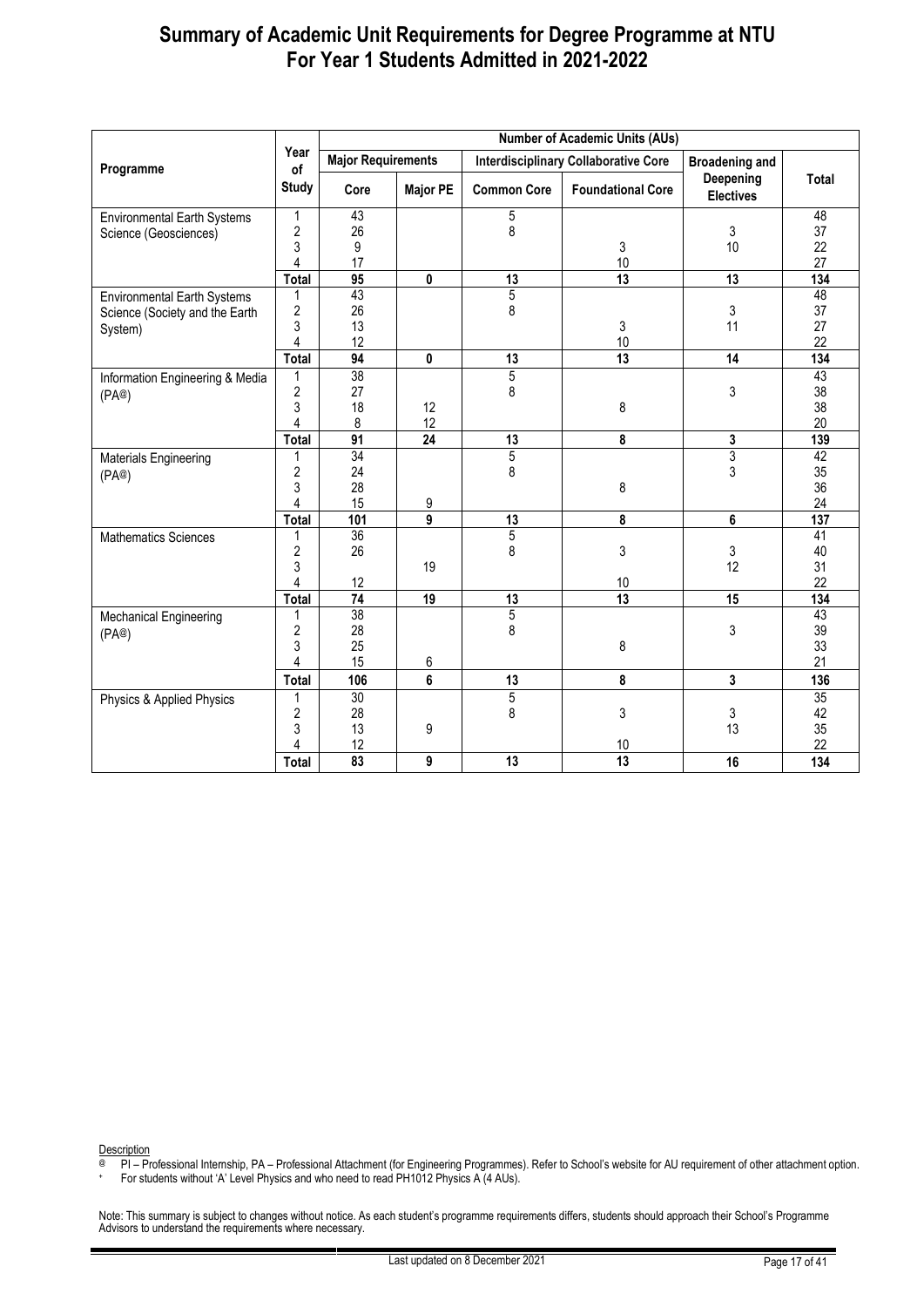|                                    |                |                           |                 |                    | <b>Number of Academic Units (AUs)</b>       |                               |                 |
|------------------------------------|----------------|---------------------------|-----------------|--------------------|---------------------------------------------|-------------------------------|-----------------|
| Programme                          | Year<br>of     | <b>Major Requirements</b> |                 |                    | <b>Interdisciplinary Collaborative Core</b> | <b>Broadening and</b>         |                 |
|                                    | <b>Study</b>   | Core                      | <b>Major PE</b> | <b>Common Core</b> | <b>Foundational Core</b>                    | Deepening<br><b>Electives</b> | Total           |
| <b>Environmental Earth Systems</b> | 1              | 43                        |                 | 5                  |                                             |                               | 48              |
| Science (Geosciences)              | $\overline{2}$ | 26                        |                 | 8                  |                                             | 3                             | 37              |
|                                    | 3              | 9                         |                 |                    | 3                                           | 10                            | 22              |
|                                    | $\overline{4}$ | 17                        |                 |                    | 10                                          |                               | 27              |
|                                    | Total          | 95                        | 0               | 13                 | 13                                          | 13                            | 134             |
| <b>Environmental Earth Systems</b> | 1              | 43                        |                 | $\overline{5}$     |                                             |                               | 48              |
| Science (Society and the Earth     | $\overline{2}$ | 26                        |                 | 8                  |                                             | 3                             | 37              |
| System)                            | 3              | 13                        |                 |                    | 3                                           | 11                            | 27              |
|                                    | 4              | 12                        |                 |                    | $10$                                        |                               | 22              |
|                                    | <b>Total</b>   | 94                        | 0               | 13                 | 13                                          | 14                            | 134             |
| Information Engineering & Media    | 1              | 38                        |                 | $\overline{5}$     |                                             |                               | 43              |
| (PA@)                              | $\overline{2}$ | 27                        |                 | 8                  |                                             | 3                             | 38              |
|                                    | 3              | 18                        | 12              |                    | 8                                           |                               | 38              |
|                                    | 4              | 8                         | 12              |                    |                                             |                               | 20              |
|                                    | <b>Total</b>   | $\overline{91}$           | $\overline{24}$ | 13                 | 8                                           | 3                             | 139             |
| Materials Engineering              | 1              | $\overline{34}$           |                 | $\overline{5}$     |                                             | $\overline{3}$                | 42              |
| (PA@)                              | $\overline{c}$ | 24                        |                 | 8                  |                                             | 3                             | 35              |
|                                    | 3              | 28                        |                 |                    | 8                                           |                               | 36              |
|                                    | 4              | 15                        | 9               |                    |                                             |                               | 24              |
|                                    | Total          | 101                       | 9               | 13                 | 8                                           | 6                             | 137             |
| <b>Mathematics Sciences</b>        | 1              | $\overline{36}$           |                 | 5                  |                                             |                               | $\overline{41}$ |
|                                    | $\overline{2}$ | 26                        |                 | 8                  | 3                                           | 3                             | 40              |
|                                    | 3              |                           | 19              |                    |                                             | 12                            | 31              |
|                                    | $\overline{4}$ | 12                        |                 |                    | $10$                                        |                               | 22              |
|                                    | <b>Total</b>   | $\overline{74}$           | 19              | 13                 | $\overline{13}$                             | 15                            | 134             |
| <b>Mechanical Engineering</b>      | 1              | 38                        |                 | $\overline{5}$     |                                             |                               | 43              |
| (PA@)                              | $\overline{c}$ | 28                        |                 | 8                  |                                             | 3                             | 39              |
|                                    | 3              | 25                        |                 |                    | 8                                           |                               | 33              |
|                                    | 4              | 15                        | 6               |                    |                                             |                               | 21              |
|                                    | <b>Total</b>   | 106                       | 6               | 13                 | 8                                           | $\mathbf{3}$                  | 136             |
| Physics & Applied Physics          | 1              | $\overline{30}$           |                 | 5                  |                                             |                               | 35              |
|                                    | $\overline{2}$ | 28                        |                 | 8                  | 3                                           | 3                             | 42              |
|                                    | 3              | 13                        | 9               |                    |                                             | 13                            | 35              |
|                                    | 4              | 12                        |                 |                    | 10                                          |                               | 22              |
|                                    | Total          | 83                        | 9               | $\overline{13}$    | 13                                          | 16                            | 134             |

<span id="page-16-0"></span>Description

@ PI – Professional Internship, PA – Professional Attachment (for Engineering Programmes). Refer to School's website for AU requirement of other attachment option.

+ For students without 'A' Level Physics and who need to read PH1012 Physics A (4 AUs).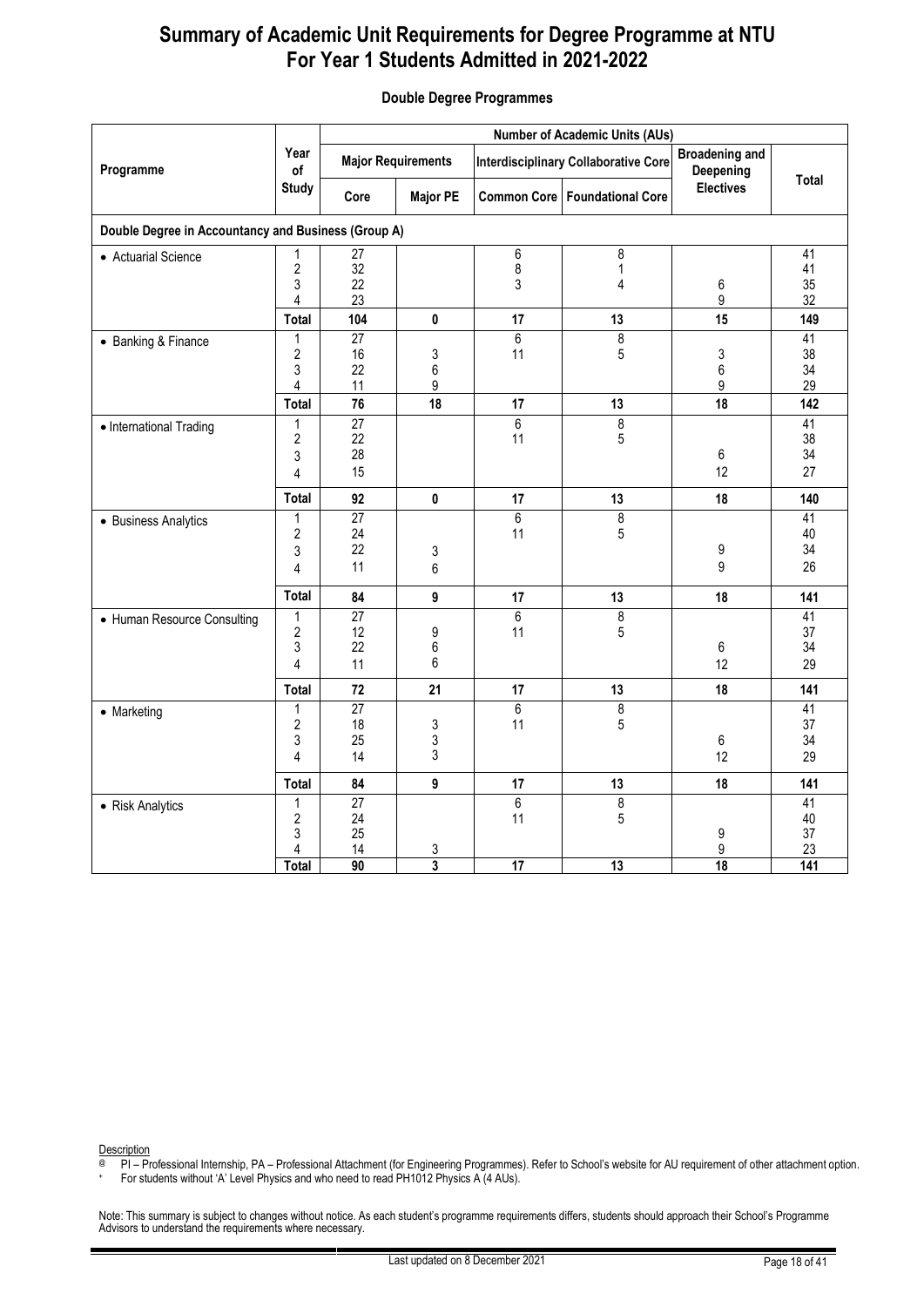|                                                     |                                               | <b>Number of Academic Units (AUs)</b>   |                                           |                            |                                             |                                    |                                          |  |  |  |
|-----------------------------------------------------|-----------------------------------------------|-----------------------------------------|-------------------------------------------|----------------------------|---------------------------------------------|------------------------------------|------------------------------------------|--|--|--|
| Programme                                           | Year<br>of                                    |                                         | <b>Major Requirements</b>                 |                            | <b>Interdisciplinary Collaborative Core</b> | <b>Broadening and</b><br>Deepening |                                          |  |  |  |
|                                                     | <b>Study</b>                                  | Core                                    | <b>Major PE</b>                           |                            | Common Core   Foundational Core             | <b>Electives</b>                   | Total                                    |  |  |  |
| Double Degree in Accountancy and Business (Group A) |                                               |                                         |                                           |                            |                                             |                                    |                                          |  |  |  |
| • Actuarial Science                                 | 1<br>$\overline{2}$<br>3<br>4                 | 27<br>32<br>22<br>23                    |                                           | 6<br>8<br>3                | 8<br>1<br>4                                 | $\,6\,$<br>9                       | 41<br>41<br>35<br>32                     |  |  |  |
|                                                     | Total                                         | 104                                     | $\mathbf 0$                               | 17                         | 13                                          | 15                                 | 149                                      |  |  |  |
| • Banking & Finance                                 | $\mathbf{1}$<br>$\overline{2}$<br>3<br>4      | $\overline{27}$<br>16<br>22<br>11       | 3<br>6<br>9                               | $\overline{6}$<br>11       | $\overline{8}$<br>5                         | 3<br>6<br>9                        | 41<br>38<br>34<br>29                     |  |  |  |
|                                                     | <b>Total</b>                                  | 76                                      | 18                                        | 17                         | 13                                          | 18                                 | 142                                      |  |  |  |
| • International Trading                             | 1<br>2<br>3<br>4                              | $\overline{27}$<br>22<br>28<br>15       |                                           | $\overline{6}$<br>11       | $\overline{8}$<br>5                         | $\,6\,$<br>12                      | 41<br>38<br>34<br>27                     |  |  |  |
|                                                     | <b>Total</b>                                  | 92                                      | $\pmb{0}$                                 | 17                         | 13                                          | 18                                 | 140                                      |  |  |  |
| • Business Analytics                                | $\mathbf{1}$<br>$\overline{2}$<br>3<br>4      | $\overline{27}$<br>24<br>22<br>11       | 3<br>$\,6$                                | 6<br>11                    | $\overline{8}$<br>5                         | 9<br>9                             | 41<br>40<br>34<br>26                     |  |  |  |
|                                                     | <b>Total</b>                                  | 84                                      | $\boldsymbol{9}$                          | 17                         | 13                                          | 18                                 | 141                                      |  |  |  |
| • Human Resource Consulting                         | 1<br>$\overline{2}$<br>3<br>$\overline{4}$    | $\overline{27}$<br>12<br>22<br>11       | 9<br>6<br>6                               | $\overline{6}$<br>11       | 8<br>5                                      | 6<br>12                            | 41<br>37<br>34<br>29                     |  |  |  |
|                                                     | Total                                         | 72                                      | 21                                        | 17                         | 13                                          | 18                                 | 141                                      |  |  |  |
| • Marketing                                         | 1<br>$\sqrt{2}$<br>3<br>$\overline{4}$        | $\overline{27}$<br>18<br>25<br>14       | 3<br>3<br>3                               | 6<br>11                    | 8<br>5                                      | 6<br>12                            | 41<br>37<br>34<br>29                     |  |  |  |
|                                                     | Total                                         | 84                                      | $\boldsymbol{9}$                          | 17                         | 13                                          | 18                                 | 141                                      |  |  |  |
| • Risk Analytics                                    | 1<br>$\overline{2}$<br>3<br>4<br><b>Total</b> | 27<br>24<br>25<br>14<br>$\overline{90}$ | $\overline{3}$<br>$\overline{\mathbf{3}}$ | 6<br>11<br>$\overline{17}$ | 8<br>5<br>13                                | 9<br>9<br>$\overline{18}$          | 41<br>40<br>37<br>23<br>$\overline{141}$ |  |  |  |

#### **Double Degree Programmes**

Description

PI – Professional Internship, PA – Professional Attachment (for Engineering Programmes). Refer to School's website for AU requirement of other attachment option.

+ For students without 'A' Level Physics and who need to read PH1012 Physics A (4 AUs).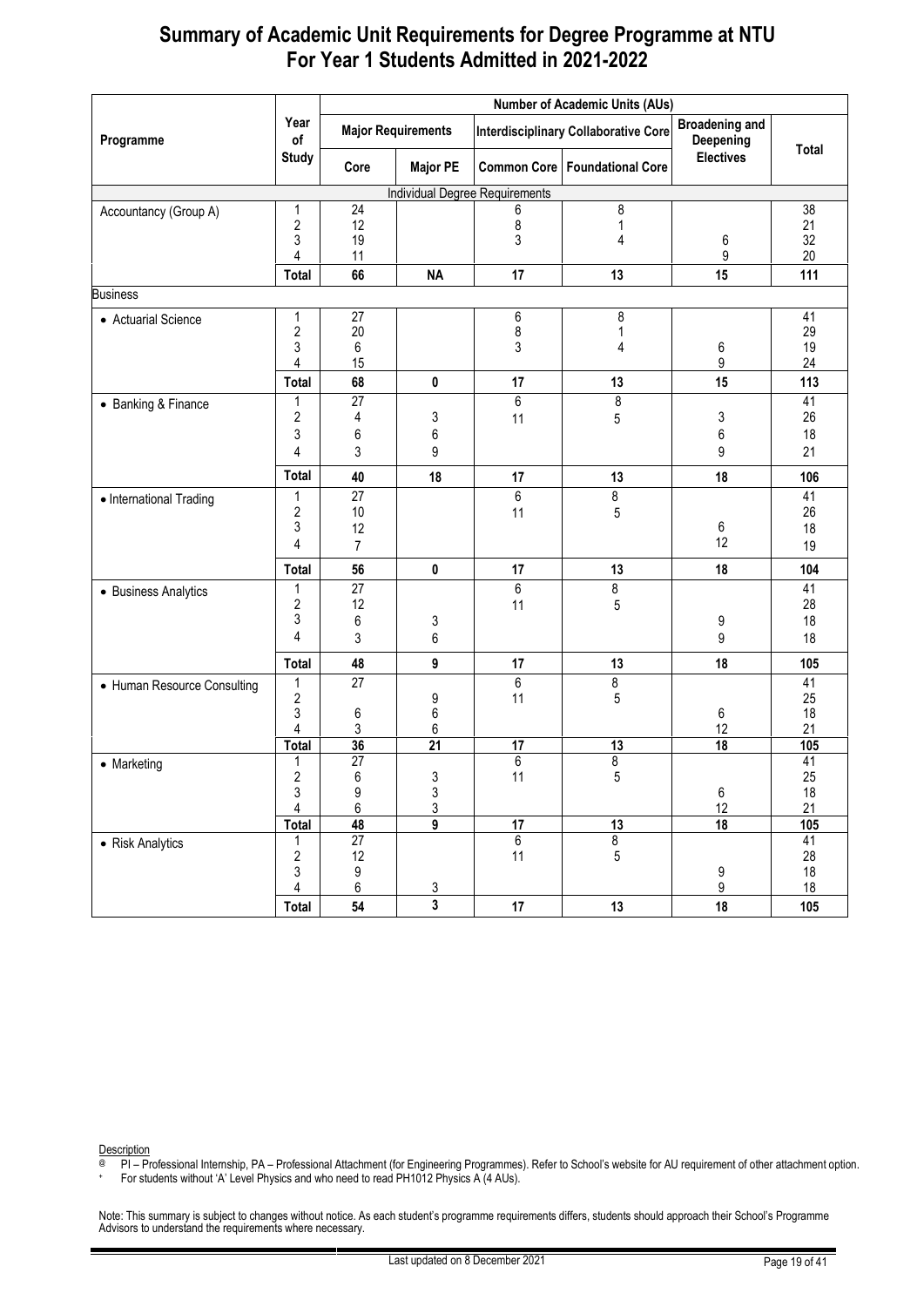| Year<br><b>Broadening and</b><br><b>Major Requirements</b><br><b>Interdisciplinary Collaborative Core</b><br>Programme<br>Deepening<br>of<br>Total<br><b>Electives</b><br><b>Study</b><br>Common Core   Foundational Core<br><b>Major PE</b><br>Core<br><b>Individual Degree Requirements</b><br>$\overline{24}$<br>8<br>$\overline{38}$<br>1<br>6<br>Accountancy (Group A)<br>$\overline{c}$<br>12<br>8<br>21<br>1<br>3<br>32<br>3<br>19<br>4<br>6<br>9<br>20<br>4<br>11<br>13<br>111<br>66<br><b>NA</b><br>17<br>15<br>Total<br>27<br>6<br>8<br>41<br>1<br>• Actuarial Science<br>$\sqrt{2}$<br>8<br>20<br>29<br>1<br>3<br>19<br>3<br>6<br>4<br>6<br>9<br>24<br>15<br>4<br>68<br>$\pmb{0}$<br>13<br>15<br>113<br><b>Total</b><br>17<br>6<br>8<br>41<br>27<br>1<br>• Banking & Finance<br>2<br>3<br>3<br>26<br>4<br>5<br>11<br>3<br>6<br>$\boldsymbol{6}$<br>6<br>18<br>3<br>21<br>4<br>9<br>9<br>Total<br>40<br>18<br>18<br>106<br>17<br>13<br>$\overline{6}$<br>$\bf 8$<br>$\overline{27}$<br>41<br>1<br>• International Trading<br>$\overline{\mathbf{c}}$<br>26<br>10<br>11<br>5<br>3<br>6<br>12<br>18<br>12<br>4<br>$\overline{7}$<br>19<br>104<br>Total<br>56<br>$\pmb{0}$<br>13<br>18<br>17<br>$\overline{27}$<br>6<br>$\overline{\mathbf{8}}$<br>41<br>1<br>• Business Analytics<br>$\overline{\mathbf{c}}$<br>28<br>12<br>11<br>5<br>3<br>6<br>18<br>3<br>9<br>4<br>6<br>3<br>18<br>9<br>9<br>Total<br>48<br>13<br>18<br>105<br>17<br>$\overline{6}$<br>$\bf 8$<br>$\overline{27}$<br>41<br>1<br>• Human Resource Consulting<br>$\overline{\mathbf{c}}$<br>9<br>11<br>5<br>25<br>$6\phantom{a}$<br>3<br>18<br>6<br>6<br>21<br>3<br>6<br>12<br>4<br>36<br>$\overline{21}$<br>$\overline{18}$<br>105<br><b>Total</b><br>17<br>13<br>6<br>8<br>27<br>41<br>1<br>• Marketing<br>2<br>3<br>5<br>25<br>6<br>11<br>3<br>$\begin{array}{c} 9 \\ 6 \end{array}$<br>$\frac{3}{3}$<br>$\,6\,$<br>18<br>$\overline{4}$<br>12<br>21<br>$\overline{9}$<br>18<br>48<br>105<br><b>Total</b><br>$\overline{17}$<br>13<br>$\bf 8$<br>$\overline{27}$<br>$\overline{6}$<br>41<br>1<br>• Risk Analytics<br>$\overline{\mathbf{c}}$<br>5<br>28<br>12<br>11<br>3<br>$\boldsymbol{9}$<br>18<br>9<br>$\boldsymbol{9}$<br>6<br>18<br>4<br>$\overline{3}$ |                 |       | <b>Number of Academic Units (AUs)</b> |                         |    |    |    |     |  |  |
|-------------------------------------------------------------------------------------------------------------------------------------------------------------------------------------------------------------------------------------------------------------------------------------------------------------------------------------------------------------------------------------------------------------------------------------------------------------------------------------------------------------------------------------------------------------------------------------------------------------------------------------------------------------------------------------------------------------------------------------------------------------------------------------------------------------------------------------------------------------------------------------------------------------------------------------------------------------------------------------------------------------------------------------------------------------------------------------------------------------------------------------------------------------------------------------------------------------------------------------------------------------------------------------------------------------------------------------------------------------------------------------------------------------------------------------------------------------------------------------------------------------------------------------------------------------------------------------------------------------------------------------------------------------------------------------------------------------------------------------------------------------------------------------------------------------------------------------------------------------------------------------------------------------------------------------------------------------------------------------------------------------------------------------------------------------------------------------------------------------------------------------------------------------------------------------------------------------------------------------------|-----------------|-------|---------------------------------------|-------------------------|----|----|----|-----|--|--|
|                                                                                                                                                                                                                                                                                                                                                                                                                                                                                                                                                                                                                                                                                                                                                                                                                                                                                                                                                                                                                                                                                                                                                                                                                                                                                                                                                                                                                                                                                                                                                                                                                                                                                                                                                                                                                                                                                                                                                                                                                                                                                                                                                                                                                                           |                 |       |                                       |                         |    |    |    |     |  |  |
|                                                                                                                                                                                                                                                                                                                                                                                                                                                                                                                                                                                                                                                                                                                                                                                                                                                                                                                                                                                                                                                                                                                                                                                                                                                                                                                                                                                                                                                                                                                                                                                                                                                                                                                                                                                                                                                                                                                                                                                                                                                                                                                                                                                                                                           |                 |       |                                       |                         |    |    |    |     |  |  |
|                                                                                                                                                                                                                                                                                                                                                                                                                                                                                                                                                                                                                                                                                                                                                                                                                                                                                                                                                                                                                                                                                                                                                                                                                                                                                                                                                                                                                                                                                                                                                                                                                                                                                                                                                                                                                                                                                                                                                                                                                                                                                                                                                                                                                                           |                 |       |                                       |                         |    |    |    |     |  |  |
|                                                                                                                                                                                                                                                                                                                                                                                                                                                                                                                                                                                                                                                                                                                                                                                                                                                                                                                                                                                                                                                                                                                                                                                                                                                                                                                                                                                                                                                                                                                                                                                                                                                                                                                                                                                                                                                                                                                                                                                                                                                                                                                                                                                                                                           |                 |       |                                       |                         |    |    |    |     |  |  |
|                                                                                                                                                                                                                                                                                                                                                                                                                                                                                                                                                                                                                                                                                                                                                                                                                                                                                                                                                                                                                                                                                                                                                                                                                                                                                                                                                                                                                                                                                                                                                                                                                                                                                                                                                                                                                                                                                                                                                                                                                                                                                                                                                                                                                                           |                 |       |                                       |                         |    |    |    |     |  |  |
|                                                                                                                                                                                                                                                                                                                                                                                                                                                                                                                                                                                                                                                                                                                                                                                                                                                                                                                                                                                                                                                                                                                                                                                                                                                                                                                                                                                                                                                                                                                                                                                                                                                                                                                                                                                                                                                                                                                                                                                                                                                                                                                                                                                                                                           |                 |       |                                       |                         |    |    |    |     |  |  |
|                                                                                                                                                                                                                                                                                                                                                                                                                                                                                                                                                                                                                                                                                                                                                                                                                                                                                                                                                                                                                                                                                                                                                                                                                                                                                                                                                                                                                                                                                                                                                                                                                                                                                                                                                                                                                                                                                                                                                                                                                                                                                                                                                                                                                                           |                 |       |                                       |                         |    |    |    |     |  |  |
|                                                                                                                                                                                                                                                                                                                                                                                                                                                                                                                                                                                                                                                                                                                                                                                                                                                                                                                                                                                                                                                                                                                                                                                                                                                                                                                                                                                                                                                                                                                                                                                                                                                                                                                                                                                                                                                                                                                                                                                                                                                                                                                                                                                                                                           | <b>Business</b> |       |                                       |                         |    |    |    |     |  |  |
|                                                                                                                                                                                                                                                                                                                                                                                                                                                                                                                                                                                                                                                                                                                                                                                                                                                                                                                                                                                                                                                                                                                                                                                                                                                                                                                                                                                                                                                                                                                                                                                                                                                                                                                                                                                                                                                                                                                                                                                                                                                                                                                                                                                                                                           |                 |       |                                       |                         |    |    |    |     |  |  |
|                                                                                                                                                                                                                                                                                                                                                                                                                                                                                                                                                                                                                                                                                                                                                                                                                                                                                                                                                                                                                                                                                                                                                                                                                                                                                                                                                                                                                                                                                                                                                                                                                                                                                                                                                                                                                                                                                                                                                                                                                                                                                                                                                                                                                                           |                 |       |                                       |                         |    |    |    |     |  |  |
|                                                                                                                                                                                                                                                                                                                                                                                                                                                                                                                                                                                                                                                                                                                                                                                                                                                                                                                                                                                                                                                                                                                                                                                                                                                                                                                                                                                                                                                                                                                                                                                                                                                                                                                                                                                                                                                                                                                                                                                                                                                                                                                                                                                                                                           |                 |       |                                       |                         |    |    |    |     |  |  |
|                                                                                                                                                                                                                                                                                                                                                                                                                                                                                                                                                                                                                                                                                                                                                                                                                                                                                                                                                                                                                                                                                                                                                                                                                                                                                                                                                                                                                                                                                                                                                                                                                                                                                                                                                                                                                                                                                                                                                                                                                                                                                                                                                                                                                                           |                 |       |                                       |                         |    |    |    |     |  |  |
|                                                                                                                                                                                                                                                                                                                                                                                                                                                                                                                                                                                                                                                                                                                                                                                                                                                                                                                                                                                                                                                                                                                                                                                                                                                                                                                                                                                                                                                                                                                                                                                                                                                                                                                                                                                                                                                                                                                                                                                                                                                                                                                                                                                                                                           |                 |       |                                       |                         |    |    |    |     |  |  |
|                                                                                                                                                                                                                                                                                                                                                                                                                                                                                                                                                                                                                                                                                                                                                                                                                                                                                                                                                                                                                                                                                                                                                                                                                                                                                                                                                                                                                                                                                                                                                                                                                                                                                                                                                                                                                                                                                                                                                                                                                                                                                                                                                                                                                                           |                 |       |                                       |                         |    |    |    |     |  |  |
|                                                                                                                                                                                                                                                                                                                                                                                                                                                                                                                                                                                                                                                                                                                                                                                                                                                                                                                                                                                                                                                                                                                                                                                                                                                                                                                                                                                                                                                                                                                                                                                                                                                                                                                                                                                                                                                                                                                                                                                                                                                                                                                                                                                                                                           |                 |       |                                       |                         |    |    |    |     |  |  |
|                                                                                                                                                                                                                                                                                                                                                                                                                                                                                                                                                                                                                                                                                                                                                                                                                                                                                                                                                                                                                                                                                                                                                                                                                                                                                                                                                                                                                                                                                                                                                                                                                                                                                                                                                                                                                                                                                                                                                                                                                                                                                                                                                                                                                                           |                 |       |                                       |                         |    |    |    |     |  |  |
|                                                                                                                                                                                                                                                                                                                                                                                                                                                                                                                                                                                                                                                                                                                                                                                                                                                                                                                                                                                                                                                                                                                                                                                                                                                                                                                                                                                                                                                                                                                                                                                                                                                                                                                                                                                                                                                                                                                                                                                                                                                                                                                                                                                                                                           |                 |       |                                       |                         |    |    |    |     |  |  |
|                                                                                                                                                                                                                                                                                                                                                                                                                                                                                                                                                                                                                                                                                                                                                                                                                                                                                                                                                                                                                                                                                                                                                                                                                                                                                                                                                                                                                                                                                                                                                                                                                                                                                                                                                                                                                                                                                                                                                                                                                                                                                                                                                                                                                                           |                 |       |                                       |                         |    |    |    |     |  |  |
|                                                                                                                                                                                                                                                                                                                                                                                                                                                                                                                                                                                                                                                                                                                                                                                                                                                                                                                                                                                                                                                                                                                                                                                                                                                                                                                                                                                                                                                                                                                                                                                                                                                                                                                                                                                                                                                                                                                                                                                                                                                                                                                                                                                                                                           |                 |       |                                       |                         |    |    |    |     |  |  |
|                                                                                                                                                                                                                                                                                                                                                                                                                                                                                                                                                                                                                                                                                                                                                                                                                                                                                                                                                                                                                                                                                                                                                                                                                                                                                                                                                                                                                                                                                                                                                                                                                                                                                                                                                                                                                                                                                                                                                                                                                                                                                                                                                                                                                                           |                 |       |                                       |                         |    |    |    |     |  |  |
|                                                                                                                                                                                                                                                                                                                                                                                                                                                                                                                                                                                                                                                                                                                                                                                                                                                                                                                                                                                                                                                                                                                                                                                                                                                                                                                                                                                                                                                                                                                                                                                                                                                                                                                                                                                                                                                                                                                                                                                                                                                                                                                                                                                                                                           |                 |       |                                       |                         |    |    |    |     |  |  |
|                                                                                                                                                                                                                                                                                                                                                                                                                                                                                                                                                                                                                                                                                                                                                                                                                                                                                                                                                                                                                                                                                                                                                                                                                                                                                                                                                                                                                                                                                                                                                                                                                                                                                                                                                                                                                                                                                                                                                                                                                                                                                                                                                                                                                                           |                 |       |                                       |                         |    |    |    |     |  |  |
|                                                                                                                                                                                                                                                                                                                                                                                                                                                                                                                                                                                                                                                                                                                                                                                                                                                                                                                                                                                                                                                                                                                                                                                                                                                                                                                                                                                                                                                                                                                                                                                                                                                                                                                                                                                                                                                                                                                                                                                                                                                                                                                                                                                                                                           |                 |       |                                       |                         |    |    |    |     |  |  |
|                                                                                                                                                                                                                                                                                                                                                                                                                                                                                                                                                                                                                                                                                                                                                                                                                                                                                                                                                                                                                                                                                                                                                                                                                                                                                                                                                                                                                                                                                                                                                                                                                                                                                                                                                                                                                                                                                                                                                                                                                                                                                                                                                                                                                                           |                 |       |                                       |                         |    |    |    |     |  |  |
|                                                                                                                                                                                                                                                                                                                                                                                                                                                                                                                                                                                                                                                                                                                                                                                                                                                                                                                                                                                                                                                                                                                                                                                                                                                                                                                                                                                                                                                                                                                                                                                                                                                                                                                                                                                                                                                                                                                                                                                                                                                                                                                                                                                                                                           |                 |       |                                       |                         |    |    |    |     |  |  |
|                                                                                                                                                                                                                                                                                                                                                                                                                                                                                                                                                                                                                                                                                                                                                                                                                                                                                                                                                                                                                                                                                                                                                                                                                                                                                                                                                                                                                                                                                                                                                                                                                                                                                                                                                                                                                                                                                                                                                                                                                                                                                                                                                                                                                                           |                 |       |                                       |                         |    |    |    |     |  |  |
|                                                                                                                                                                                                                                                                                                                                                                                                                                                                                                                                                                                                                                                                                                                                                                                                                                                                                                                                                                                                                                                                                                                                                                                                                                                                                                                                                                                                                                                                                                                                                                                                                                                                                                                                                                                                                                                                                                                                                                                                                                                                                                                                                                                                                                           |                 |       |                                       |                         |    |    |    |     |  |  |
|                                                                                                                                                                                                                                                                                                                                                                                                                                                                                                                                                                                                                                                                                                                                                                                                                                                                                                                                                                                                                                                                                                                                                                                                                                                                                                                                                                                                                                                                                                                                                                                                                                                                                                                                                                                                                                                                                                                                                                                                                                                                                                                                                                                                                                           |                 |       |                                       |                         |    |    |    |     |  |  |
|                                                                                                                                                                                                                                                                                                                                                                                                                                                                                                                                                                                                                                                                                                                                                                                                                                                                                                                                                                                                                                                                                                                                                                                                                                                                                                                                                                                                                                                                                                                                                                                                                                                                                                                                                                                                                                                                                                                                                                                                                                                                                                                                                                                                                                           |                 |       |                                       |                         |    |    |    |     |  |  |
|                                                                                                                                                                                                                                                                                                                                                                                                                                                                                                                                                                                                                                                                                                                                                                                                                                                                                                                                                                                                                                                                                                                                                                                                                                                                                                                                                                                                                                                                                                                                                                                                                                                                                                                                                                                                                                                                                                                                                                                                                                                                                                                                                                                                                                           |                 |       |                                       |                         |    |    |    |     |  |  |
|                                                                                                                                                                                                                                                                                                                                                                                                                                                                                                                                                                                                                                                                                                                                                                                                                                                                                                                                                                                                                                                                                                                                                                                                                                                                                                                                                                                                                                                                                                                                                                                                                                                                                                                                                                                                                                                                                                                                                                                                                                                                                                                                                                                                                                           |                 |       |                                       |                         |    |    |    |     |  |  |
|                                                                                                                                                                                                                                                                                                                                                                                                                                                                                                                                                                                                                                                                                                                                                                                                                                                                                                                                                                                                                                                                                                                                                                                                                                                                                                                                                                                                                                                                                                                                                                                                                                                                                                                                                                                                                                                                                                                                                                                                                                                                                                                                                                                                                                           |                 |       |                                       |                         |    |    |    |     |  |  |
|                                                                                                                                                                                                                                                                                                                                                                                                                                                                                                                                                                                                                                                                                                                                                                                                                                                                                                                                                                                                                                                                                                                                                                                                                                                                                                                                                                                                                                                                                                                                                                                                                                                                                                                                                                                                                                                                                                                                                                                                                                                                                                                                                                                                                                           |                 |       |                                       |                         |    |    |    |     |  |  |
|                                                                                                                                                                                                                                                                                                                                                                                                                                                                                                                                                                                                                                                                                                                                                                                                                                                                                                                                                                                                                                                                                                                                                                                                                                                                                                                                                                                                                                                                                                                                                                                                                                                                                                                                                                                                                                                                                                                                                                                                                                                                                                                                                                                                                                           |                 |       |                                       |                         |    |    |    |     |  |  |
|                                                                                                                                                                                                                                                                                                                                                                                                                                                                                                                                                                                                                                                                                                                                                                                                                                                                                                                                                                                                                                                                                                                                                                                                                                                                                                                                                                                                                                                                                                                                                                                                                                                                                                                                                                                                                                                                                                                                                                                                                                                                                                                                                                                                                                           |                 |       |                                       |                         |    |    |    |     |  |  |
|                                                                                                                                                                                                                                                                                                                                                                                                                                                                                                                                                                                                                                                                                                                                                                                                                                                                                                                                                                                                                                                                                                                                                                                                                                                                                                                                                                                                                                                                                                                                                                                                                                                                                                                                                                                                                                                                                                                                                                                                                                                                                                                                                                                                                                           |                 |       |                                       |                         |    |    |    |     |  |  |
|                                                                                                                                                                                                                                                                                                                                                                                                                                                                                                                                                                                                                                                                                                                                                                                                                                                                                                                                                                                                                                                                                                                                                                                                                                                                                                                                                                                                                                                                                                                                                                                                                                                                                                                                                                                                                                                                                                                                                                                                                                                                                                                                                                                                                                           |                 |       |                                       |                         |    |    |    |     |  |  |
|                                                                                                                                                                                                                                                                                                                                                                                                                                                                                                                                                                                                                                                                                                                                                                                                                                                                                                                                                                                                                                                                                                                                                                                                                                                                                                                                                                                                                                                                                                                                                                                                                                                                                                                                                                                                                                                                                                                                                                                                                                                                                                                                                                                                                                           |                 |       |                                       |                         |    |    |    |     |  |  |
|                                                                                                                                                                                                                                                                                                                                                                                                                                                                                                                                                                                                                                                                                                                                                                                                                                                                                                                                                                                                                                                                                                                                                                                                                                                                                                                                                                                                                                                                                                                                                                                                                                                                                                                                                                                                                                                                                                                                                                                                                                                                                                                                                                                                                                           |                 |       |                                       |                         |    |    |    |     |  |  |
|                                                                                                                                                                                                                                                                                                                                                                                                                                                                                                                                                                                                                                                                                                                                                                                                                                                                                                                                                                                                                                                                                                                                                                                                                                                                                                                                                                                                                                                                                                                                                                                                                                                                                                                                                                                                                                                                                                                                                                                                                                                                                                                                                                                                                                           |                 |       |                                       |                         |    |    |    |     |  |  |
|                                                                                                                                                                                                                                                                                                                                                                                                                                                                                                                                                                                                                                                                                                                                                                                                                                                                                                                                                                                                                                                                                                                                                                                                                                                                                                                                                                                                                                                                                                                                                                                                                                                                                                                                                                                                                                                                                                                                                                                                                                                                                                                                                                                                                                           |                 | Total | 54                                    | $\overline{\mathbf{3}}$ | 17 | 13 | 18 | 105 |  |  |

Description

@ PI – Professional Internship, PA – Professional Attachment (for Engineering Programmes). Refer to School's website for AU requirement of other attachment option.

+ For students without 'A' Level Physics and who need to read PH1012 Physics A (4 AUs).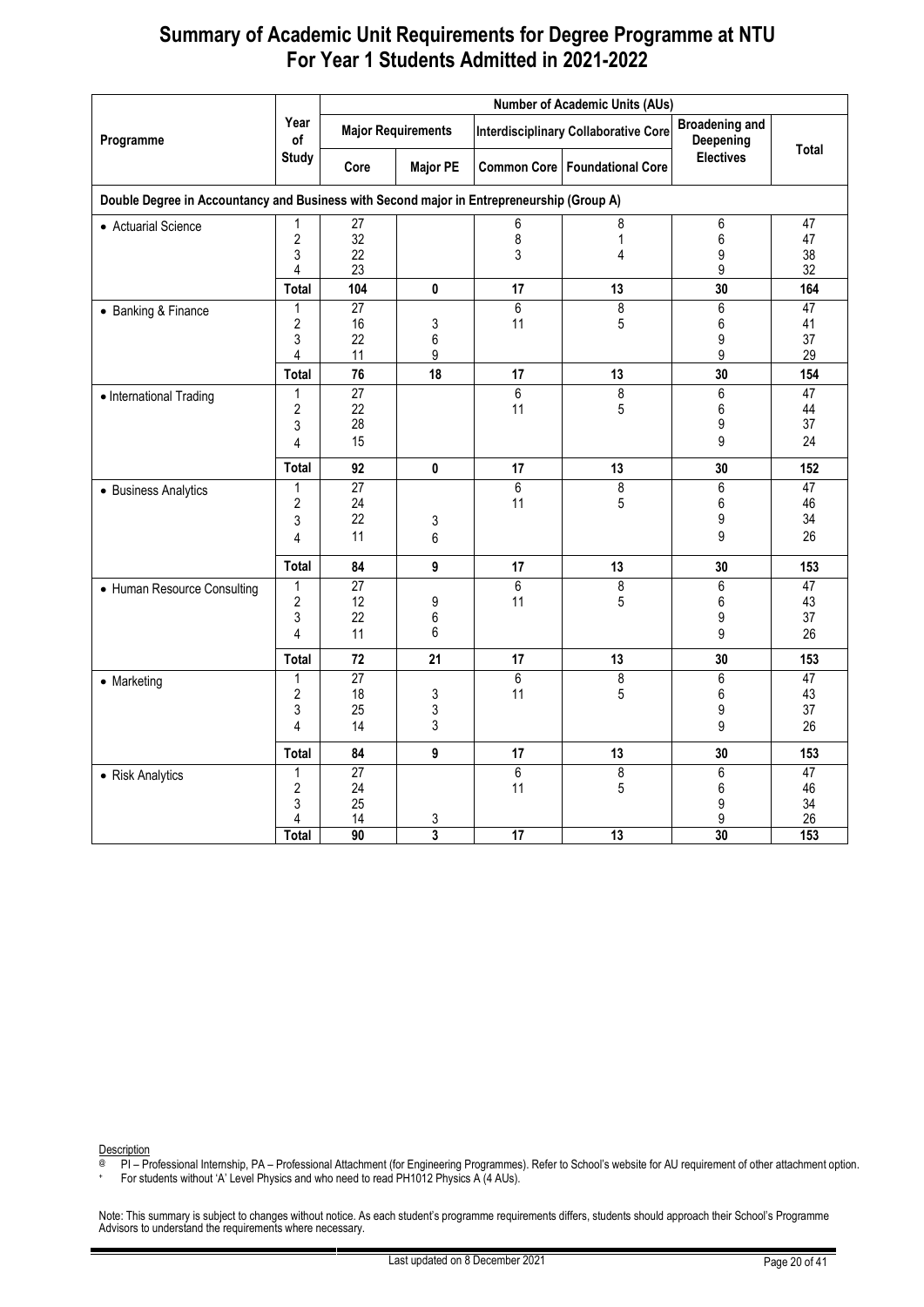|                                                                                           |                                            | <b>Number of Academic Units (AUs)</b>   |                           |                      |                                             |                                    |                                   |  |  |  |
|-------------------------------------------------------------------------------------------|--------------------------------------------|-----------------------------------------|---------------------------|----------------------|---------------------------------------------|------------------------------------|-----------------------------------|--|--|--|
| Programme                                                                                 | Year<br>of                                 |                                         | <b>Major Requirements</b> |                      | <b>Interdisciplinary Collaborative Core</b> | <b>Broadening and</b><br>Deepening |                                   |  |  |  |
|                                                                                           | <b>Study</b>                               | Core                                    | <b>Major PE</b>           |                      | <b>Common Core   Foundational Core</b>      | <b>Electives</b>                   | <b>Total</b>                      |  |  |  |
| Double Degree in Accountancy and Business with Second major in Entrepreneurship (Group A) |                                            |                                         |                           |                      |                                             |                                    |                                   |  |  |  |
| • Actuarial Science                                                                       | 1<br>$\overline{2}$<br>3<br>4              | 27<br>32<br>22<br>23                    |                           | 6<br>8<br>3          | 8<br>1<br>4                                 | $6\,$<br>6<br>9<br>9               | 47<br>47<br>38<br>32              |  |  |  |
|                                                                                           | Total                                      | 104                                     | 0                         | 17                   | 13                                          | 30                                 | 164                               |  |  |  |
| • Banking & Finance                                                                       | 1<br>$\overline{2}$<br>3<br>4              | $\overline{27}$<br>16<br>22<br>11       | 3<br>6<br>9               | $\overline{6}$<br>11 | $\overline{8}$<br>5                         | $\overline{6}$<br>6<br>9<br>9      | 47<br>41<br>37<br>29              |  |  |  |
|                                                                                           | Total                                      | 76<br>$\overline{27}$                   | 18                        | 17<br>$\overline{6}$ | 13<br>$\overline{\mathbf{8}}$               | 30<br>$\overline{6}$               | 154<br>47                         |  |  |  |
| • International Trading                                                                   | 1<br>$\sqrt{2}$<br>3<br>4                  | 22<br>28<br>15                          |                           | 11                   | 5                                           | 6<br>9<br>9                        | 44<br>37<br>24                    |  |  |  |
|                                                                                           | <b>Total</b>                               | 92                                      | 0                         | 17                   | 13                                          | 30                                 | 152                               |  |  |  |
| • Business Analytics                                                                      | 1<br>$\overline{2}$<br>3<br>4              | $\overline{27}$<br>24<br>22<br>11       | 3<br>6                    | 6<br>11              | 8<br>5                                      | $\overline{6}$<br>6<br>9<br>9      | $\overline{47}$<br>46<br>34<br>26 |  |  |  |
|                                                                                           | Total                                      | 84                                      | 9                         | 17                   | 13                                          | 30                                 | 153                               |  |  |  |
| • Human Resource Consulting                                                               | 1<br>$\overline{2}$<br>3<br>$\overline{4}$ | $\overline{27}$<br>12<br>22<br>11       | 9<br>6<br>6               | $\overline{6}$<br>11 | $\overline{8}$<br>5                         | 6<br>6<br>9<br>9                   | 47<br>43<br>37<br>26              |  |  |  |
|                                                                                           | <b>Total</b>                               | 72                                      | 21                        | 17                   | 13                                          | 30                                 | 153                               |  |  |  |
| • Marketing                                                                               | 1<br>$\sqrt{2}$<br>3<br>4                  | $\overline{27}$<br>18<br>25<br>14       | 3<br>3<br>3               | $\overline{6}$<br>11 | 8<br>5                                      | $\overline{6}$<br>6<br>9<br>9      | 47<br>43<br>37<br>26              |  |  |  |
|                                                                                           | Total                                      | 84                                      | 9                         | 17                   | 13                                          | 30                                 | 153                               |  |  |  |
| • Risk Analytics                                                                          | 1<br>$\overline{2}$<br>3<br>4              | $\overline{27}$<br>24<br>25<br>14<br>90 | 3<br>3                    | 6<br>11              | $\overline{8}$<br>5                         | 6<br>6<br>9<br>9<br>30             | 47<br>46<br>34<br>26              |  |  |  |
|                                                                                           | Total                                      |                                         |                           | 17                   | 13                                          |                                    | 153                               |  |  |  |

Description

@ PI – Professional Internship, PA – Professional Attachment (for Engineering Programmes). Refer to School's website for AU requirement of other attachment option.

+ For students without 'A' Level Physics and who need to read PH1012 Physics A (4 AUs).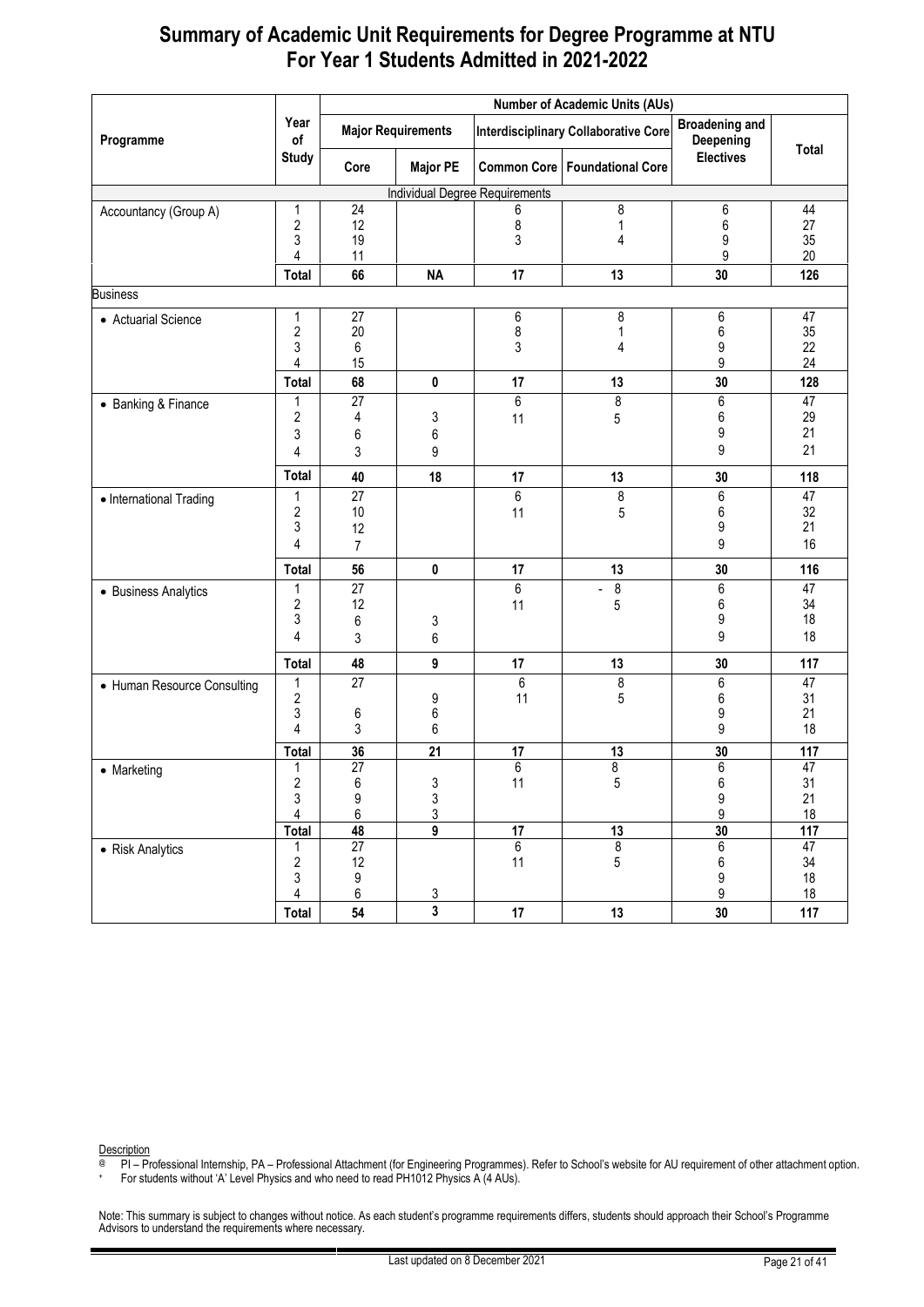|                             |                         |                 |                           |                                       | <b>Number of Academic Units (AUs)</b>       |                                    |                 |
|-----------------------------|-------------------------|-----------------|---------------------------|---------------------------------------|---------------------------------------------|------------------------------------|-----------------|
| Programme                   | Year<br>of              |                 | <b>Major Requirements</b> |                                       | <b>Interdisciplinary Collaborative Core</b> | <b>Broadening and</b><br>Deepening | Total           |
|                             | <b>Study</b>            | Core            | <b>Major PE</b>           |                                       | <b>Common Core   Foundational Core</b>      | <b>Electives</b>                   |                 |
|                             |                         |                 |                           | <b>Individual Degree Requirements</b> |                                             |                                    |                 |
| Accountancy (Group A)       | 1                       | 24              |                           | 6                                     | 8                                           | 6                                  | 44              |
|                             | $\overline{\mathbf{c}}$ | 12              |                           | 8                                     | 1                                           | 6                                  | 27              |
|                             | 3<br>4                  | 19<br>11        |                           | 3                                     | 4                                           | 9<br>9                             | 35<br>20        |
|                             |                         | 66              | <b>NA</b>                 | 17                                    | 13                                          | 30                                 | 126             |
|                             | Total                   |                 |                           |                                       |                                             |                                    |                 |
| <b>Business</b>             |                         |                 |                           |                                       |                                             |                                    |                 |
| • Actuarial Science         | 1                       | 27              |                           | 6                                     | 8                                           | 6                                  | 47              |
|                             | $\overline{\mathbf{c}}$ | 20              |                           | 8                                     | 1                                           | 6                                  | 35              |
|                             | 3                       | 6               |                           | 3                                     | 4                                           | 9                                  | 22<br>24        |
|                             | 4                       | 15              |                           |                                       |                                             | 9                                  |                 |
|                             | Total                   | 68              | 0                         | 17                                    | 13                                          | 30                                 | 128             |
| • Banking & Finance         | 1<br>2                  | 27              | 3                         | 6                                     | 8                                           | 6<br>6                             | 47<br>29        |
|                             | 3                       | 4               |                           | 11                                    | 5                                           | 9                                  | 21              |
|                             | 4                       | 6<br>3          | 6<br>9                    |                                       |                                             | 9                                  | 21              |
|                             |                         |                 |                           |                                       |                                             |                                    |                 |
|                             | <b>Total</b>            | 40              | 18                        | 17                                    | 13                                          | 30                                 | 118             |
| • International Trading     | 1                       | $\overline{27}$ |                           | 6                                     | 8                                           | 6                                  | $\overline{47}$ |
|                             | $\overline{\mathbf{c}}$ | 10              |                           | 11                                    | 5                                           | 6                                  | 32              |
|                             | 3                       | 12              |                           |                                       |                                             | 9                                  | 21              |
|                             | 4                       | $\overline{7}$  |                           |                                       |                                             | 9                                  | 16              |
|                             | Total                   | 56              | $\pmb{0}$                 | 17                                    | 13                                          | 30                                 | 116             |
| • Business Analytics        | 1                       | $\overline{27}$ |                           | 6                                     | $\infty$<br>$\blacksquare$                  | 6                                  | $\overline{47}$ |
|                             | 2                       | 12              |                           | 11                                    | 5                                           | 6                                  | 34              |
|                             | 3                       | 6               | 3                         |                                       |                                             | 9                                  | 18              |
|                             | 4                       | 3               | 6                         |                                       |                                             | 9                                  | 18              |
|                             | Total                   | 48              | 9                         | 17                                    | 13                                          | 30                                 | 117             |
| • Human Resource Consulting | 1                       | 27              |                           | 6                                     | $\bf 8$                                     | 6                                  | $\overline{47}$ |
|                             | $\sqrt{2}$              |                 | 9                         | 11                                    | 5                                           | 6                                  | 31              |
|                             | 3                       | 6               | $\boldsymbol{6}$          |                                       |                                             | 9                                  | 21              |
|                             | 4                       | 3               | 6                         |                                       |                                             | 9                                  | 18              |
|                             | <b>Total</b>            | 36              | $\overline{21}$           | $\overline{17}$                       | 13                                          | 30                                 | 117             |
| • Marketing                 | 1                       | $\overline{27}$ |                           | $\overline{6}$                        | 8                                           | 6                                  | 47              |
|                             | $\overline{c}$          | $\,6\,$         | 3                         | 11                                    | 5                                           | $\,6\,$                            | 31              |
|                             | 3<br>4                  | 9<br>6          | $\frac{3}{3}$             |                                       |                                             | $\boldsymbol{9}$<br>9              | 21<br>18        |
|                             | Total                   | 48              | $\overline{9}$            | $\overline{17}$                       | 13                                          | 30                                 | 117             |
| • Risk Analytics            | 1                       | $\overline{27}$ |                           | $\overline{6}$                        | $\bf 8$                                     | $6\overline{6}$                    | 47              |
|                             | $\sqrt{2}$              | 12              |                           | 11                                    | $\overline{5}$                              | 6                                  | 34              |
|                             | 3                       | 9               |                           |                                       |                                             | 9                                  | 18              |
|                             | 4                       | 6               |                           |                                       |                                             | 9                                  | 18              |
|                             | Total                   | 54              | $\frac{3}{3}$             | $17\,$                                | 13                                          | 30                                 | 117             |

Description

@ PI – Professional Internship, PA – Professional Attachment (for Engineering Programmes). Refer to School's website for AU requirement of other attachment option.

+ For students without 'A' Level Physics and who need to read PH1012 Physics A (4 AUs).

Note: This summary is subject to changes without notice. As each student's programme requirements differs, students should approach their School's Programme<br>Advisors to understand the requirements where necessary.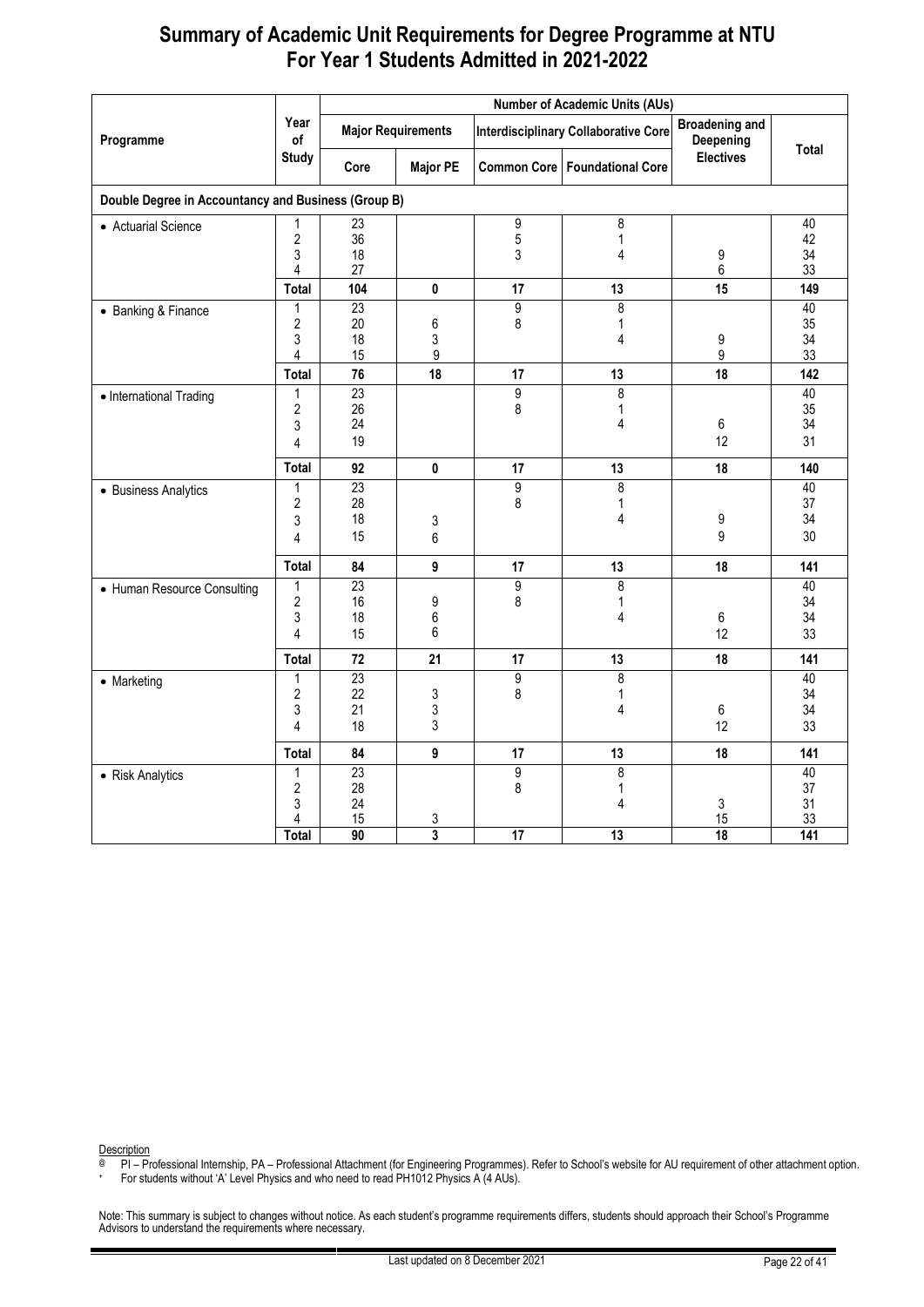| Programme                                           | Year<br>of<br><b>Study</b>                    |                                                      |                                |                                             |                                 |                                    |                                          |
|-----------------------------------------------------|-----------------------------------------------|------------------------------------------------------|--------------------------------|---------------------------------------------|---------------------------------|------------------------------------|------------------------------------------|
|                                                     |                                               | <b>Major Requirements</b>                            |                                | <b>Interdisciplinary Collaborative Core</b> |                                 | <b>Broadening and</b><br>Deepening | Total                                    |
|                                                     |                                               | Core                                                 | <b>Major PE</b>                |                                             | Common Core   Foundational Core | <b>Electives</b>                   |                                          |
| Double Degree in Accountancy and Business (Group B) |                                               |                                                      |                                |                                             |                                 |                                    |                                          |
| • Actuarial Science                                 | 1<br>$\overline{c}$<br>3<br>4                 | $\overline{23}$<br>36<br>18<br>27                    |                                | 9<br>5<br>3                                 | 8<br>1<br>4                     | 9<br>6                             | 40<br>42<br>34<br>33                     |
|                                                     | Total                                         | 104                                                  | 0                              | 17                                          | 13                              | 15                                 | 149                                      |
| • Banking & Finance                                 | 1<br>$\overline{2}$<br>3<br>4<br><b>Total</b> | $\overline{23}$<br>20<br>18<br>15<br>76              | $6\phantom{a}$<br>3<br>9<br>18 | $\overline{9}$<br>8<br>17                   | 8<br>1<br>4<br>13               | 9<br>9<br>18                       | 40<br>35<br>34<br>33<br>142              |
| • International Trading                             | 1<br>2<br>3<br>4                              | $\overline{23}$<br>26<br>24<br>19                    |                                | $\overline{9}$<br>8                         | 8<br>1<br>4                     | 6<br>12                            | 40<br>35<br>34<br>31                     |
|                                                     | Total                                         | 92                                                   | $\mathbf 0$                    | 17                                          | 13                              | 18                                 | 140                                      |
| • Business Analytics                                | 1<br>$\overline{2}$<br>3<br>4                 | $\overline{23}$<br>28<br>18<br>15                    | 3<br>6                         | $\overline{9}$<br>8                         | 8<br>1<br>4                     | 9<br>9                             | 40<br>37<br>34<br>30                     |
|                                                     | Total                                         | 84                                                   | 9                              | 17                                          | 13                              | 18                                 | 141                                      |
| • Human Resource Consulting                         | 1<br>2<br>3<br>4                              | $\overline{23}$<br>16<br>18<br>15                    | 9<br>$6\phantom{a}$<br>6       | $\overline{9}$<br>8                         | 8<br>$\mathbf 1$<br>4           | 6<br>12                            | 40<br>34<br>34<br>33                     |
|                                                     | <b>Total</b>                                  | 72                                                   | 21                             | 17                                          | 13                              | 18                                 | 141                                      |
| • Marketing                                         | 1<br>$\overline{2}$<br>3<br>4                 | 23<br>22<br>21<br>18                                 | 3<br>3<br>3                    | 9<br>8                                      | 8<br>1<br>4                     | 6<br>12                            | 40<br>34<br>34<br>33                     |
|                                                     | Total                                         | 84                                                   | 9                              | 17                                          | 13                              | 18                                 | 141                                      |
| • Risk Analytics                                    | 1<br>$\overline{2}$<br>3<br>4<br><b>Total</b> | $\overline{23}$<br>28<br>24<br>15<br>$\overline{90}$ | 3<br>$\overline{\mathbf{3}}$   | $\overline{9}$<br>8<br>17                   | 8<br>1<br>4<br>13               | 3<br>15<br>18                      | 40<br>37<br>31<br>33<br>$\overline{141}$ |

Description

@ PI – Professional Internship, PA – Professional Attachment (for Engineering Programmes). Refer to School's website for AU requirement of other attachment option.

+ For students without 'A' Level Physics and who need to read PH1012 Physics A (4 AUs).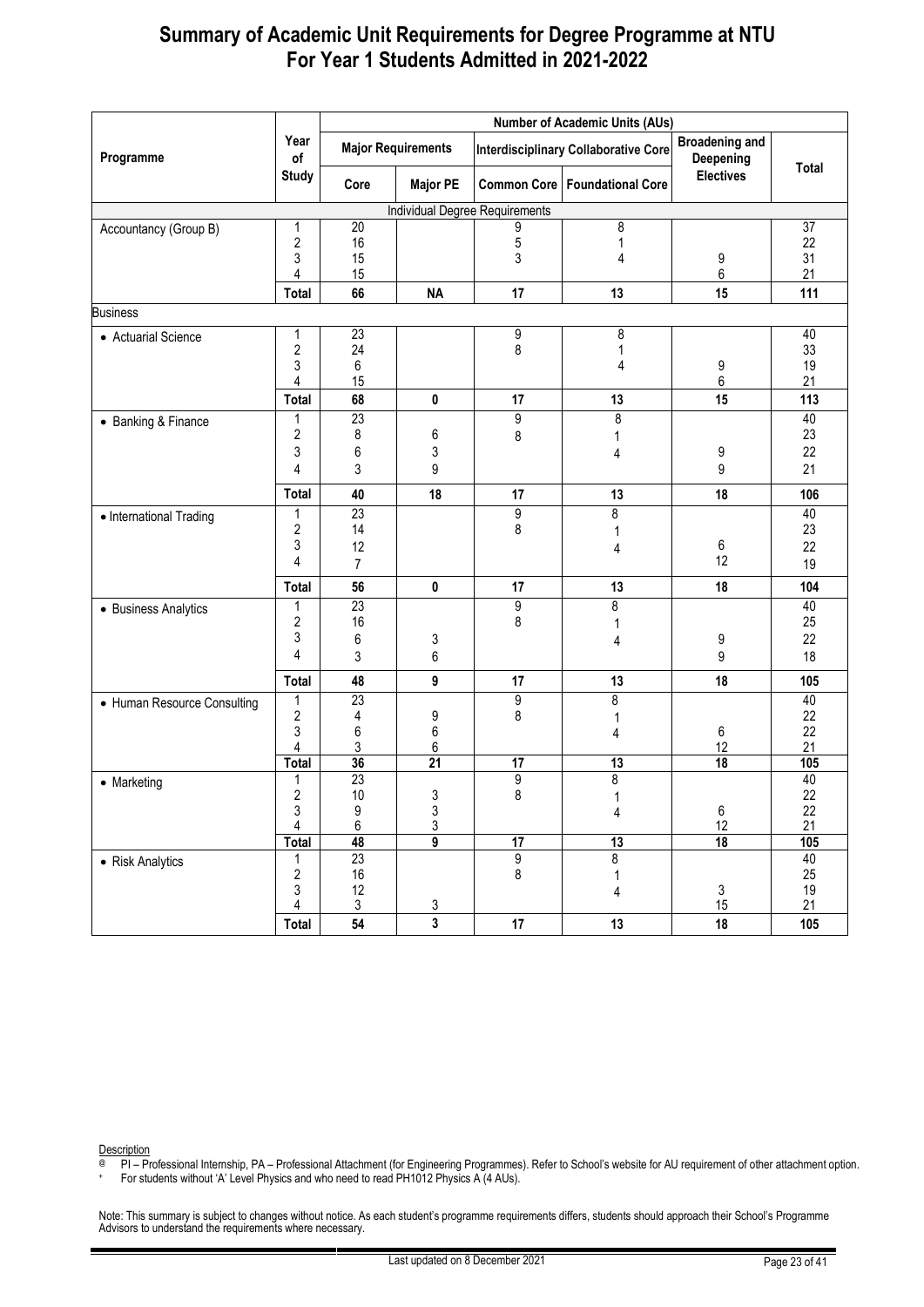|                             |                              | <b>Number of Academic Units (AUs)</b> |                           |                                       |                                             |                                    |              |  |  |
|-----------------------------|------------------------------|---------------------------------------|---------------------------|---------------------------------------|---------------------------------------------|------------------------------------|--------------|--|--|
| Programme                   | Year<br>of                   |                                       | <b>Major Requirements</b> |                                       | <b>Interdisciplinary Collaborative Core</b> | <b>Broadening and</b><br>Deepening |              |  |  |
|                             | <b>Study</b>                 | Core                                  | <b>Major PE</b>           |                                       | <b>Common Core   Foundational Core</b>      | <b>Electives</b>                   | <b>Total</b> |  |  |
|                             |                              |                                       |                           | <b>Individual Degree Requirements</b> |                                             |                                    |              |  |  |
| Accountancy (Group B)       | 1                            | 20                                    |                           | 9                                     | 8                                           |                                    | 37           |  |  |
|                             | $\overline{c}$               | 16                                    |                           | 5                                     | 1                                           |                                    | 22           |  |  |
|                             | 3<br>4                       | 15<br>15                              |                           | 3                                     | 4                                           | 9<br>6                             | 31<br>21     |  |  |
|                             | Total                        | 66                                    | <b>NA</b>                 | 17                                    | 13                                          | 15                                 | 111          |  |  |
| <b>Business</b>             |                              |                                       |                           |                                       |                                             |                                    |              |  |  |
| • Actuarial Science         | 1                            | 23                                    |                           | 9                                     | 8                                           |                                    | 40           |  |  |
|                             | 2                            | 24                                    |                           | 8                                     | 1                                           |                                    | 33           |  |  |
|                             | 3                            | 6                                     |                           |                                       | 4                                           | 9                                  | 19           |  |  |
|                             | 4                            | 15                                    |                           |                                       |                                             | 6                                  | 21           |  |  |
|                             | Total                        | 68                                    | 0                         | 17                                    | 13                                          | 15                                 | 113          |  |  |
| • Banking & Finance         | 1                            | 23                                    |                           | 9                                     | 8                                           |                                    | 40           |  |  |
|                             | 2                            | 8                                     | 6                         | 8                                     | 1                                           |                                    | 23           |  |  |
|                             | 3                            | 6                                     | 3                         |                                       | 4                                           | 9                                  | 22           |  |  |
|                             | 4                            | 3                                     | 9                         |                                       |                                             | 9                                  | 21           |  |  |
|                             | Total                        | 40                                    | 18                        | 17                                    | 13                                          | 18                                 | 106          |  |  |
| • International Trading     | 1                            | $\overline{23}$                       |                           | 9                                     | 8                                           |                                    | 40           |  |  |
|                             | 2                            | 14                                    |                           | 8                                     |                                             |                                    | 23           |  |  |
|                             | 3                            | 12                                    |                           |                                       | 4                                           | 6<br>12                            | 22           |  |  |
|                             | 4                            | $\overline{7}$                        |                           |                                       |                                             |                                    | 19           |  |  |
|                             | <b>Total</b>                 | 56                                    | 0                         | 17                                    | 13                                          | 18                                 | 104          |  |  |
| • Business Analytics        | 1                            | $\overline{23}$                       |                           | 9                                     | 8                                           |                                    | 40           |  |  |
|                             | 2                            | 16                                    |                           | 8                                     |                                             |                                    | 25           |  |  |
|                             | 3                            | 6                                     | 3                         |                                       | 4                                           | 9                                  | 22           |  |  |
|                             | 4                            | 3                                     | 6                         |                                       |                                             | 9                                  | 18           |  |  |
|                             | Total                        | 48                                    | 9                         | 17                                    | 13                                          | 18                                 | 105          |  |  |
| • Human Resource Consulting | 1                            | $\overline{23}$                       |                           | 9                                     | 8                                           |                                    | 40           |  |  |
|                             | 2                            | 4                                     | 9                         | 8                                     |                                             |                                    | 22<br>22     |  |  |
|                             | 3<br>4                       | 6<br>3                                | 6<br>6                    |                                       | 4                                           | 6<br>12                            | 21           |  |  |
|                             | Total                        | 36                                    | $\overline{21}$           | 17                                    | 13                                          | $\overline{18}$                    | 105          |  |  |
| • Marketing                 | 1                            | 23                                    |                           | 9                                     | $\overline{8}$                              |                                    | 40           |  |  |
|                             | 2                            | 10                                    | 3                         | 8                                     | 1                                           |                                    | 22           |  |  |
|                             | 3<br>4                       | $\begin{array}{c} 9 \\ 6 \end{array}$ | $\frac{3}{3}$             |                                       | 4                                           | 6                                  | 22           |  |  |
|                             |                              |                                       |                           |                                       |                                             | 12                                 | 21           |  |  |
|                             | <b>Total</b>                 | 48                                    | $\overline{9}$            | $\overline{17}$                       | 13                                          | 18                                 | 105          |  |  |
| • Risk Analytics            | 1                            | 23                                    |                           | 9                                     | $\overline{\boldsymbol{8}}$                 |                                    | 40           |  |  |
|                             | $\overline{\mathbf{c}}$<br>3 | 16<br>12                              |                           | 8                                     | 1                                           | $\mathsf 3$                        | 25<br>19     |  |  |
|                             | 4                            | $\mathfrak{Z}$                        |                           |                                       | 4                                           | 15                                 | 21           |  |  |
|                             | Total                        | 54                                    | $\frac{3}{3}$             | 17                                    | 13                                          | 18                                 | 105          |  |  |

Description

@ PI – Professional Internship, PA – Professional Attachment (for Engineering Programmes). Refer to School's website for AU requirement of other attachment option.

+ For students without 'A' Level Physics and who need to read PH1012 Physics A (4 AUs).

Note: This summary is subject to changes without notice. As each student's programme requirements differs, students should approach their School's Programme<br>Advisors to understand the requirements where necessary.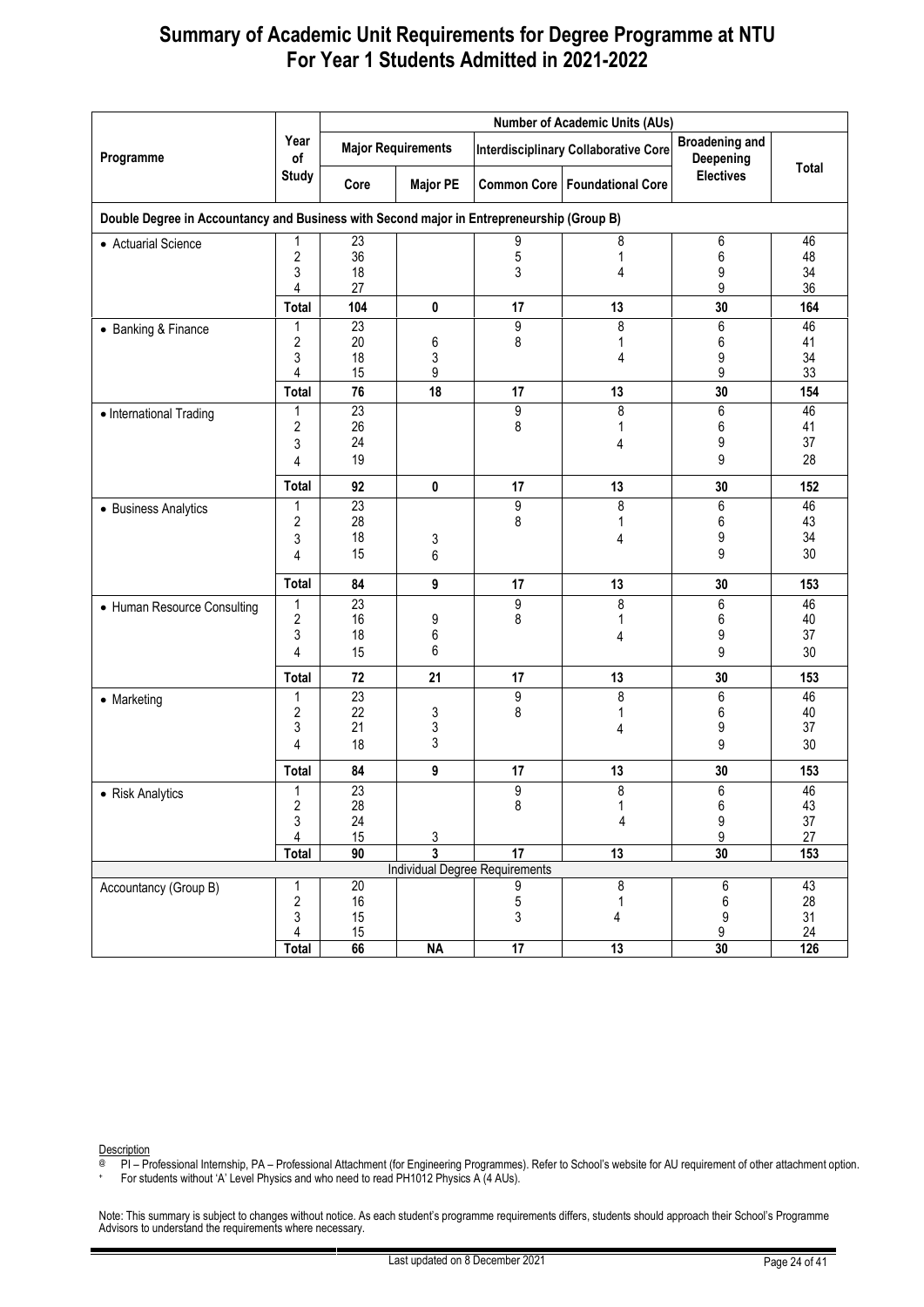|                             |                                                                                           | <b>Number of Academic Units (AUs)</b> |                           |                                |                                             |                                    |                  |  |  |  |  |  |  |
|-----------------------------|-------------------------------------------------------------------------------------------|---------------------------------------|---------------------------|--------------------------------|---------------------------------------------|------------------------------------|------------------|--|--|--|--|--|--|
| Programme                   | Year<br>of                                                                                |                                       | <b>Major Requirements</b> |                                | <b>Interdisciplinary Collaborative Core</b> | <b>Broadening and</b><br>Deepening |                  |  |  |  |  |  |  |
|                             | <b>Study</b>                                                                              | Core                                  | <b>Major PE</b>           |                                | <b>Common Core   Foundational Core</b>      | <b>Electives</b>                   | Total            |  |  |  |  |  |  |
|                             | Double Degree in Accountancy and Business with Second major in Entrepreneurship (Group B) |                                       |                           |                                |                                             |                                    |                  |  |  |  |  |  |  |
| • Actuarial Science         | 1                                                                                         | 23                                    |                           | 9                              | 8                                           | 6                                  | 46               |  |  |  |  |  |  |
|                             | 2<br>3                                                                                    | 36<br>18                              |                           | 5<br>3                         | 1<br>4                                      | 6<br>9                             | 48<br>34         |  |  |  |  |  |  |
|                             | 4                                                                                         | 27                                    |                           |                                |                                             | 9                                  | 36               |  |  |  |  |  |  |
|                             | <b>Total</b>                                                                              | 104                                   | 0                         | 17                             | 13                                          | 30                                 | 164              |  |  |  |  |  |  |
| • Banking & Finance         | 1                                                                                         | 23                                    |                           | 9                              | 8                                           | 6                                  | 46               |  |  |  |  |  |  |
|                             | 2                                                                                         | 20                                    | 6                         | 8                              | 1                                           | $\,6\,$                            | 41               |  |  |  |  |  |  |
|                             | 3<br>4                                                                                    | 18<br>15                              | 3<br>9                    |                                | 4                                           | 9<br>9                             | 34<br>33         |  |  |  |  |  |  |
|                             | Total                                                                                     | 76                                    | 18                        | 17                             | 13                                          | 30                                 | 154              |  |  |  |  |  |  |
| • International Trading     | 1                                                                                         | $\overline{23}$                       |                           | 9                              | 8                                           | $\overline{6}$                     | 46               |  |  |  |  |  |  |
|                             | 2                                                                                         | 26                                    |                           | 8                              | 1                                           | 6                                  | 41               |  |  |  |  |  |  |
|                             | 3                                                                                         | 24                                    |                           |                                | 4                                           | 9                                  | 37               |  |  |  |  |  |  |
|                             | 4                                                                                         | 19                                    |                           |                                |                                             | 9                                  | 28               |  |  |  |  |  |  |
|                             | Total                                                                                     | 92                                    | $\pmb{0}$                 | 17                             | 13                                          | 30                                 | 152              |  |  |  |  |  |  |
| • Business Analytics        | 1                                                                                         | $\overline{23}$                       |                           | 9                              | 8                                           | 6                                  | 46               |  |  |  |  |  |  |
|                             | 2                                                                                         | 28                                    |                           | 8                              | 1                                           | 6                                  | 43               |  |  |  |  |  |  |
|                             | 3                                                                                         | 18                                    | 3                         |                                | 4                                           | 9                                  | 34               |  |  |  |  |  |  |
|                             | 4                                                                                         | 15                                    | 6                         |                                |                                             | 9                                  | 30               |  |  |  |  |  |  |
|                             | Total                                                                                     | 84                                    | 9                         | 17                             | 13                                          | 30                                 | 153              |  |  |  |  |  |  |
| • Human Resource Consulting | 1                                                                                         | 23                                    |                           | 9                              | 8                                           | 6                                  | 46               |  |  |  |  |  |  |
|                             | 2                                                                                         | 16                                    | 9                         | 8                              | 1                                           | 6                                  | 40               |  |  |  |  |  |  |
|                             | 3<br>4                                                                                    | 18<br>15                              | $\boldsymbol{6}$<br>6     |                                | 4                                           | 9<br>9                             | 37<br>30         |  |  |  |  |  |  |
|                             |                                                                                           |                                       |                           |                                |                                             |                                    |                  |  |  |  |  |  |  |
|                             | Total                                                                                     | 72<br>23                              | 21                        | 17                             | 13                                          | 30                                 | 153              |  |  |  |  |  |  |
| • Marketing                 | 1<br>2                                                                                    | 22                                    | 3                         | 9<br>8                         | 8<br>1                                      | 6<br>6                             | 46<br>40         |  |  |  |  |  |  |
|                             | 3                                                                                         | 21                                    | 3                         |                                | 4                                           | 9                                  | 37               |  |  |  |  |  |  |
|                             | 4                                                                                         | 18                                    | 3                         |                                |                                             | 9                                  | 30               |  |  |  |  |  |  |
|                             | Total                                                                                     | 84                                    | 9                         | 17                             | 13                                          | 30                                 | 153              |  |  |  |  |  |  |
| • Risk Analytics            | 1                                                                                         | $\overline{23}$                       |                           | 9                              | $\overline{8}$                              | 6                                  | 46               |  |  |  |  |  |  |
|                             | $\overline{\mathbf{c}}$                                                                   | 28                                    |                           | 8                              | $\mathbf{1}$                                | $\boldsymbol{6}$                   | $43\,$           |  |  |  |  |  |  |
|                             | 3<br>4                                                                                    | 24                                    |                           |                                | 4                                           | $\boldsymbol{9}$<br>9              | $37\,$<br>$27\,$ |  |  |  |  |  |  |
|                             | <b>Total</b>                                                                              | 15<br>90                              | $\frac{3}{3}$             | $\overline{17}$                | 13                                          | 30                                 | 153              |  |  |  |  |  |  |
|                             |                                                                                           |                                       |                           | Individual Degree Requirements |                                             |                                    |                  |  |  |  |  |  |  |
| Accountancy (Group B)       | 1                                                                                         | $\overline{20}$                       |                           | 9                              | 8                                           | 6                                  | 43               |  |  |  |  |  |  |
|                             | $\overline{\mathbf{c}}$                                                                   | 16                                    |                           | 5                              | 1                                           | $\,6$                              | 28               |  |  |  |  |  |  |
|                             | 3                                                                                         | 15                                    |                           | 3                              | 4                                           | 9                                  | 31               |  |  |  |  |  |  |
|                             | 4<br><b>Total</b>                                                                         | 15<br>66                              | <b>NA</b>                 | $\overline{17}$                | 13                                          | 9<br>30                            | 24<br>126        |  |  |  |  |  |  |

Description

@ PI – Professional Internship, PA – Professional Attachment (for Engineering Programmes). Refer to School's website for AU requirement of other attachment option.

+ For students without 'A' Level Physics and who need to read PH1012 Physics A (4 AUs).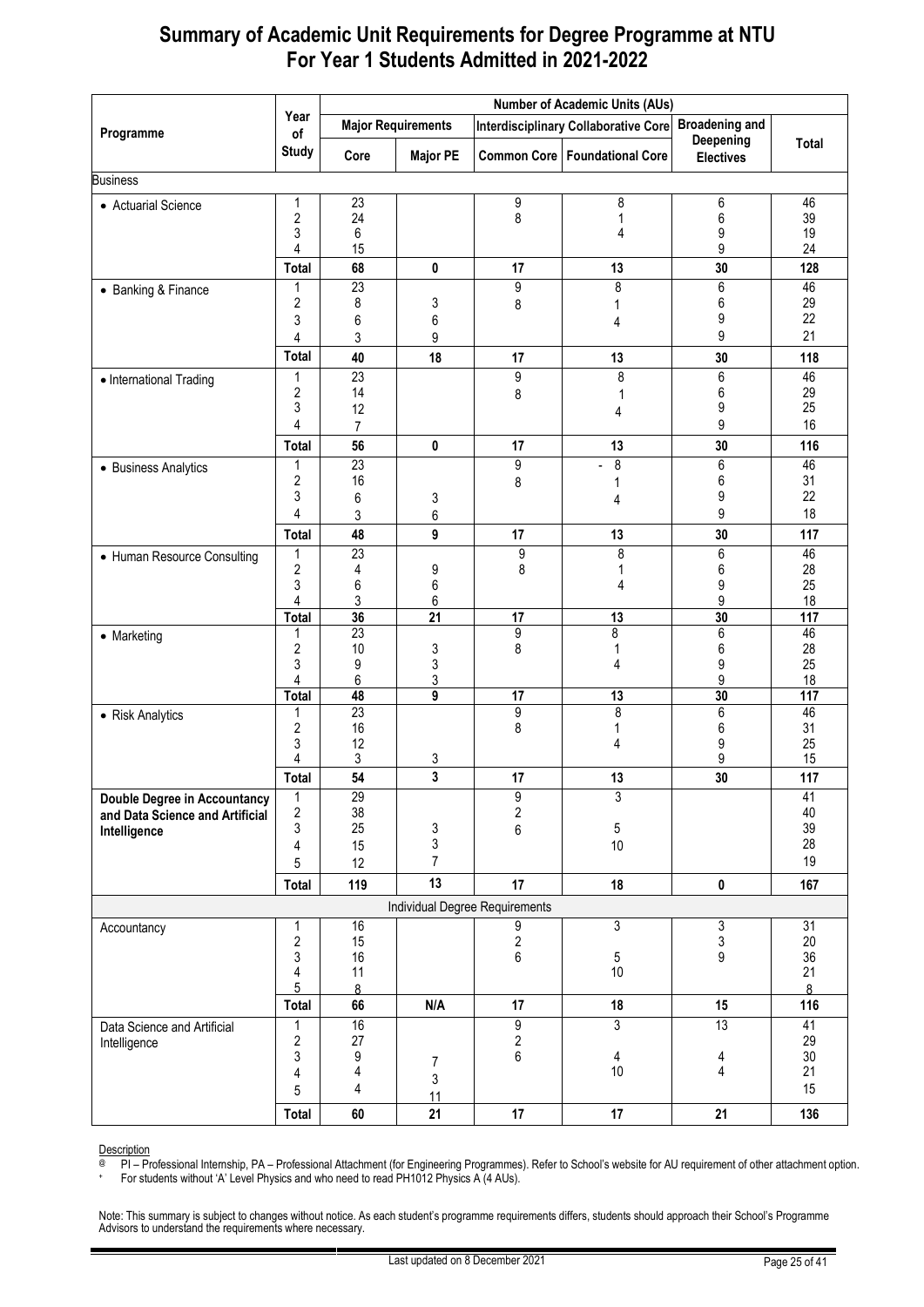|                                                                 |                              |                       |                           |                                   | <b>Number of Academic Units (AUs)</b>       |                               |              |
|-----------------------------------------------------------------|------------------------------|-----------------------|---------------------------|-----------------------------------|---------------------------------------------|-------------------------------|--------------|
| Programme                                                       | Year<br>of                   |                       | <b>Major Requirements</b> |                                   | <b>Interdisciplinary Collaborative Core</b> | <b>Broadening and</b>         |              |
|                                                                 | <b>Study</b>                 | Core                  | <b>Major PE</b>           |                                   | <b>Common Core   Foundational Core</b>      | Deepening<br><b>Electives</b> | <b>Total</b> |
| <b>Business</b>                                                 |                              |                       |                           |                                   |                                             |                               |              |
| • Actuarial Science                                             | 1                            | $\overline{23}$       |                           | 9                                 | 8                                           | 6                             | 46           |
|                                                                 | $\overline{c}$<br>3          | 24<br>6               |                           | 8                                 | 1<br>4                                      | 6<br>9                        | 39<br>19     |
|                                                                 | 4                            | 15                    |                           |                                   |                                             | 9                             | 24           |
|                                                                 | Total                        | 68                    | 0                         | 17                                | 13                                          | 30                            | 128          |
| • Banking & Finance                                             | 1                            | $\overline{23}$       |                           | 9                                 | 8                                           | 6                             | 46           |
|                                                                 | 2                            | 8                     | 3                         | 8                                 | 1                                           | 6                             | 29           |
|                                                                 | 3                            | 6                     | 6                         |                                   | 4                                           | 9                             | 22           |
|                                                                 | 4                            | 3                     | 9                         |                                   |                                             | 9                             | 21           |
|                                                                 | <b>Total</b>                 | 40                    | 18                        | 17                                | 13                                          | 30                            | 118          |
| • International Trading                                         | 1<br>$\overline{c}$          | $\overline{23}$<br>14 |                           | 9                                 | 8                                           | 6<br>6                        | 46<br>29     |
|                                                                 | 3                            | 12                    |                           | 8                                 | 1<br>4                                      | 9                             | 25           |
|                                                                 | 4                            | $\overline{7}$        |                           |                                   |                                             | 9                             | 16           |
|                                                                 | Total                        | 56                    | 0                         | 17                                | 13                                          | 30                            | 116          |
| • Business Analytics                                            | 1                            | $\overline{23}$       |                           | 9                                 | 8<br>٠                                      | 6                             | 46           |
|                                                                 | 2                            | 16                    |                           | 8                                 | 1                                           | 6                             | 31           |
|                                                                 | 3<br>4                       | 6                     | 3                         |                                   | 4                                           | 9<br>9                        | 22<br>18     |
|                                                                 |                              | 3                     | 6                         |                                   |                                             |                               |              |
|                                                                 | Total<br>1                   | 48<br>23              | 9                         | 17<br>9                           | 13<br>$\bf 8$                               | 30<br>$\overline{6}$          | 117<br>46    |
| • Human Resource Consulting                                     | $\overline{c}$               | 4                     | 9                         | 8                                 | 1                                           | 6                             | 28           |
|                                                                 | 3                            | 6                     | 6                         |                                   | 4                                           | 9                             | 25           |
|                                                                 | 4                            | 3                     | 6                         |                                   |                                             | 9                             | 18           |
|                                                                 | <b>Total</b><br>1            | 36<br>23              | $\overline{21}$           | 17<br>9                           | $\overline{13}$<br>8                        | 30<br>6                       | 117<br>46    |
| • Marketing                                                     | $\overline{\mathbf{c}}$      | 10                    | 3                         | 8                                 | 1                                           | 6                             | 28           |
|                                                                 | 3                            | 9                     | 3                         |                                   | 4                                           | 9                             | 25           |
|                                                                 | 4                            | 6                     | 3                         |                                   |                                             | 9                             | 18           |
|                                                                 | <b>Total</b><br>1            | 48<br>23              | 9                         | $\overline{17}$<br>$\overline{9}$ | $\overline{13}$<br>$\bf 8$                  | 30<br>$\overline{6}$          | 117<br>46    |
| • Risk Analytics                                                | $\overline{\mathbf{c}}$      | 16                    |                           | 8                                 | 1                                           | 6                             | 31           |
|                                                                 | 3                            | 12                    |                           |                                   | 4                                           | 9                             | 25           |
|                                                                 | 4                            | 3                     | 3                         |                                   |                                             | 9                             | 15           |
|                                                                 | Total                        | 54                    | 3                         | 17                                | 13                                          | 30                            | 117          |
| Double Degree in Accountancy<br>and Data Science and Artificial | $\mathbf{1}$<br>$\sqrt{2}$   | 29<br>38              |                           | 9<br>$\overline{\mathbf{c}}$      | 3                                           |                               | 41<br>40     |
| Intelligence                                                    | 3                            | 25                    | 3                         | 6                                 | 5                                           |                               | 39           |
|                                                                 | 4                            | 15                    | 3                         |                                   | 10                                          |                               | 28           |
|                                                                 | 5                            | 12                    | $\overline{7}$            |                                   |                                             |                               | 19           |
|                                                                 | <b>Total</b>                 | 119                   | 13                        | 17                                | 18                                          | 0                             | 167          |
|                                                                 |                              |                       |                           | Individual Degree Requirements    |                                             |                               |              |
| Accountancy                                                     | 1                            | 16                    |                           | 9                                 | 3                                           | 3                             | 31           |
|                                                                 | $\overline{\mathbf{c}}$<br>3 | 15<br>16              |                           | $\frac{2}{6}$                     |                                             | 3<br>9                        | 20<br>36     |
|                                                                 | 4                            | 11                    |                           |                                   | 5<br>10                                     |                               | 21           |
|                                                                 | 5                            | $\delta$              |                           |                                   |                                             |                               | 8            |
|                                                                 | <b>Total</b>                 | 66                    | N/A                       | 17                                | 18                                          | 15                            | 116          |
| Data Science and Artificial                                     | 1                            | 16                    |                           | 9                                 | 3                                           | 13                            | 41           |
| Intelligence                                                    | 2<br>3                       | 27<br>9               |                           | $\overline{\mathbf{2}}$<br>6      |                                             |                               | 29<br>30     |
|                                                                 | 4                            | 4                     | 7                         |                                   | 4<br>$10$                                   | 4<br>4                        | 21           |
|                                                                 | 5                            | 4                     | 3                         |                                   |                                             |                               | 15           |
|                                                                 | <b>Total</b>                 | 60                    | 11<br>21                  | 17                                | 17                                          | 21                            | 136          |
|                                                                 |                              |                       |                           |                                   |                                             |                               |              |

Description

@ PI – Professional Internship, PA – Professional Attachment (for Engineering Programmes). Refer to School's website for AU requirement of other attachment option.

+ For students without 'A' Level Physics and who need to read PH1012 Physics A (4 AUs).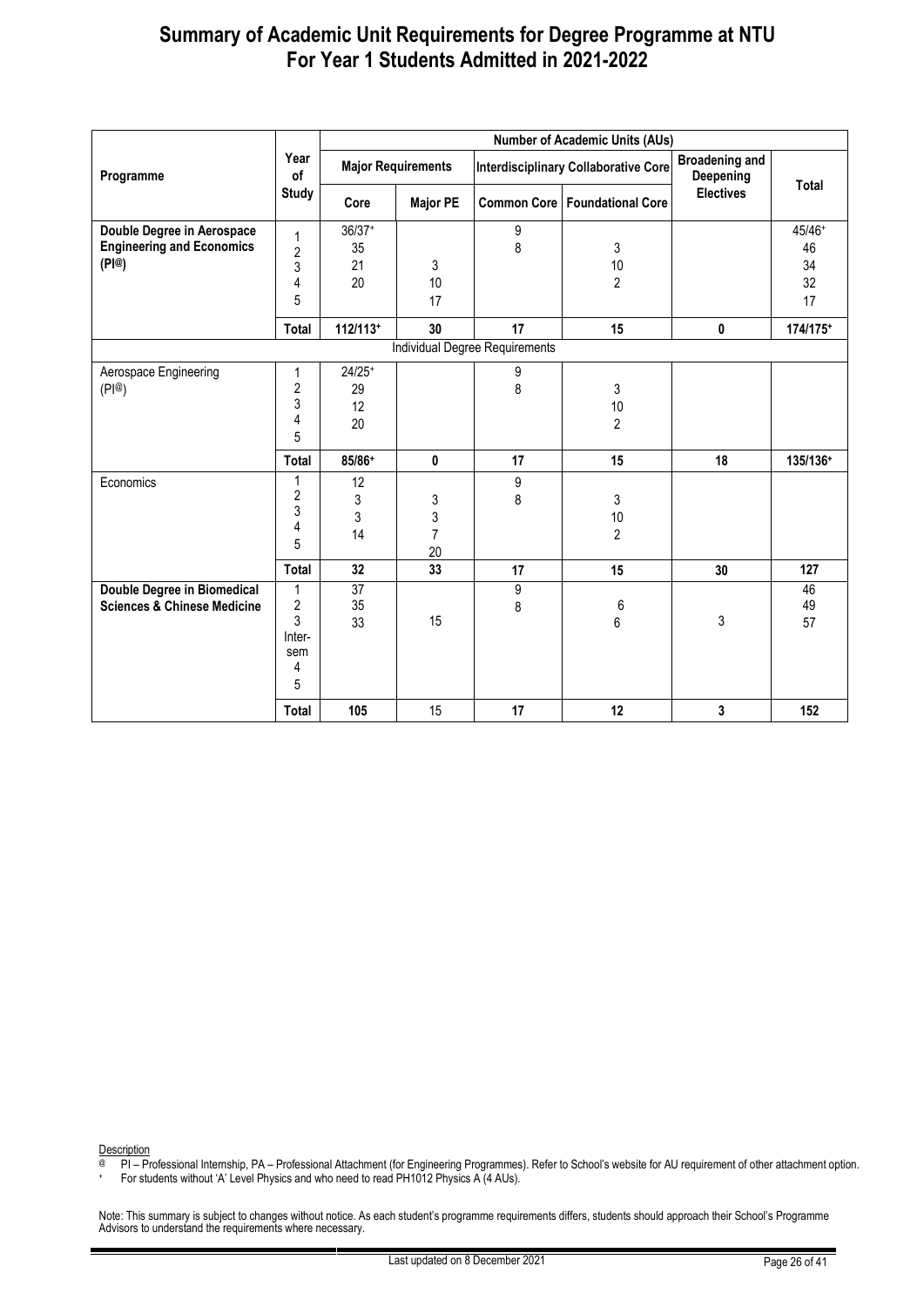|                                                                         |                                                                                   |                                      |                                |                                       | <b>Number of Academic Units (AUs)</b>       |                                    |                                |  |
|-------------------------------------------------------------------------|-----------------------------------------------------------------------------------|--------------------------------------|--------------------------------|---------------------------------------|---------------------------------------------|------------------------------------|--------------------------------|--|
| Programme                                                               | Year<br>of                                                                        |                                      | <b>Major Requirements</b>      |                                       | <b>Interdisciplinary Collaborative Core</b> | <b>Broadening and</b><br>Deepening | <b>Total</b>                   |  |
|                                                                         | <b>Study</b><br><b>Common Core   Foundational Core</b><br><b>Major PE</b><br>Core |                                      |                                | <b>Electives</b>                      |                                             |                                    |                                |  |
| Double Degree in Aerospace<br><b>Engineering and Economics</b><br>(PI@) | 1<br>2<br>3<br>4<br>5                                                             | $36/37+$<br>35<br>21<br>20           | 3<br>10<br>17                  | 9<br>8<br>3<br>10<br>$\overline{2}$   |                                             |                                    | 45/46+<br>46<br>34<br>32<br>17 |  |
|                                                                         | <b>Total</b>                                                                      | $112/113$ <sup>+</sup>               | 30                             | 17                                    | 15                                          | 0                                  | 174/175+                       |  |
|                                                                         |                                                                                   |                                      |                                | <b>Individual Degree Requirements</b> |                                             |                                    |                                |  |
| Aerospace Engineering<br>(PI@)                                          | 1<br>$\overline{\mathbf{c}}$<br>3<br>4<br>5<br>Total                              | $24/25+$<br>29<br>12<br>20<br>85/86+ | $\pmb{0}$                      | 9<br>8<br>17                          | 3<br>10<br>$\overline{2}$<br>15             | 18                                 | 135/136+                       |  |
| Economics                                                               | 1<br>2<br>3<br>4<br>5                                                             | 12<br>3<br>3<br>14                   | 3<br>3<br>$\overline{7}$<br>20 | 9<br>8                                | 3<br>10<br>$\overline{2}$                   |                                    |                                |  |
|                                                                         | Total                                                                             | 32                                   | 33                             | 17                                    | 15                                          | 30                                 | 127                            |  |
| Double Degree in Biomedical<br><b>Sciences &amp; Chinese Medicine</b>   | 1<br>$\overline{\mathbf{c}}$<br>3<br>Inter-<br>sem<br>4<br>5                      | 37<br>35<br>33                       | 15                             | 9<br>8                                | 6<br>6                                      | 3                                  | 46<br>49<br>57                 |  |
|                                                                         | Total                                                                             | 105                                  | 15                             | 17                                    | 12                                          | 3                                  | 152                            |  |

Description

@ PI – Professional Internship, PA – Professional Attachment (for Engineering Programmes). Refer to School's website for AU requirement of other attachment option.

+ For students without 'A' Level Physics and who need to read PH1012 Physics A (4 AUs).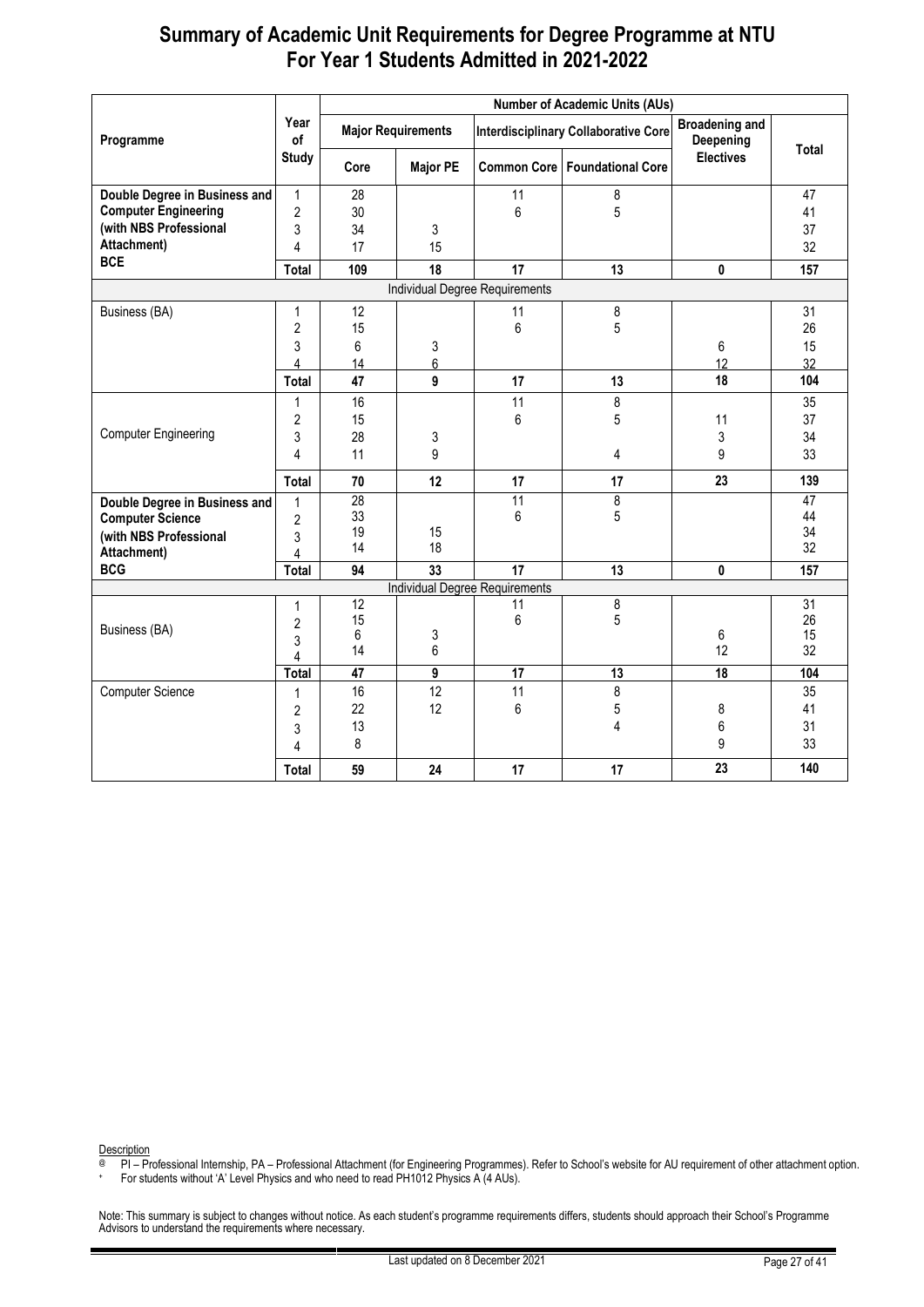|                               |                |                 |                           |                                | <b>Number of Academic Units (AUs)</b>       |                                    |                 |
|-------------------------------|----------------|-----------------|---------------------------|--------------------------------|---------------------------------------------|------------------------------------|-----------------|
| Programme                     | Year<br>of     |                 | <b>Major Requirements</b> |                                | <b>Interdisciplinary Collaborative Core</b> | <b>Broadening and</b><br>Deepening | Total           |
|                               | <b>Study</b>   | Core            | <b>Major PE</b>           |                                | <b>Common Core   Foundational Core</b>      | <b>Electives</b>                   |                 |
| Double Degree in Business and | $\mathbf{1}$   | 28              |                           | 11                             | 8                                           |                                    | 47              |
| <b>Computer Engineering</b>   | $\overline{c}$ | 30              |                           | 6                              | 5                                           |                                    | 41              |
| (with NBS Professional        | 3              | 34              | 3                         |                                |                                             |                                    | 37              |
| Attachment)                   | 4              | 17              | 15                        |                                |                                             |                                    | 32              |
| <b>BCE</b>                    | Total          | 109             | 18                        | 17                             | 13                                          | 0                                  | 157             |
|                               |                |                 |                           | Individual Degree Requirements |                                             |                                    |                 |
| Business (BA)                 | 1              | 12              |                           | 31                             |                                             |                                    |                 |
|                               | 2              | 15              |                           | 11<br>6                        | 8<br>5                                      |                                    | 26              |
|                               | 3              | 6               | 3                         |                                |                                             | 6                                  | 15              |
|                               | 4              | 14              | 6                         |                                |                                             | 12                                 | 32              |
|                               | Total          | 47              | 9                         | 17                             | 13                                          | 18                                 | 104             |
|                               | $\mathbf{1}$   | 16              |                           | 11                             | 8                                           |                                    | 35              |
|                               | 2              | 15              |                           | 6                              | 5                                           | 11                                 | 37              |
| <b>Computer Engineering</b>   | 3              | 28              | 3                         |                                |                                             | 3                                  | 34              |
|                               | 4              | 11              | 9                         |                                | 4                                           | 9                                  | 33              |
|                               | <b>Total</b>   | 70              | 12                        | 17                             | 17                                          | 23                                 | 139             |
| Double Degree in Business and | $\mathbf{1}$   | $\overline{28}$ |                           | 11                             | 8                                           |                                    | $\overline{47}$ |
| <b>Computer Science</b>       | $\overline{2}$ | 33              |                           | 6                              | 5                                           |                                    | 44              |
| (with NBS Professional        | 3              | 19              | 15                        |                                |                                             |                                    | 34              |
| Attachment)                   | 4              | 14              | 18                        |                                |                                             |                                    | 32              |
| <b>BCG</b>                    | Total          | 94              | 33                        | 17                             | 13                                          | 0                                  | 157             |
|                               |                |                 |                           | Individual Degree Requirements |                                             |                                    |                 |
|                               | 1              | $\overline{12}$ |                           | 11                             | 8                                           |                                    | $\overline{31}$ |
| Business (BA)                 | $\overline{2}$ | 15<br>6         |                           | 6                              | 5                                           | 6                                  | 26<br>15        |
|                               | 3              | 14              | 3<br>6                    |                                |                                             | 12                                 | 32              |
|                               | 4              | 47              |                           |                                |                                             |                                    |                 |
|                               | <b>Total</b>   |                 | $\overline{9}$<br>12      | $\overline{17}$<br>11          | 13                                          | 18                                 | 104<br>35       |
| Computer Science              | $\mathbf{1}$   | 16<br>22        | 12                        | 6                              | 8<br>5                                      | 8                                  | 41              |
|                               | $\overline{2}$ | 13              |                           |                                | 4                                           | 6                                  | 31              |
|                               | 3              | 8               |                           |                                |                                             | 9                                  | 33              |
|                               | 4              |                 |                           |                                |                                             |                                    |                 |
|                               | Total          | 59              | 24                        | 17                             | 17                                          | 23                                 | 140             |

Description

@ PI – Professional Internship, PA – Professional Attachment (for Engineering Programmes). Refer to School's website for AU requirement of other attachment option.

+ For students without 'A' Level Physics and who need to read PH1012 Physics A (4 AUs).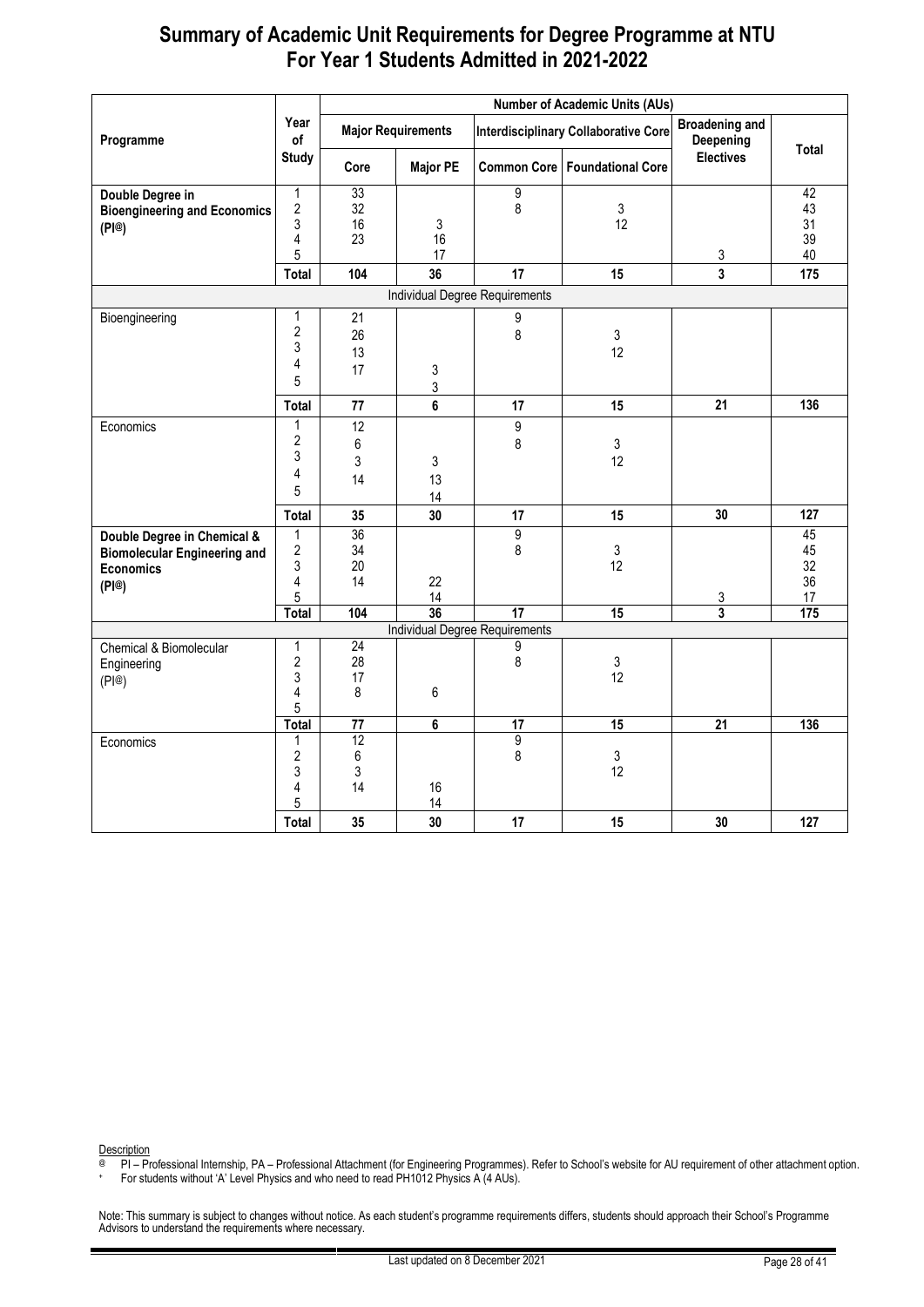|                                                                                                 |                                             |                      | <b>Number of Academic Units (AUs)</b> |                                                 |                                             |                                    |                            |  |  |  |
|-------------------------------------------------------------------------------------------------|---------------------------------------------|----------------------|---------------------------------------|-------------------------------------------------|---------------------------------------------|------------------------------------|----------------------------|--|--|--|
| Programme                                                                                       | Year<br>of                                  |                      | <b>Major Requirements</b>             |                                                 | <b>Interdisciplinary Collaborative Core</b> | <b>Broadening and</b><br>Deepening |                            |  |  |  |
|                                                                                                 | <b>Study</b>                                | Core                 | <b>Major PE</b>                       |                                                 | <b>Common Core   Foundational Core</b>      | <b>Electives</b>                   | <b>Total</b>               |  |  |  |
| Double Degree in<br><b>Bioengineering and Economics</b><br>(PI@)                                | 1<br>2<br>3<br>4<br>5                       | 33<br>32<br>16<br>23 | 3<br>16<br>17                         | 9<br>8                                          | 3<br>12                                     | $\mathsf 3$                        | 42<br>43<br>31<br>39<br>40 |  |  |  |
|                                                                                                 | Total                                       | 104                  | 36                                    | 17                                              | 15                                          | 3                                  | 175                        |  |  |  |
|                                                                                                 |                                             |                      |                                       | Individual Degree Requirements                  |                                             |                                    |                            |  |  |  |
| Bioengineering                                                                                  | 1<br>$\overline{\mathbf{c}}$<br>3<br>4<br>5 | 21<br>26<br>13<br>17 | 3<br>3                                | 9<br>8                                          | 3<br>12                                     |                                    |                            |  |  |  |
|                                                                                                 | Total                                       | 77                   | 6                                     | 17                                              | 15                                          | 21                                 | 136                        |  |  |  |
| Economics                                                                                       | 1<br>$\overline{\mathbf{c}}$<br>3<br>4<br>5 | 12<br>6<br>3<br>14   | 3<br>13<br>14                         | 9<br>8                                          | 3<br>12                                     |                                    |                            |  |  |  |
|                                                                                                 | Total                                       | 35                   | 30                                    | 17                                              | 15                                          | 30                                 | 127                        |  |  |  |
| Double Degree in Chemical &<br><b>Biomolecular Engineering and</b><br><b>Economics</b><br>(PI@) | 1<br>2<br>3<br>4<br>5                       | 36<br>34<br>20<br>14 | 22<br>14                              | $\overline{9}$<br>8                             | 3<br>12                                     | 3                                  | 45<br>45<br>32<br>36<br>17 |  |  |  |
|                                                                                                 | Total                                       | 104                  | 36                                    | $\overline{17}$                                 | 15                                          | 3                                  | 175                        |  |  |  |
| Chemical & Biomolecular<br>Engineering<br>(PI@)                                                 | 1<br>$\overline{2}$<br>3<br>4<br>5          | 24<br>28<br>17<br>8  | 6                                     | <b>Individual Degree Requirements</b><br>9<br>8 | 3<br>12                                     |                                    |                            |  |  |  |
|                                                                                                 | <b>Total</b>                                | 77                   | 6                                     | 17                                              | 15                                          | 21                                 | 136                        |  |  |  |
| Economics                                                                                       | 1<br>$\overline{2}$<br>3<br>4<br>5          | 12<br>6<br>3<br>14   | 16<br>14                              | 9<br>8                                          | 3<br>12                                     |                                    |                            |  |  |  |
|                                                                                                 | Total                                       | 35                   | 30                                    | 17                                              | 15                                          | 30                                 | 127                        |  |  |  |

Description

@ PI – Professional Internship, PA – Professional Attachment (for Engineering Programmes). Refer to School's website for AU requirement of other attachment option.

+ For students without 'A' Level Physics and who need to read PH1012 Physics A (4 AUs).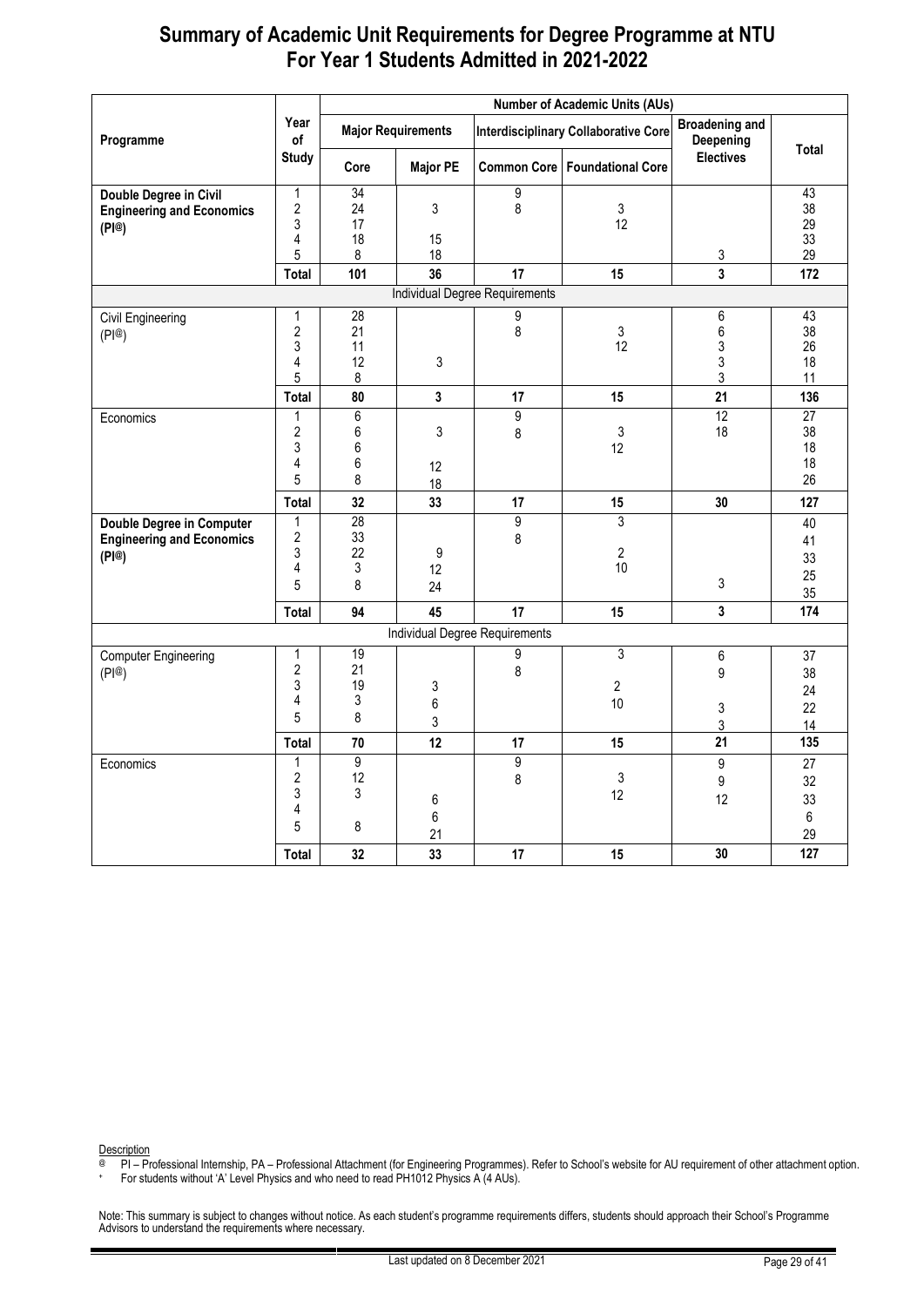|                                  |                         |                      |                           | <b>Number of Academic Units (AUs)</b> |                                             |                                    |                       |
|----------------------------------|-------------------------|----------------------|---------------------------|---------------------------------------|---------------------------------------------|------------------------------------|-----------------------|
| Programme                        | Year<br>of              |                      | <b>Major Requirements</b> |                                       | <b>Interdisciplinary Collaborative Core</b> | <b>Broadening and</b><br>Deepening | Total                 |
|                                  | <b>Study</b>            | Core                 | <b>Major PE</b>           |                                       | Common Core   Foundational Core             | <b>Electives</b>                   |                       |
| Double Degree in Civil           | $\mathbf{1}$            | $\overline{34}$      |                           | 9                                     |                                             |                                    | 43                    |
| <b>Engineering and Economics</b> | $\overline{2}$<br>3     | 24<br>17             | $\mathfrak{Z}$            | 8                                     | $\mathfrak{Z}$<br>12                        |                                    | 38<br>29              |
| (PI@)                            | 4                       | 18                   | 15                        |                                       |                                             |                                    | 33                    |
|                                  | 5                       | 8                    | 18                        |                                       |                                             | 3                                  | 29                    |
|                                  | Total                   | 101                  | 36                        | 17                                    | 15                                          | $\mathbf{3}$                       | 172                   |
|                                  |                         |                      |                           | <b>Individual Degree Requirements</b> |                                             |                                    |                       |
| Civil Engineering                | 1                       | 28                   |                           | 9                                     |                                             | 6                                  | 43                    |
| (PI@)                            | $\sqrt{2}$              | 21                   |                           | 8                                     | 3                                           | 6                                  | 38                    |
|                                  | 3                       | 11                   |                           |                                       | 12                                          | 3                                  | 26                    |
|                                  | 4                       | 12                   | 3                         |                                       |                                             | 3                                  | 18                    |
|                                  | 5                       | 8                    |                           |                                       |                                             | $\mathsf 3$                        | 11                    |
|                                  | Total                   | 80                   | $\mathbf{3}$              | 17                                    | 15                                          | 21                                 | 136                   |
| Economics                        | 1                       | 6                    |                           | 9                                     |                                             | 12                                 | $\overline{27}$<br>38 |
|                                  | $\overline{2}$<br>3     | 6<br>6               | 3                         | 8                                     | 3<br>12                                     | 18                                 | 18                    |
|                                  | 4                       | 6                    | $12 \overline{ }$         |                                       |                                             |                                    | 18                    |
|                                  | 5                       | 8                    | 18                        |                                       |                                             |                                    | 26                    |
|                                  | Total                   | 32                   | 33                        | 17                                    | 15                                          | 30                                 | 127                   |
| <b>Double Degree in Computer</b> | $\mathbf{1}$            | 28                   |                           | $\overline{9}$                        | 3                                           |                                    | 40                    |
| <b>Engineering and Economics</b> | $\overline{\mathbf{c}}$ | 33                   |                           | 8                                     |                                             |                                    | 41                    |
| (PI@)                            | 3                       | 22                   | 9                         |                                       | $\sqrt{2}$                                  |                                    | 33                    |
|                                  | 4                       | 3                    | 12                        |                                       | 10                                          |                                    | 25                    |
|                                  | 5                       | 8                    | 24                        |                                       |                                             | 3                                  | 35                    |
|                                  | Total                   | 94                   | 45                        | 17                                    | 15                                          | $\mathbf{3}$                       | 174                   |
|                                  |                         |                      |                           | Individual Degree Requirements        |                                             |                                    |                       |
| <b>Computer Engineering</b>      | 1                       | 19                   |                           | 9                                     | $\overline{3}$                              | 6                                  | 37                    |
| (PI@)                            | $\overline{2}$          | 21                   |                           | 8                                     |                                             | 9                                  | 38                    |
|                                  | 3<br>4                  | 19<br>3              | 3                         |                                       | $\overline{2}$                              |                                    | 24                    |
|                                  | 5                       | 8                    | 6                         |                                       | 10                                          | 3                                  | 22                    |
|                                  |                         |                      | 3                         |                                       |                                             | 3                                  | 14                    |
|                                  | Total                   | 70                   | 12                        | 17                                    | 15                                          | 21                                 | 135                   |
| Economics                        | $\mathbf{1}$            | $\overline{9}$<br>12 |                           | $\overline{9}$                        |                                             | $\boldsymbol{9}$                   | 27                    |
|                                  | $\overline{2}$<br>3     | 3                    |                           | 8                                     | 3<br>12                                     | 9                                  | 32                    |
|                                  | 4                       |                      | 6                         |                                       |                                             | 12                                 | 33                    |
|                                  | 5                       | 8                    | 6                         |                                       |                                             |                                    | 6                     |
|                                  |                         |                      | 21                        |                                       |                                             |                                    | 29                    |
|                                  | Total                   | 32                   | 33                        | 17                                    | 15                                          | 30                                 | 127                   |

Description

@ PI – Professional Internship, PA – Professional Attachment (for Engineering Programmes). Refer to School's website for AU requirement of other attachment option.

+ For students without 'A' Level Physics and who need to read PH1012 Physics A (4 AUs).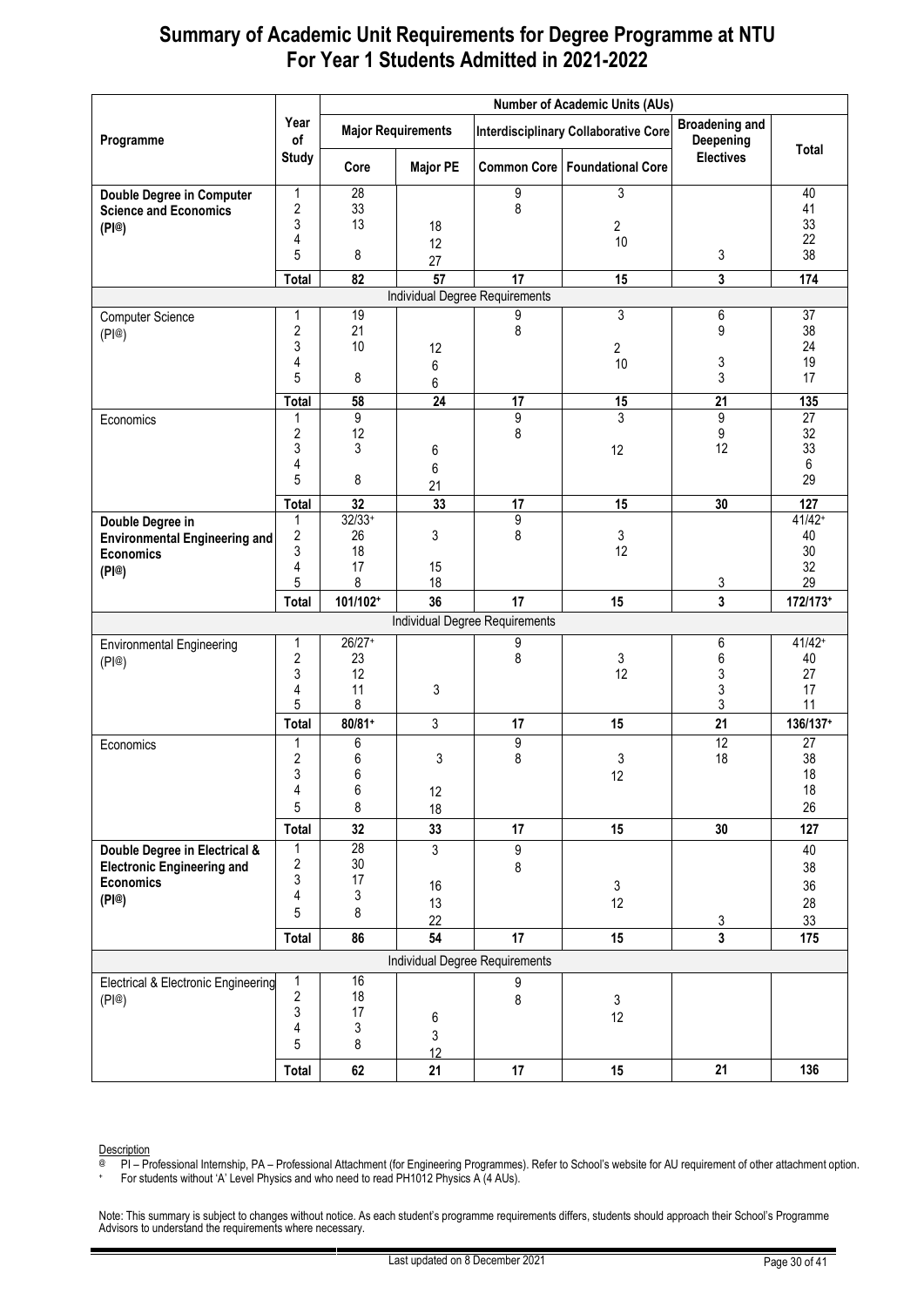|                                                                                                 |                                             |                                 | <b>Number of Academic Units (AUs)</b> |                                       |                                             |                                    |                                         |  |  |  |
|-------------------------------------------------------------------------------------------------|---------------------------------------------|---------------------------------|---------------------------------------|---------------------------------------|---------------------------------------------|------------------------------------|-----------------------------------------|--|--|--|
| Programme                                                                                       | Year<br>of                                  |                                 | <b>Major Requirements</b>             |                                       | <b>Interdisciplinary Collaborative Core</b> | <b>Broadening and</b><br>Deepening |                                         |  |  |  |
|                                                                                                 | <b>Study</b>                                | Core                            | <b>Major PE</b>                       |                                       | Common Core   Foundational Core             | <b>Electives</b>                   | <b>Total</b>                            |  |  |  |
| <b>Double Degree in Computer</b><br><b>Science and Economics</b><br>(PI@)                       | 1<br>2<br>3<br>4<br>5                       | 28<br>33<br>13<br>8             | 18<br>12<br>27                        | 9<br>8                                | 3<br>$\overline{2}$<br>10                   | 3                                  | 40<br>41<br>33<br>22<br>38              |  |  |  |
|                                                                                                 | Total                                       | 82                              | 57                                    | 17                                    | 15                                          | 3                                  | 174                                     |  |  |  |
|                                                                                                 |                                             |                                 |                                       | <b>Individual Degree Requirements</b> |                                             |                                    |                                         |  |  |  |
| <b>Computer Science</b><br>(PI@)                                                                | 1<br>2<br>3<br>4<br>5                       | 19<br>21<br>10<br>8             | 12<br>6<br>6                          | 9<br>8                                | 3<br>2<br>10                                | 6<br>$\boldsymbol{9}$<br>3<br>3    | $\overline{37}$<br>38<br>24<br>19<br>17 |  |  |  |
|                                                                                                 | <b>Total</b>                                | 58                              | $\overline{24}$                       | 17                                    | 15                                          | $\overline{21}$                    | 135                                     |  |  |  |
| Economics                                                                                       | 1<br>2<br>3<br>4<br>5                       | 9<br>12<br>3<br>8               | 6<br>6<br>21                          | 9<br>8                                | 3<br>12                                     | 9<br>9<br>12                       | 27<br>32<br>33<br>6<br>29               |  |  |  |
|                                                                                                 | <b>Total</b>                                | $\overline{32}$                 | 33                                    | 17                                    | 15                                          | 30                                 | 127                                     |  |  |  |
| Double Degree in<br><b>Environmental Engineering and</b><br><b>Economics</b><br>(PI@)           | 1<br>2<br>3<br>4<br>5                       | $32/33+$<br>26<br>18<br>17<br>8 | 3<br>15<br>18                         | 9<br>8                                | 3<br>12                                     | $\overline{3}$                     | $41/42+$<br>40<br>30<br>32<br>29        |  |  |  |
|                                                                                                 | Total                                       | 101/102+                        | 36                                    | 17                                    | 15                                          | 3                                  | 172/173+                                |  |  |  |
|                                                                                                 |                                             |                                 |                                       | Individual Degree Requirements        |                                             |                                    |                                         |  |  |  |
| <b>Environmental Engineering</b><br>(PI@)                                                       | 1<br>2<br>3<br>4<br>5                       | $26/27+$<br>23<br>12<br>11<br>8 | 3                                     | 9<br>8                                | 3<br>12                                     | 6<br>6<br>3<br>3<br>3              | $41/42+$<br>40<br>27<br>17<br>11        |  |  |  |
|                                                                                                 | Total                                       | $80/81+$                        | 3                                     | 17                                    | 15                                          | 21                                 | 136/137+                                |  |  |  |
| Economics                                                                                       | 1<br>2<br>3<br>4<br>5                       | 6<br>6<br>6<br>6<br>8           | 3<br>12<br>18                         | 9<br>8                                | 3<br>12                                     | 12<br>18                           | 27<br>38<br>18<br>18<br>26              |  |  |  |
|                                                                                                 | Total                                       | 32                              | 33                                    | 17                                    | 15                                          | 30                                 | 127                                     |  |  |  |
| Double Degree in Electrical &<br><b>Electronic Engineering and</b><br><b>Economics</b><br>(PI@) | 1<br>2<br>3<br>4<br>5                       | 28<br>30<br>17<br>3<br>8        | 3<br>16<br>13<br>22                   | 9<br>8                                | 3<br>12                                     | $\overline{3}$                     | 40<br>38<br>36<br>28<br>33              |  |  |  |
|                                                                                                 | Total                                       | 86                              | 54                                    | 17                                    | 15                                          | 3                                  | 175                                     |  |  |  |
|                                                                                                 |                                             |                                 |                                       | Individual Degree Requirements        |                                             |                                    |                                         |  |  |  |
| <b>Electrical &amp; Electronic Engineering</b><br>(PI@)                                         | 1<br>$\overline{\mathbf{c}}$<br>3<br>4<br>5 | 16<br>18<br>17<br>3<br>8        | 6<br>3<br>12                          | 9<br>8                                | 3<br>12                                     |                                    |                                         |  |  |  |
|                                                                                                 | Total                                       | 62                              | 21                                    | 17                                    | 15                                          | 21                                 | 136                                     |  |  |  |

Description

@ PI – Professional Internship, PA – Professional Attachment (for Engineering Programmes). Refer to School's website for AU requirement of other attachment option.

+ For students without 'A' Level Physics and who need to read PH1012 Physics A (4 AUs).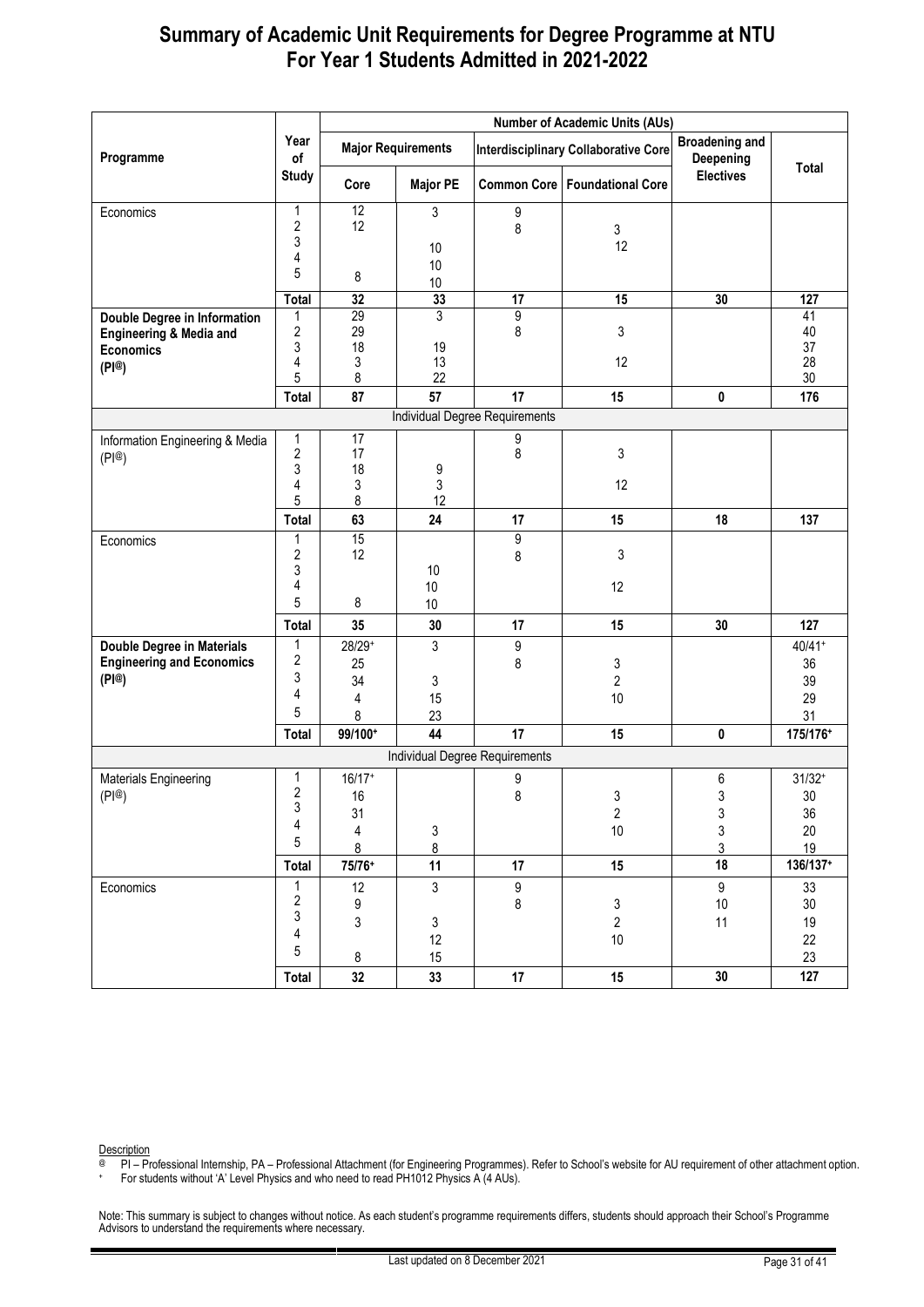|                                    |                                |                  |                           |                                       | <b>Number of Academic Units (AUs)</b>       |                                    |          |
|------------------------------------|--------------------------------|------------------|---------------------------|---------------------------------------|---------------------------------------------|------------------------------------|----------|
| Programme                          | Year<br>of                     |                  | <b>Major Requirements</b> |                                       | <b>Interdisciplinary Collaborative Core</b> | <b>Broadening and</b><br>Deepening |          |
|                                    | <b>Study</b>                   | Core             | <b>Major PE</b>           | <b>Common Core</b>                    | <b>Foundational Core</b>                    | <b>Electives</b>                   | Total    |
| Economics                          | 1                              | $\overline{12}$  | 3                         | 9                                     |                                             |                                    |          |
|                                    | $\boldsymbol{2}$               | 12               |                           | 8                                     | 3                                           |                                    |          |
|                                    | 3                              |                  | 10                        |                                       | 12                                          |                                    |          |
|                                    | 4                              |                  | 10                        |                                       |                                             |                                    |          |
|                                    | 5                              | 8                | 10                        |                                       |                                             |                                    |          |
|                                    | <b>Total</b>                   | 32               | 33                        | $\overline{17}$                       | 15                                          | 30                                 | 127      |
| Double Degree in Information       | 1                              | 29               | 3                         | 9                                     |                                             |                                    | 41       |
| <b>Engineering &amp; Media and</b> | $\boldsymbol{2}$               | 29               |                           | 8                                     | 3                                           |                                    | 40       |
| <b>Economics</b>                   | 3                              | 18               | 19                        |                                       |                                             |                                    | 37       |
| (PI@)                              | 4<br>5                         | 3<br>8           | 13<br>22                  |                                       | 12                                          |                                    | 28<br>30 |
|                                    | Total                          | 87               | 57                        | 17                                    | 15                                          | 0                                  | 176      |
|                                    |                                |                  |                           | <b>Individual Degree Requirements</b> |                                             |                                    |          |
|                                    |                                | 17               |                           |                                       |                                             |                                    |          |
| Information Engineering & Media    | $\mathbf{1}$<br>$\overline{2}$ | 17               |                           | 9<br>8                                | 3                                           |                                    |          |
| (PI@)                              | 3                              | 18               | 9                         |                                       |                                             |                                    |          |
|                                    | 4                              | 3                | 3                         |                                       | 12                                          |                                    |          |
|                                    | 5                              | 8                | 12                        |                                       |                                             |                                    |          |
|                                    | Total                          | 63               | 24                        | 17                                    | 15                                          | 18                                 | 137      |
| Economics                          | 1                              | 15               |                           | 9                                     |                                             |                                    |          |
|                                    | $\sqrt{2}$                     | 12               |                           | 8                                     | 3                                           |                                    |          |
|                                    | 3                              |                  | 10                        |                                       |                                             |                                    |          |
|                                    | 4                              |                  | 10                        |                                       | 12                                          |                                    |          |
|                                    | 5                              | 8                | 10                        |                                       |                                             |                                    |          |
|                                    | Total                          | 35               | 30                        | 17                                    | 15                                          | 30                                 | 127      |
| <b>Double Degree in Materials</b>  | 1                              | 28/29+           | 3                         | 9                                     |                                             |                                    | $40/41+$ |
| <b>Engineering and Economics</b>   | $\sqrt{2}$                     | 25               |                           | 8                                     | 3                                           |                                    | 36       |
| (PI@)                              | 3                              | 34               | 3                         |                                       | $\overline{c}$                              |                                    | 39       |
|                                    | 4                              | 4                | 15                        |                                       | 10                                          |                                    | 29       |
|                                    | 5                              | 8                | 23                        |                                       |                                             |                                    | 31       |
|                                    | Total                          | 99/100+          | 44                        | 17                                    | 15                                          | 0                                  | 175/176+ |
|                                    |                                |                  |                           | Individual Degree Requirements        |                                             |                                    |          |
| Materials Engineering              | 1                              | $16/17+$         |                           | 9                                     |                                             | 6                                  | $31/32+$ |
| (P @)                              | $\sqrt{2}$                     | 16               |                           | 8                                     | 3                                           | 3                                  | 30       |
|                                    | 3                              | 31               |                           |                                       | $\overline{2}$                              | 3                                  | 36       |
|                                    | 4                              | 4                | 3                         |                                       | $10$                                        | 3                                  | $20\,$   |
|                                    | 5                              | 8                | 8                         |                                       |                                             | 3                                  | 19       |
|                                    | Total                          | 75/76+           | 11                        | 17                                    | 15                                          | 18                                 | 136/137+ |
| Economics                          | $\mathbf{1}$                   | 12               | $\mathbf{3}$              | 9                                     |                                             | 9                                  | 33       |
|                                    | $\boldsymbol{2}$               | $\boldsymbol{9}$ |                           | 8                                     | $\mathfrak{S}$                              | $10$                               | $30\,$   |
|                                    | 3                              | 3                | 3                         |                                       | $\overline{2}$                              | 11                                 | 19       |
|                                    | 4                              |                  | 12                        |                                       | $10$                                        |                                    | 22       |
|                                    | 5                              | 8                | 15                        |                                       |                                             |                                    | 23       |
|                                    | Total                          | $32\,$           | 33                        | $17\,$                                | 15                                          | 30                                 | 127      |

Description

@ PI – Professional Internship, PA – Professional Attachment (for Engineering Programmes). Refer to School's website for AU requirement of other attachment option.

+ For students without 'A' Level Physics and who need to read PH1012 Physics A (4 AUs).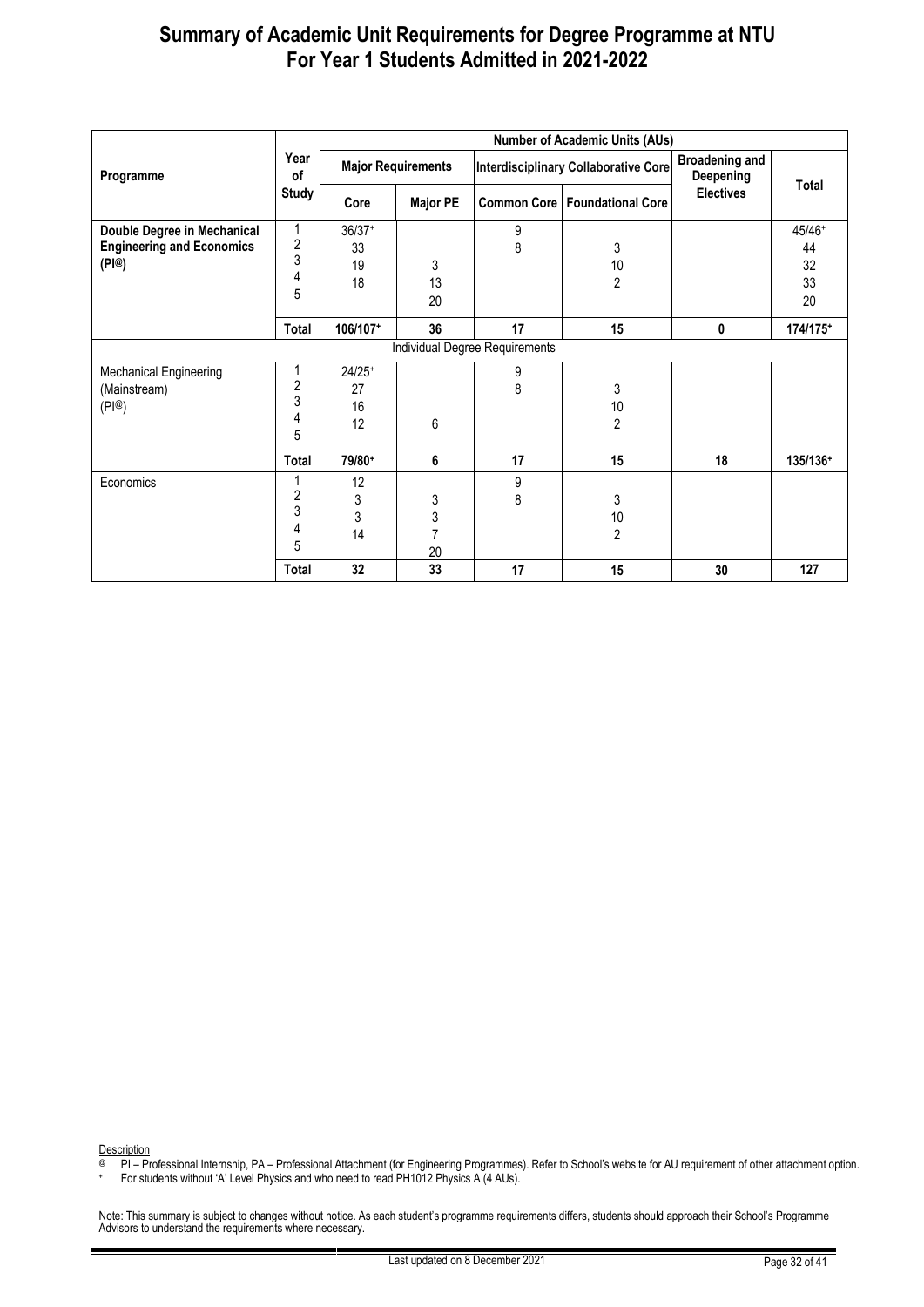|                                                                          |                                             |                            |                                |        | <b>Number of Academic Units (AUs)</b>       |                                    |                    |
|--------------------------------------------------------------------------|---------------------------------------------|----------------------------|--------------------------------|--------|---------------------------------------------|------------------------------------|--------------------|
| Programme                                                                | Year<br>of                                  |                            | <b>Major Requirements</b>      |        | <b>Interdisciplinary Collaborative Core</b> | <b>Broadening and</b><br>Deepening | Total              |
|                                                                          | <b>Study</b>                                | Core                       | <b>Major PE</b>                |        | <b>Common Core   Foundational Core</b>      | <b>Electives</b>                   |                    |
| Double Degree in Mechanical<br><b>Engineering and Economics</b><br>(PI@) | 1<br>$\overline{\mathbf{c}}$<br>3           | $36/37+$<br>33<br>19       | 3                              | 9<br>8 | 3<br>10                                     |                                    | 45/46+<br>44<br>32 |
|                                                                          | 4<br>5                                      | 18                         | 13<br>20                       |        | $\overline{c}$                              |                                    | 33<br>20           |
|                                                                          | Total                                       | 106/107+                   | 36                             | 17     | 15                                          | 0                                  | 174/175+           |
|                                                                          |                                             |                            | Individual Degree Requirements |        |                                             |                                    |                    |
| Mechanical Engineering<br>(Mainstream)<br>(PI@)                          | 1<br>$\overline{\mathbf{c}}$<br>3<br>4<br>5 | $24/25+$<br>27<br>16<br>12 | 6                              | 9<br>8 | 3<br>10<br>$\overline{2}$                   |                                    |                    |
|                                                                          | Total                                       | 79/80+                     | 6                              | 17     | 15                                          | 18                                 | 135/136+           |
| Economics                                                                | 2<br>3<br>4<br>5                            | 12<br>3<br>3<br>14         | 3<br>3<br>7<br>20              | 9<br>8 | 3<br>10<br>$\overline{2}$                   |                                    |                    |
|                                                                          | Total                                       | 32                         | 33                             | 17     | 15                                          | 30                                 | 127                |

Description

@ PI – Professional Internship, PA – Professional Attachment (for Engineering Programmes). Refer to School's website for AU requirement of other attachment option.

+ For students without 'A' Level Physics and who need to read PH1012 Physics A (4 AUs).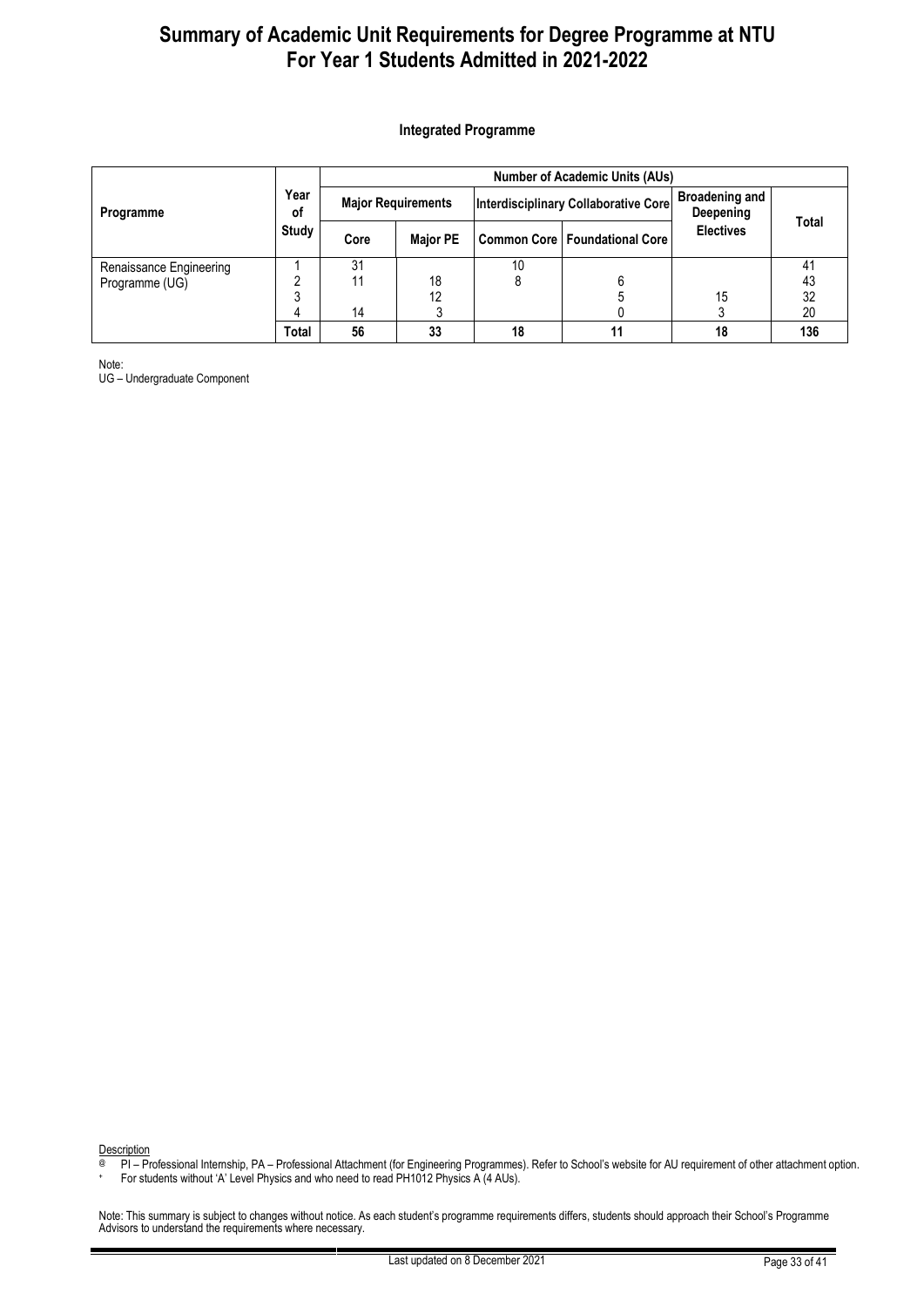#### <span id="page-32-0"></span>**Integrated Programme**

|                                           |            | <b>Number of Academic Units (AUs)</b> |                           |    |                                        |                                    |          |  |  |
|-------------------------------------------|------------|---------------------------------------|---------------------------|----|----------------------------------------|------------------------------------|----------|--|--|
| Programme                                 | Year<br>οf |                                       | <b>Major Requirements</b> |    | Interdisciplinary Collaborative Core   | <b>Broadening and</b><br>Deepening |          |  |  |
|                                           | Study      | Core                                  | <b>Major PE</b>           |    | <b>Common Core   Foundational Core</b> | <b>Electives</b>                   | Total    |  |  |
| Renaissance Engineering<br>Programme (UG) |            | 31<br>11                              | 18                        | 10 |                                        |                                    | 41<br>43 |  |  |
|                                           |            | 14                                    | 12                        |    |                                        | 15                                 | 32<br>20 |  |  |
|                                           | Total      | 56                                    | 33                        | 18 |                                        | 18                                 | 136      |  |  |

Note:

UG – Undergraduate Component

**Description** 

@ PI – Professional Internship, PA – Professional Attachment (for Engineering Programmes). Refer to School's website for AU requirement of other attachment option.

+ For students without 'A' Level Physics and who need to read PH1012 Physics A (4 AUs).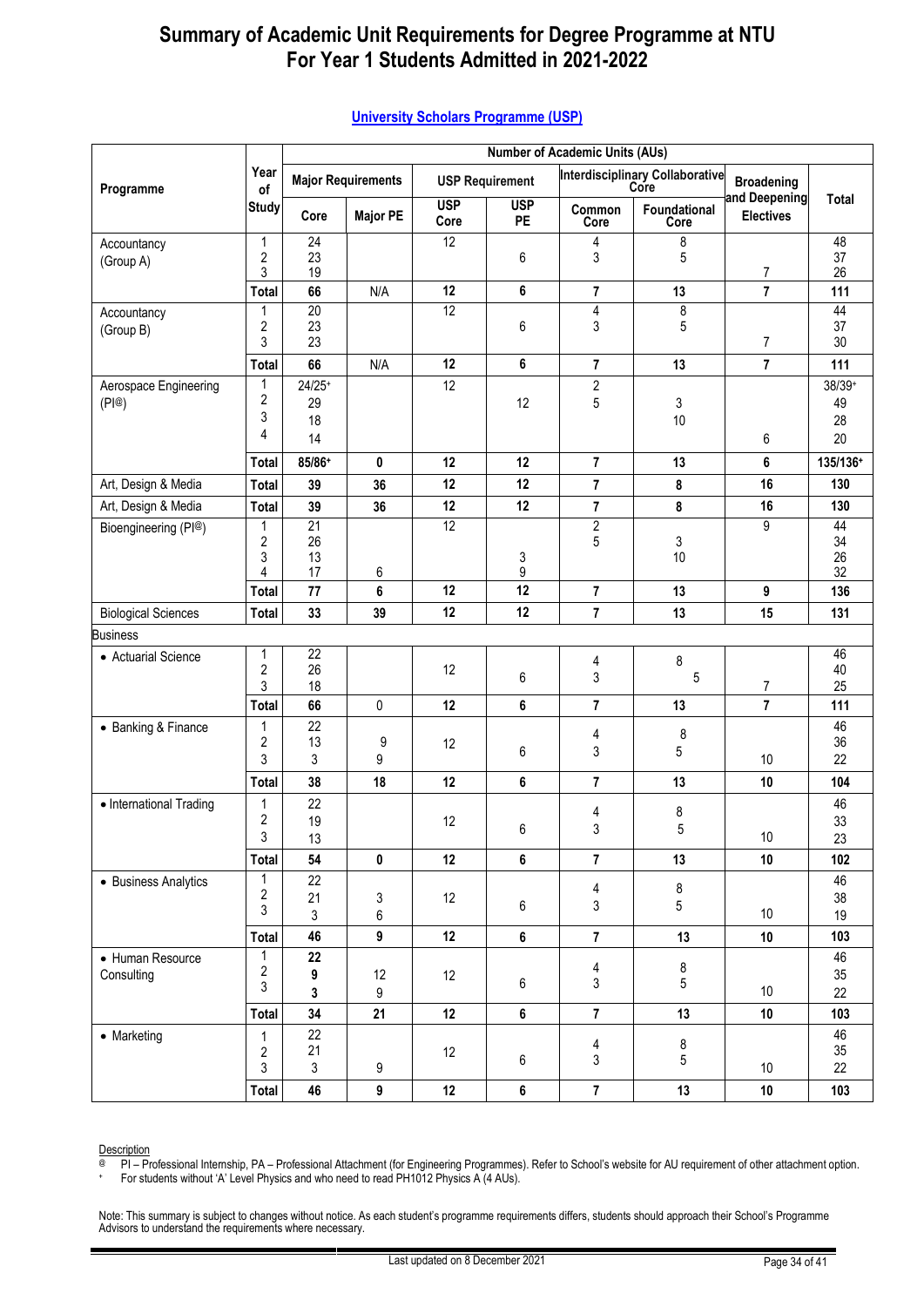|                            |                         | <b>Number of Academic Units (AUs)</b> |                           |                    |                        |                                        |                                                |                                   |              |  |
|----------------------------|-------------------------|---------------------------------------|---------------------------|--------------------|------------------------|----------------------------------------|------------------------------------------------|-----------------------------------|--------------|--|
| Programme                  | Year<br>of              |                                       | <b>Major Requirements</b> |                    | <b>USP Requirement</b> |                                        | <b>Interdisciplinary Collaborative</b><br>Core | <b>Broadening</b>                 |              |  |
|                            | <b>Study</b>            | Core                                  | <b>Major PE</b>           | <b>USP</b><br>Core | <b>USP</b><br>PE       | Common<br>Core                         | Foundational<br>Core                           | and Deepening<br><b>Electives</b> | <b>Total</b> |  |
| Accountancy                | 1                       | $\overline{24}$                       |                           | $\overline{12}$    |                        | 4                                      | 8                                              |                                   | 48           |  |
| (Group A)                  | 2<br>3                  | 23<br>19                              |                           |                    | 6                      | 3                                      | 5                                              | $\boldsymbol{7}$                  | 37<br>26     |  |
|                            | <b>Total</b>            | 66                                    | N/A                       | 12                 | 6                      | $\overline{7}$                         | 13                                             | $\overline{7}$                    | 111          |  |
| Accountancy                | 1                       | $\overline{20}$                       |                           | $\overline{12}$    |                        | $\overline{\mathbf{4}}$                | $\overline{8}$                                 |                                   | 44           |  |
| (Group B)                  | $\overline{\mathbf{c}}$ | 23                                    |                           |                    | 6                      | 3                                      | 5                                              |                                   | 37           |  |
|                            | 3                       | 23                                    |                           |                    |                        |                                        |                                                | 7                                 | 30           |  |
|                            | <b>Total</b>            | 66                                    | N/A                       | 12                 | 6                      | $\overline{7}$                         | 13                                             | $\overline{7}$                    | 111          |  |
| Aerospace Engineering      | 1<br>2                  | $24/25+$                              |                           | 12                 |                        | $\sqrt{2}$                             |                                                |                                   | 38/39+       |  |
| (PI@)                      | 3                       | 29<br>18                              |                           |                    | 12                     | 5                                      | 3<br>10                                        |                                   | 49<br>28     |  |
|                            | 4                       | 14                                    |                           |                    |                        |                                        |                                                | 6                                 | 20           |  |
|                            | <b>Total</b>            | 85/86+                                | $\mathbf 0$               | 12                 | 12                     | $\overline{7}$                         | 13                                             | 6                                 | 135/136+     |  |
| Art, Design & Media        | <b>Total</b>            | 39                                    | 36                        | 12                 | 12                     | $\overline{7}$                         | 8                                              | 16                                | 130          |  |
| Art, Design & Media        | <b>Total</b>            | 39                                    | 36                        | 12                 | 12                     | $\bf 7$                                | 8                                              | 16                                | 130          |  |
| Bioengineering (PI@)       | 1                       | 21                                    |                           | 12                 |                        | $\overline{2}$                         |                                                | 9                                 | 44           |  |
|                            | $\overline{\mathbf{c}}$ | 26                                    |                           |                    |                        | 5                                      | 3                                              |                                   | 34           |  |
|                            | 3<br>4                  | 13<br>17                              | 6                         |                    | 3<br>9                 |                                        | 10                                             |                                   | 26<br>32     |  |
|                            | <b>Total</b>            | 77                                    | 6                         | 12                 | 12                     | $\overline{7}$                         | 13                                             | 9                                 | 136          |  |
| <b>Biological Sciences</b> | <b>Total</b>            | 33                                    | 39                        | 12                 | 12                     | $\overline{7}$                         | 13                                             | 15                                | 131          |  |
| <b>Business</b>            |                         |                                       |                           |                    |                        |                                        |                                                |                                   |              |  |
| • Actuarial Science        | 1                       | $\overline{22}$                       |                           |                    |                        | 4                                      | 8                                              |                                   | 46           |  |
|                            | $\overline{2}$          | 26                                    |                           | 12                 | 6                      | 3                                      | 5                                              |                                   | 40           |  |
|                            | 3<br><b>Total</b>       | 18<br>66                              | 0                         | 12                 | 6                      | $\overline{7}$                         | 13                                             | $\overline{7}$<br>$\overline{7}$  | 25<br>111    |  |
| • Banking & Finance        | 1                       | 22                                    |                           |                    |                        |                                        |                                                |                                   | 46           |  |
|                            | $\overline{\mathbf{c}}$ | 13                                    | 9                         | 12                 |                        | 4                                      | 8                                              |                                   | 36           |  |
|                            | 3                       | 3                                     | 9                         |                    | 6                      | 3                                      | 5                                              | 10                                | 22           |  |
|                            | <b>Total</b>            | 38                                    | 18                        | 12                 | 6                      | $\overline{7}$                         | 13                                             | 10                                | 104          |  |
| • International Trading    | 1                       | 22                                    |                           |                    |                        | 4                                      | 8                                              |                                   | 46           |  |
|                            | $\overline{2}$          | 19                                    |                           | 12                 | 6                      | 3                                      | 5                                              |                                   | 33           |  |
|                            | 3<br><b>Total</b>       | 13<br>54                              | 0                         | 12                 | 6                      | $\overline{7}$                         | 13                                             | 10<br>10                          | 23<br>102    |  |
|                            | 1                       | 22                                    |                           |                    |                        |                                        |                                                |                                   | 46           |  |
| • Business Analytics       | $\overline{c}$          | 21                                    | 3                         | 12                 |                        | 4                                      | 8                                              |                                   | 38           |  |
|                            | 3                       | 3                                     | 6                         |                    | 6                      | 3                                      | 5                                              | 10                                | 19           |  |
|                            | <b>Total</b>            | 46                                    | 9                         | 12                 | 6                      | $\overline{7}$                         | 13                                             | 10                                | 103          |  |
| • Human Resource           | 1                       | 22                                    |                           |                    |                        |                                        |                                                |                                   | 46           |  |
| Consulting                 | $\overline{c}$<br>3     | 9                                     | 12                        | 12                 | 6                      | $\overline{\mathbf{r}}$<br>$\mathsf 3$ | $\bf 8$<br>5                                   |                                   | 35           |  |
|                            |                         | 3                                     | 9                         |                    |                        |                                        |                                                | 10                                | 22           |  |
|                            | <b>Total</b>            | 34                                    | 21                        | 12                 | 6                      | $\overline{7}$                         | 13                                             | 10                                | 103          |  |
| • Marketing                | 1                       | 22<br>21                              |                           |                    |                        | 4                                      | 8                                              |                                   | 46<br>35     |  |
|                            | $\overline{2}$<br>3     | $\mathfrak{Z}$                        | 9                         | 12                 | 6                      | $\mathfrak{Z}$                         | 5                                              | 10                                | 22           |  |
|                            | <b>Total</b>            | 46                                    | $\boldsymbol{9}$          | 12                 | 6                      | $\overline{7}$                         | 13                                             | 10                                | 103          |  |

#### <span id="page-33-0"></span>**[University Scholars Programme \(USP\)](#page-33-0)**

**Description** 

@ PI – Professional Internship, PA – Professional Attachment (for Engineering Programmes). Refer to School's website for AU requirement of other attachment option.

+ For students without 'A' Level Physics and who need to read PH1012 Physics A (4 AUs).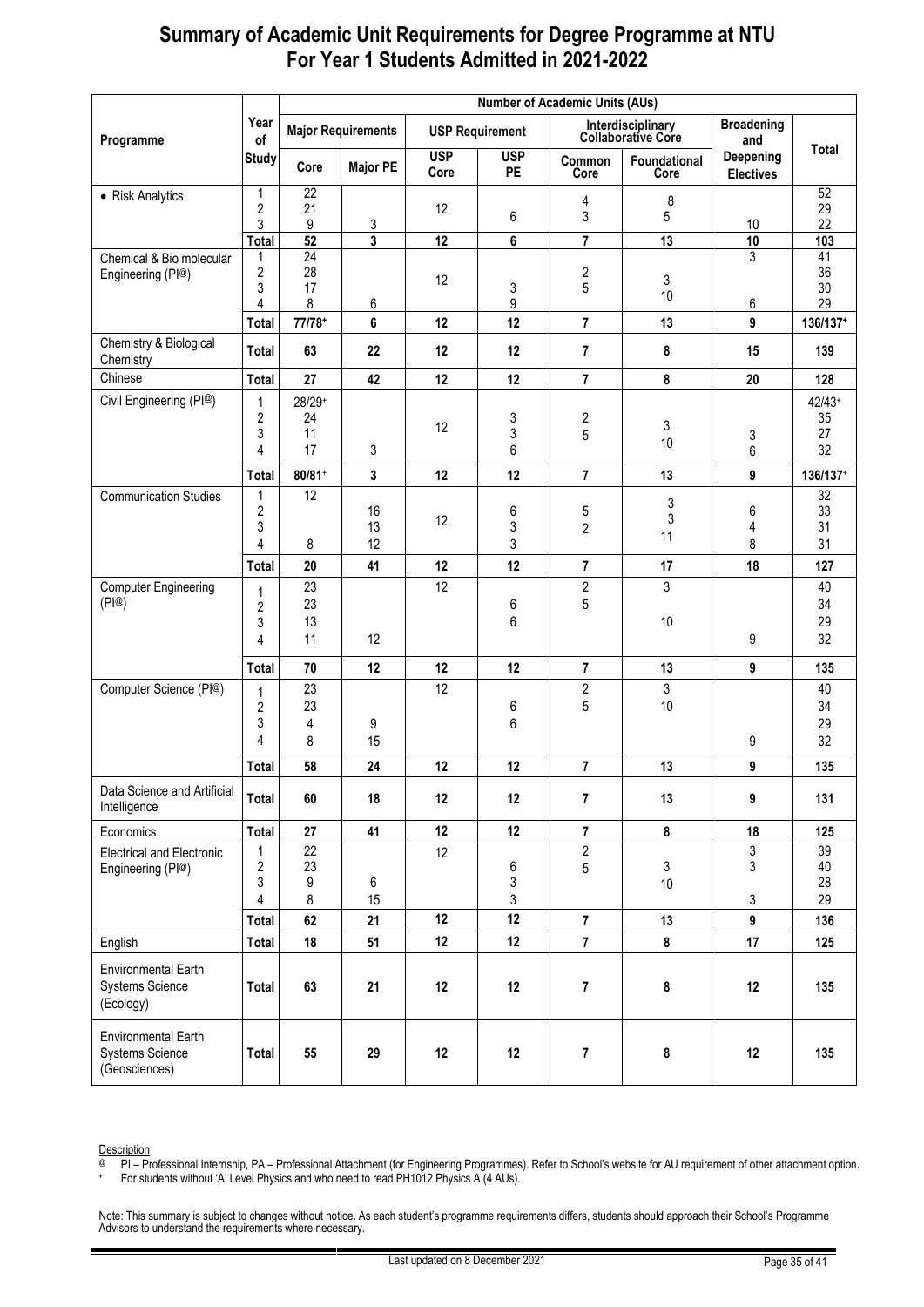|                                                                       |                                |                       | <b>Number of Academic Units (AUs)</b> |                    |                         |                |                                                |                               |          |  |
|-----------------------------------------------------------------------|--------------------------------|-----------------------|---------------------------------------|--------------------|-------------------------|----------------|------------------------------------------------|-------------------------------|----------|--|
| Programme                                                             | Year<br>of                     |                       | <b>Major Requirements</b>             |                    | <b>USP Requirement</b>  |                | Interdisciplinary<br><b>Collaborative Core</b> | <b>Broadening</b><br>and      | Total    |  |
|                                                                       | <b>Study</b>                   | Core                  | <b>Major PE</b>                       | <b>USP</b><br>Core | <b>USP</b><br><b>PE</b> | Common<br>Core | Foundational<br>Core                           | Deepening<br><b>Electives</b> |          |  |
| • Risk Analytics                                                      | $\mathbf{1}$<br>$\overline{2}$ | $\overline{22}$<br>21 |                                       | 12                 |                         | 4              | 8                                              |                               | 52<br>29 |  |
|                                                                       | 3                              | 9                     | 3                                     |                    | 6                       | 3              | 5                                              | 10                            | 22       |  |
|                                                                       | <b>Total</b>                   | $\overline{52}$       | $\overline{\mathbf{3}}$               | 12                 | 6                       | $\overline{7}$ | 13                                             | 10                            | 103      |  |
| Chemical & Bio molecular                                              | 1<br>$\overline{2}$            | $\overline{24}$<br>28 |                                       |                    |                         | $\overline{c}$ |                                                | 3                             | 41<br>36 |  |
| Engineering (PI@)                                                     | 3                              | 17                    |                                       | 12                 | 3                       | $\sqrt{5}$     | 3                                              |                               | 30       |  |
|                                                                       | 4                              | 8                     | 6                                     |                    | 9                       |                | 10                                             | 6                             | 29       |  |
|                                                                       | <b>Total</b>                   | 77/78+                | 6                                     | 12                 | 12                      | $\overline{7}$ | 13                                             | 9                             | 136/137+ |  |
| Chemistry & Biological<br>Chemistry                                   | <b>Total</b>                   | 63                    | 22                                    | 12                 | 12                      | $\overline{7}$ | 8                                              | 15                            | 139      |  |
| Chinese                                                               | Total                          | 27                    | 42                                    | 12                 | 12                      | $\overline{7}$ | 8                                              | 20                            | 128      |  |
| Civil Engineering (PI@)                                               | 1                              | 28/29+                |                                       |                    |                         |                |                                                |                               | $42/43+$ |  |
|                                                                       | 2<br>3                         | 24<br>11              |                                       | 12                 | 3<br>3                  | 2              | 3                                              |                               | 35<br>27 |  |
|                                                                       | 4                              | 17                    | 3                                     |                    | 6                       | 5              | 10                                             | 3<br>6                        | 32       |  |
|                                                                       | <b>Total</b>                   | $80/81+$              | 3                                     | 12                 | 12                      | $\overline{7}$ | 13                                             | 9                             | 136/137+ |  |
| <b>Communication Studies</b>                                          | 1                              | 12                    |                                       |                    |                         |                |                                                |                               | 32       |  |
|                                                                       | 2                              |                       | 16                                    | 12                 | 6                       | $\mathbf 5$    | 3<br>3                                         | 6                             | 33       |  |
|                                                                       | 3                              |                       | 13                                    |                    | 3                       | $\overline{2}$ | 11                                             | 4                             | 31       |  |
|                                                                       | 4                              | 8                     | 12                                    |                    | 3                       |                |                                                | 8                             | 31       |  |
|                                                                       | <b>Total</b>                   | 20                    | 41                                    | 12                 | 12                      | $\overline{7}$ | 17                                             | 18                            | 127      |  |
| <b>Computer Engineering</b><br>(P @)                                  | 1                              | 23<br>23              |                                       | 12                 |                         | $\overline{2}$ | 3                                              |                               | 40<br>34 |  |
|                                                                       | $\overline{2}$<br>3            | 13                    |                                       |                    | 6<br>6                  | 5              | 10                                             |                               | 29       |  |
|                                                                       | 4                              | 11                    | 12                                    |                    |                         |                |                                                | 9                             | 32       |  |
|                                                                       | <b>Total</b>                   | 70                    | 12                                    | 12                 | 12                      | $\overline{7}$ | 13                                             | 9                             | 135      |  |
| Computer Science (PI@)                                                |                                | 23                    |                                       | 12                 |                         | $\overline{c}$ | 3                                              |                               | 40       |  |
|                                                                       | $\mathbf 1$<br>$\overline{c}$  | 23                    |                                       |                    | 6                       | 5              | 10                                             |                               | 34       |  |
|                                                                       | 3                              | 4                     | 9                                     |                    | 6                       |                |                                                |                               | 29       |  |
|                                                                       | 4                              | 8                     | 15                                    |                    |                         |                |                                                | 9                             | 32       |  |
|                                                                       | <b>Total</b>                   | 58                    | 24                                    | 12                 | 12                      | 7              | 13                                             | 9                             | 135      |  |
| Data Science and Artificial<br>Intelligence                           | Total                          | 60                    | 18                                    | 12                 | 12                      | $\overline{7}$ | 13                                             | 9                             | 131      |  |
| Economics                                                             | <b>Total</b>                   | 27                    | 41                                    | 12                 | 12                      | $\overline{7}$ | 8                                              | 18                            | 125      |  |
| <b>Electrical and Electronic</b>                                      | 1                              | $\overline{22}$       |                                       | 12                 |                         | $\overline{2}$ |                                                | 3                             | 39       |  |
| Engineering (PI@)                                                     | 2                              | 23                    |                                       |                    | 6                       | $\,$ 5 $\,$    | 3                                              | 3                             | 40       |  |
|                                                                       | 3<br>4                         | 9<br>8                | 6<br>15                               |                    | 3<br>3                  |                | 10                                             | 3                             | 28<br>29 |  |
|                                                                       | <b>Total</b>                   | 62                    | 21                                    | 12                 | 12                      | $\overline{7}$ | 13                                             | 9                             | 136      |  |
| English                                                               | <b>Total</b>                   | 18                    | 51                                    | 12                 | 12                      | $\overline{7}$ | 8                                              | 17                            | 125      |  |
|                                                                       |                                |                       |                                       |                    |                         |                |                                                |                               |          |  |
| <b>Environmental Earth</b><br><b>Systems Science</b><br>(Ecology)     | Total                          | 63                    | 21                                    | 12                 | 12                      | 7              | 8                                              | 12                            | 135      |  |
| <b>Environmental Earth</b><br><b>Systems Science</b><br>(Geosciences) | Total                          | 55                    | 29                                    | 12                 | 12                      | 7              | 8                                              | 12                            | 135      |  |

Description

@ PI – Professional Internship, PA – Professional Attachment (for Engineering Programmes). Refer to School's website for AU requirement of other attachment option.

+ For students without 'A' Level Physics and who need to read PH1012 Physics A (4 AUs).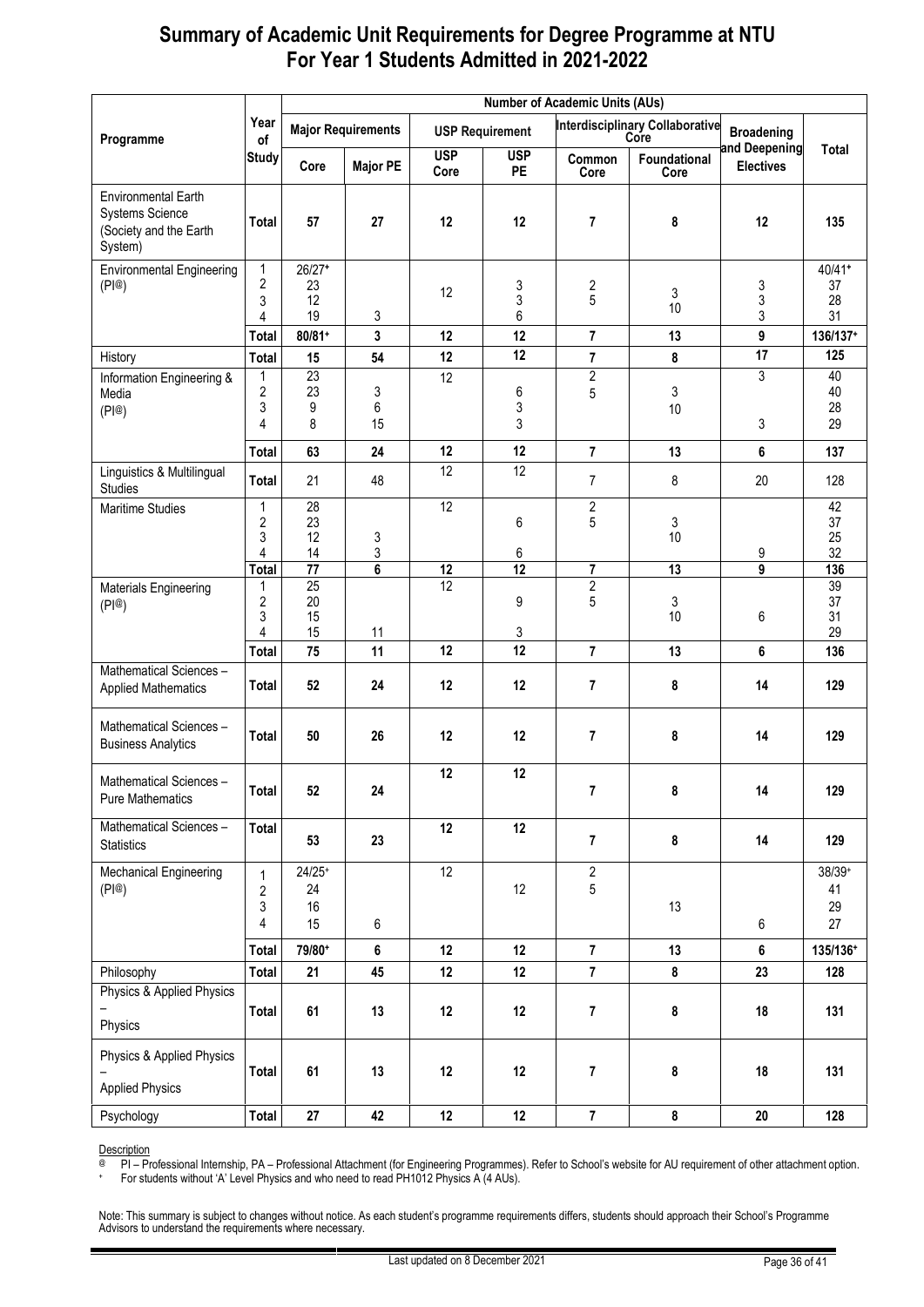|                                                                                           |                               |                            | <b>Number of Academic Units (AUs)</b> |                    |                        |                              |                                                |                                    |                          |  |  |
|-------------------------------------------------------------------------------------------|-------------------------------|----------------------------|---------------------------------------|--------------------|------------------------|------------------------------|------------------------------------------------|------------------------------------|--------------------------|--|--|
| Programme                                                                                 | Year<br>of                    |                            | <b>Major Requirements</b>             |                    | <b>USP Requirement</b> |                              | <b>Interdisciplinary Collaborative</b><br>Core | <b>Broadening</b><br>and Deepening | Total                    |  |  |
|                                                                                           | <b>Study</b>                  | Core                       | <b>Major PE</b>                       | <b>USP</b><br>Core | <b>USP</b><br>PE       | Common<br>Core               | Foundational<br>Core                           | <b>Electives</b>                   |                          |  |  |
| <b>Environmental Earth</b><br><b>Systems Science</b><br>(Society and the Earth<br>System) | Total                         | 57                         | 27                                    | 12                 | 12                     | 7                            | 8                                              | 12                                 | 135                      |  |  |
| <b>Environmental Engineering</b><br>(PI@)                                                 | $\mathbf{1}$<br>2<br>3<br>4   | $26/27+$<br>23<br>12<br>19 | 3                                     | 12                 | 3<br>3<br>6            | $\overline{\mathbf{c}}$<br>5 | 3<br>10                                        | 3<br>3<br>3                        | 40/41+<br>37<br>28<br>31 |  |  |
|                                                                                           | <b>Total</b>                  | $80/81+$                   | 3                                     | 12                 | 12                     | 7                            | 13                                             | 9                                  | 136/137+                 |  |  |
| History                                                                                   | <b>Total</b>                  | 15                         | 54                                    | 12                 | 12                     | 7                            | 8                                              | 17                                 | 125                      |  |  |
| Information Engineering &<br>Media<br>(PI@)                                               | 1<br>2<br>3<br>4              | 23<br>23<br>9<br>8         | 3<br>6<br>15                          | 12                 | 6<br>3<br>3            | $\overline{2}$<br>5          | 3<br>10                                        | 3<br>3                             | 40<br>40<br>28<br>29     |  |  |
|                                                                                           | <b>Total</b>                  | 63                         | 24                                    | 12                 | 12                     | $\overline{7}$               | 13                                             | 6                                  | 137                      |  |  |
| Linguistics & Multilingual<br>Studies                                                     | Total                         | 21                         | 48                                    | 12                 | 12                     | $\overline{7}$               | 8                                              | 20                                 | 128                      |  |  |
| <b>Maritime Studies</b>                                                                   | $\mathbf 1$<br>2<br>3<br>4    | 28<br>23<br>12<br>14       | 3<br>3                                | 12                 | 6<br>6                 | $\overline{2}$<br>5          | 3<br>10                                        | 9                                  | 42<br>37<br>25<br>32     |  |  |
|                                                                                           | <b>Total</b>                  | $\overline{77}$            | 6                                     | $\overline{12}$    | $\overline{12}$        | 7                            | 13                                             | 9                                  | 136                      |  |  |
| Materials Engineering<br>(PI@)                                                            | 1<br>2<br>3<br>4              | 25<br>20<br>15<br>15       | 11                                    | 12                 | 9<br>3                 | $\overline{\mathbf{c}}$<br>5 | 3<br>10                                        | 6                                  | 39<br>37<br>31<br>29     |  |  |
|                                                                                           | <b>Total</b>                  | 75                         | 11                                    | 12                 | 12                     | 7                            | 13                                             | 6                                  | 136                      |  |  |
| Mathematical Sciences-<br><b>Applied Mathematics</b>                                      | Total                         | 52                         | 24                                    | 12                 | 12                     | 7                            | 8                                              | 14                                 | 129                      |  |  |
| Mathematical Sciences-<br><b>Business Analytics</b>                                       | Total                         | 50                         | 26                                    | 12                 | 12                     | $\overline{7}$               | 8                                              | 14                                 | 129                      |  |  |
| Mathematical Sciences-<br><b>Pure Mathematics</b>                                         | Total                         | 52                         | 24                                    | 12                 | 12                     | 7                            | 8                                              | 14                                 | 129                      |  |  |
| Mathematical Sciences-<br>Statistics                                                      | Total                         | 53                         | 23                                    | 12                 | 12                     | $\overline{7}$               | 8                                              | 14                                 | 129                      |  |  |
| Mechanical Engineering<br>(PI@)                                                           | 1<br>$\overline{c}$<br>3<br>4 | $24/25+$<br>24<br>16<br>15 | 6                                     | 12                 | 12                     | $\overline{2}$<br>5          | 13                                             | 6                                  | 38/39+<br>41<br>29<br>27 |  |  |
|                                                                                           | <b>Total</b>                  | 79/80+                     | 6                                     | 12                 | 12                     | $\overline{7}$               | 13                                             | 6                                  | 135/136+                 |  |  |
| Philosophy<br>Physics & Applied Physics                                                   | Total                         | 21                         | 45                                    | 12                 | 12                     | $\overline{7}$               | 8                                              | 23                                 | 128                      |  |  |
| Physics                                                                                   | Total                         | 61                         | 13                                    | 12                 | 12                     | $\bf 7$                      | 8                                              | 18                                 | 131                      |  |  |
| Physics & Applied Physics<br><b>Applied Physics</b>                                       | <b>Total</b>                  | 61                         | 13                                    | 12                 | 12                     | 7                            | 8                                              | 18                                 | 131                      |  |  |
| Psychology                                                                                | Total                         | $27\,$                     | 42                                    | 12                 | 12                     | $\bf 7$                      | 8                                              | $20\,$                             | 128                      |  |  |

Description

@ PI – Professional Internship, PA – Professional Attachment (for Engineering Programmes). Refer to School's website for AU requirement of other attachment option.

+ For students without 'A' Level Physics and who need to read PH1012 Physics A (4 AUs).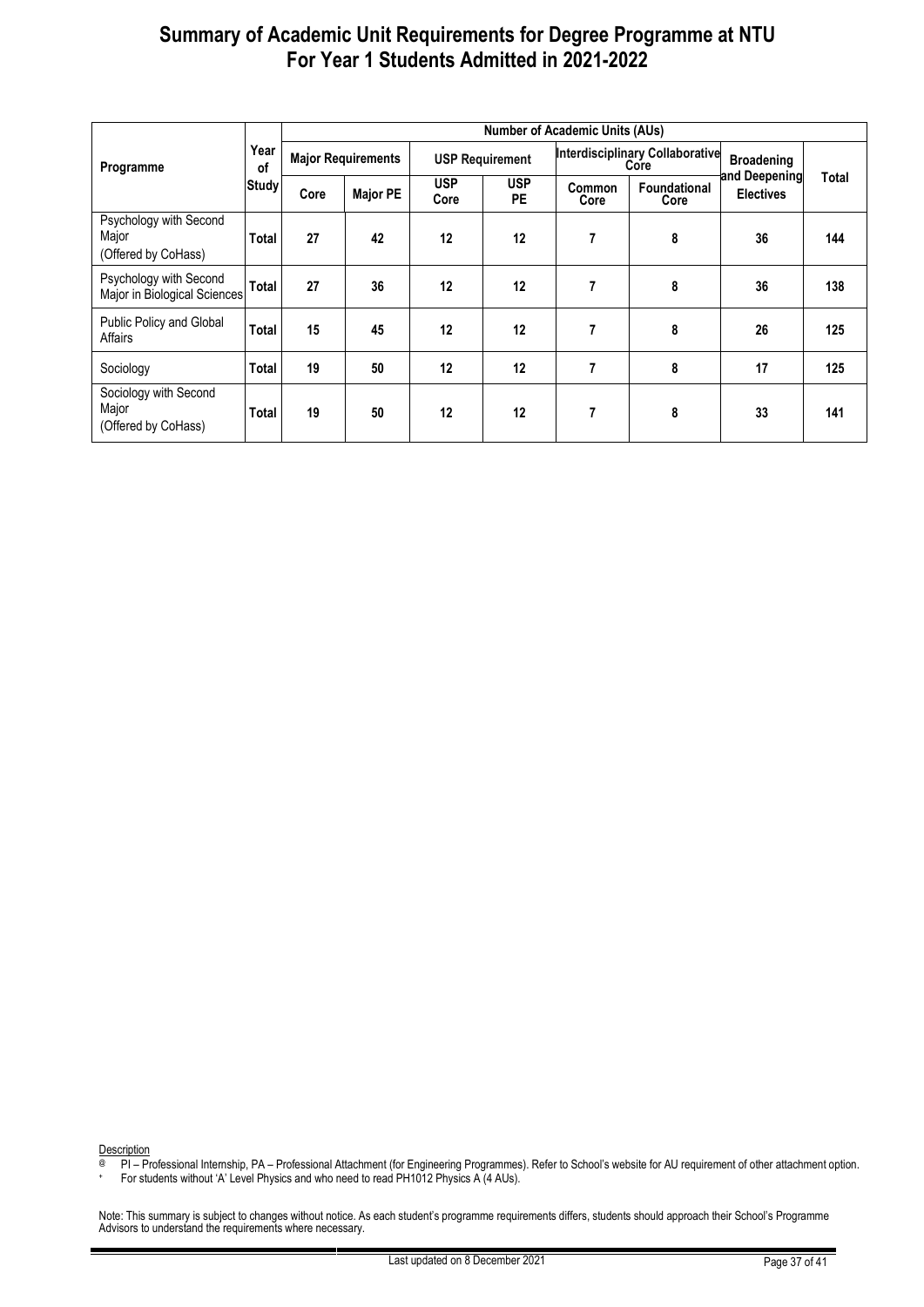| Programme                                              |              | <b>Number of Academic Units (AUs)</b> |                 |                        |                         |                |                                                |                                   |       |  |  |
|--------------------------------------------------------|--------------|---------------------------------------|-----------------|------------------------|-------------------------|----------------|------------------------------------------------|-----------------------------------|-------|--|--|
|                                                        | Year<br>0f   | <b>Major Requirements</b>             |                 | <b>USP Requirement</b> |                         |                | <b>Interdisciplinary Collaborative</b><br>Core | <b>Broadening</b>                 |       |  |  |
|                                                        | Study        | Core                                  | <b>Major PE</b> | <b>USP</b><br>Core     | <b>USP</b><br><b>PE</b> | Common<br>Core | <b>Foundational</b><br>Core                    | and Deepening<br><b>Electives</b> | Total |  |  |
| Psychology with Second<br>Major<br>(Offered by CoHass) | Total        | 27                                    | 42              | 12                     | 12                      | 7              | 8                                              | 36                                | 144   |  |  |
| Psychology with Second<br>Major in Biological Sciences | Total        | 27                                    | 36              | 12                     | 12                      | 7              | 8                                              | 36                                | 138   |  |  |
| Public Policy and Global<br>Affairs                    | <b>Total</b> | 15                                    | 45              | 12                     | 12                      | 7              | 8                                              | 26                                | 125   |  |  |
| Sociology                                              | Total        | 19                                    | 50              | 12                     | 12                      | 7              | 8                                              | 17                                | 125   |  |  |
| Sociology with Second<br>Major<br>(Offered by CoHass)  | Total        | 19                                    | 50              | 12                     | 12                      | 7              | 8                                              | 33                                | 141   |  |  |

Description

@ PI – Professional Internship, PA – Professional Attachment (for Engineering Programmes). Refer to School's website for AU requirement of other attachment option.

+ For students without 'A' Level Physics and who need to read PH1012 Physics A (4 AUs).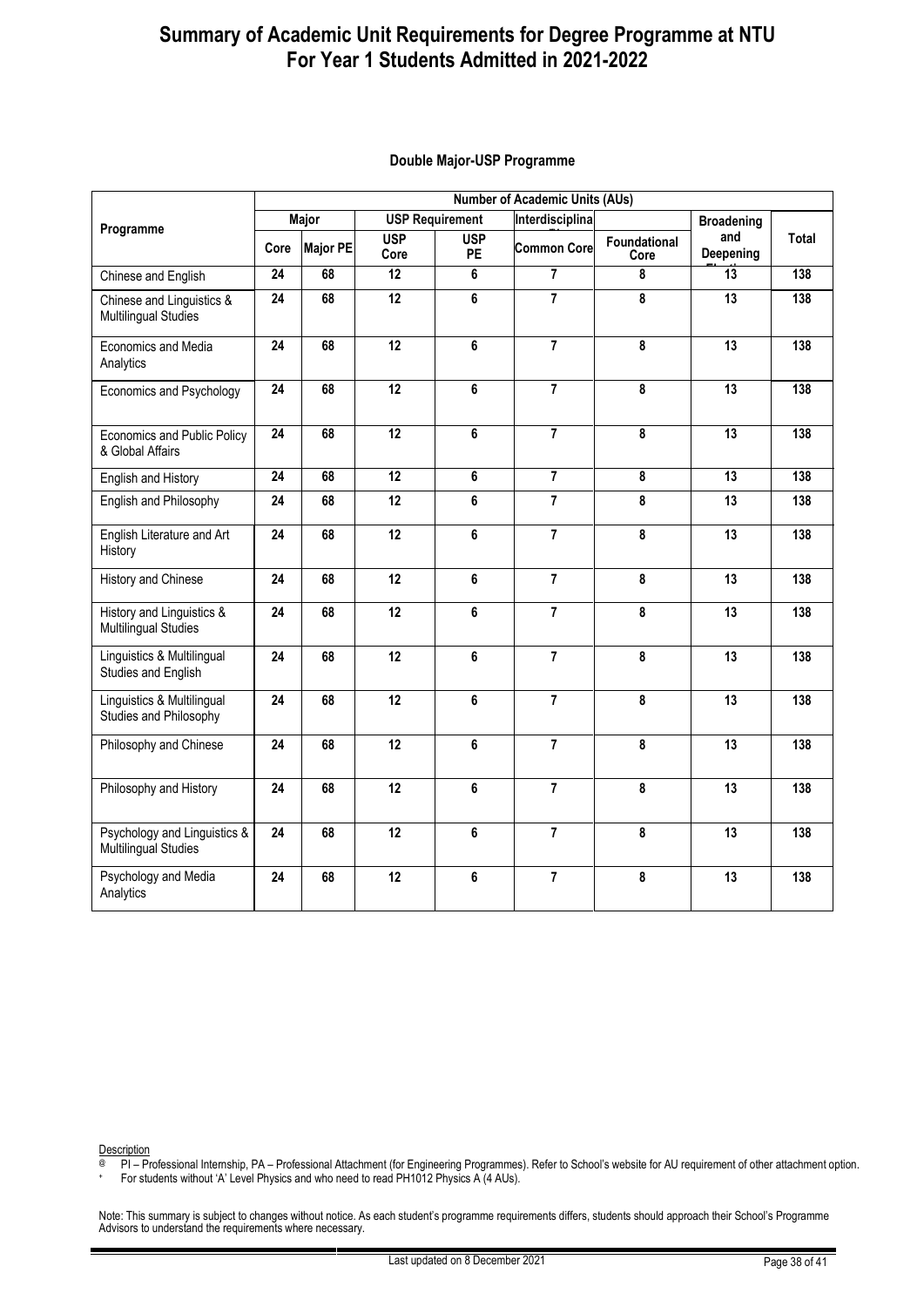|                                                             | <b>Number of Academic Units (AUs)</b> |                                              |                    |                        |                    |                         |                   |       |  |  |
|-------------------------------------------------------------|---------------------------------------|----------------------------------------------|--------------------|------------------------|--------------------|-------------------------|-------------------|-------|--|--|
| Programme                                                   | Major                                 |                                              |                    | <b>USP Requirement</b> | Interdisciplina    |                         | <b>Broadening</b> |       |  |  |
|                                                             | Core                                  | <b>Major PE</b>                              | <b>USP</b><br>Core | <b>USP</b><br>PE       | <b>Common Core</b> | Foundational<br>Core    | and<br>Deepening  | Total |  |  |
| Chinese and English                                         | 24                                    | 68                                           | 12                 | 6                      | $\overline{7}$     | 8                       | 13                | 138   |  |  |
| Chinese and Linguistics &<br><b>Multilingual Studies</b>    | 24                                    | 68                                           | $\overline{12}$    | 6                      | $\overline{7}$     | 8                       | 13                | 138   |  |  |
| Economics and Media<br>Analytics                            | 24                                    | 68                                           | $\overline{12}$    | 6                      | $\overline{7}$     | 8                       | 13                | 138   |  |  |
| Economics and Psychology                                    | $\overline{24}$                       | $\overline{7}$<br>$\overline{12}$<br>6<br>68 |                    |                        | 8                  | $\overline{13}$         | 138               |       |  |  |
| Economics and Public Policy<br>& Global Affairs             | $\overline{24}$                       | 68                                           | $\overline{12}$    | 6                      | $\overline{7}$     | 8                       | $\overline{13}$   | 138   |  |  |
| English and History                                         | $\overline{24}$                       | 68                                           | $\overline{12}$    | 6                      | $\overline{7}$     | $\overline{\mathbf{8}}$ | $\overline{13}$   | 138   |  |  |
| English and Philosophy                                      | 24                                    | 68                                           | 12                 | 6                      | $\overline{7}$     | 8                       | 13                | 138   |  |  |
| English Literature and Art<br>History                       | 24                                    | 68                                           | 12                 | 6                      | $\overline{7}$     | 8                       | 13                | 138   |  |  |
| History and Chinese                                         | 24                                    | 68                                           | 12                 | 6                      | $\overline{7}$     | 8                       | 13                | 138   |  |  |
| History and Linguistics &<br><b>Multilingual Studies</b>    | 24                                    | 68                                           | 12                 | 6                      | $\overline{7}$     | 8                       | 13                | 138   |  |  |
| Linguistics & Multilingual<br>Studies and English           | 24                                    | 68                                           | 12                 | 6                      | $\overline{7}$     | 8                       | 13                | 138   |  |  |
| Linguistics & Multilingual<br>Studies and Philosophy        | 24                                    | 68                                           | 12                 | 6                      | $\overline{7}$     | 8                       | 13                | 138   |  |  |
| Philosophy and Chinese                                      | 24                                    | 68                                           | 12                 | 6                      | $\overline{7}$     | 8                       | 13                | 138   |  |  |
| Philosophy and History                                      | 24                                    | 68                                           | 12                 | 6                      | 7                  | 8                       | 13                | 138   |  |  |
| Psychology and Linguistics &<br><b>Multilingual Studies</b> | 24                                    | 68                                           | 12                 | 6                      | $\overline{7}$     | 8                       | 13                | 138   |  |  |
| Psychology and Media<br>Analytics                           | 24                                    | 68                                           | 12                 | 6                      | 7                  | 8                       | 13                | 138   |  |  |

#### **Double Major-USP Programme**

Description

PI – Professional Internship, PA – Professional Attachment (for Engineering Programmes). Refer to School's website for AU requirement of other attachment option.

+ For students without 'A' Level Physics and who need to read PH1012 Physics A (4 AUs).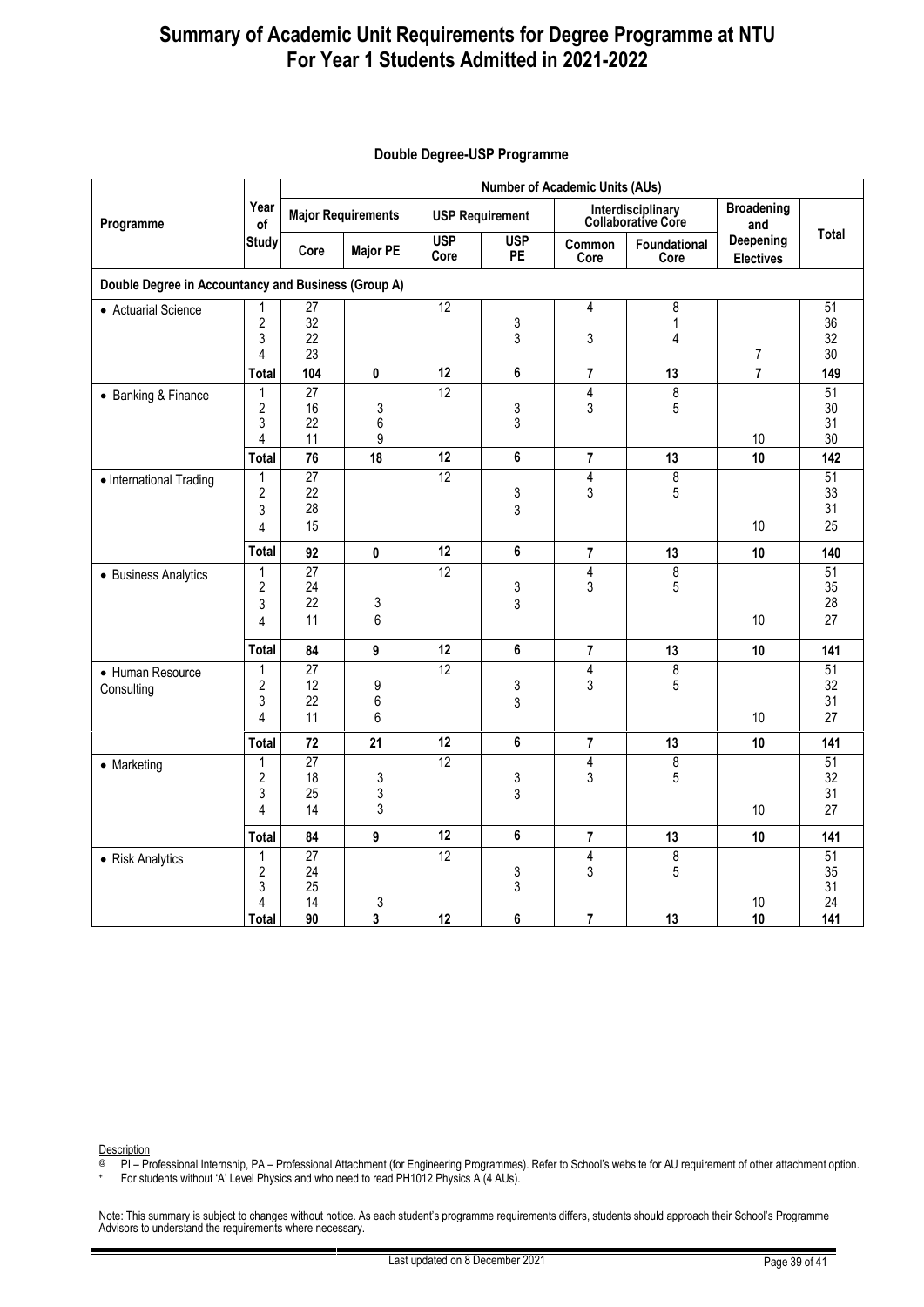|                                                     |                                                          | <b>Number of Academic Units (AUs)</b> |                 |                                    |                        |                                                |                                         |                               |                             |  |  |
|-----------------------------------------------------|----------------------------------------------------------|---------------------------------------|-----------------|------------------------------------|------------------------|------------------------------------------------|-----------------------------------------|-------------------------------|-----------------------------|--|--|
| Programme                                           | Year<br>of                                               | <b>Major Requirements</b>             |                 |                                    | <b>USP Requirement</b> |                                                | Interdisciplinary<br>Collaborative Core | <b>Broadening</b><br>and      |                             |  |  |
|                                                     | <b>Study</b>                                             | Core                                  | <b>Major PE</b> | <b>USP</b><br>Core                 | <b>USP</b><br>PE       | Common<br>Core                                 | Foundational<br>Core                    | Deepening<br><b>Electives</b> | <b>Total</b>                |  |  |
| Double Degree in Accountancy and Business (Group A) |                                                          |                                       |                 |                                    |                        |                                                |                                         |                               |                             |  |  |
| • Actuarial Science                                 | 1<br>$\overline{2}$<br>3<br>4                            | $\overline{27}$<br>32<br>22<br>23     |                 | 12                                 | 3<br>3                 | $\overline{4}$<br>3                            | 8<br>$\mathbf{1}$<br>4                  | 7                             | 51<br>36<br>32<br>30        |  |  |
|                                                     | Total                                                    | 104                                   | 0               | 12                                 | 6                      | $\overline{\mathbf{r}}$                        | 13                                      | $\overline{7}$                | 149                         |  |  |
| • Banking & Finance                                 | 1<br>$\overline{2}$<br>3<br>4                            | $\overline{27}$<br>16<br>22<br>11     | 3<br>6<br>9     | $\overline{12}$                    | 3<br>3                 | $\overline{4}$<br>3                            | $\overline{8}$<br>5                     | 10                            | 51<br>30<br>31<br>30        |  |  |
|                                                     | Total                                                    | 76                                    | 18              | 12                                 | 6                      | $\overline{7}$                                 | 13                                      | 10                            | 142                         |  |  |
| • International Trading                             | 1<br>$\overline{2}$<br>3<br>4                            | $\overline{27}$<br>22<br>28<br>15     |                 | $\overline{12}$                    | 3<br>3                 | $\overline{4}$<br>3                            | 8<br>5                                  | 10 <sup>°</sup>               | 51<br>33<br>31<br>25        |  |  |
|                                                     | <b>Total</b>                                             | 92                                    | $\pmb{0}$       | 12                                 | 6                      | $\overline{7}$                                 | 13                                      | 10                            | 140                         |  |  |
| • Business Analytics                                | $\mathbf{1}$<br>2<br>3<br>4                              | $\overline{27}$<br>24<br>22<br>11     | 3<br>6          | 12                                 | 3<br>3                 | $\overline{4}$<br>3                            | 8<br>5                                  | 10                            | 51<br>35<br>28<br>27        |  |  |
|                                                     | Total                                                    | 84                                    | 9               | 12                                 | 6                      | $\overline{7}$                                 | 13                                      | 10                            | 141                         |  |  |
| • Human Resource<br>Consulting                      | 1<br>$\sqrt{2}$<br>3<br>4                                | $\overline{27}$<br>12<br>22<br>11     | 9<br>6<br>6     | $\overline{12}$                    | 3<br>3                 | 4<br>3                                         | $\overline{\mathbf{8}}$<br>5            | 10                            | 51<br>32<br>31<br>27        |  |  |
|                                                     | <b>Total</b>                                             | 72                                    | 21              | 12                                 | 6                      | $\overline{7}$                                 | 13                                      | 10                            | 141                         |  |  |
| • Marketing                                         | 1<br>$\overline{2}$<br>3<br>4                            | 27<br>18<br>25<br>14                  | 3<br>3<br>3     | $\overline{12}$                    | 3<br>3                 | 4<br>3                                         | $\overline{8}$<br>5                     | 10                            | 51<br>32<br>31<br>27        |  |  |
|                                                     | Total                                                    | 84                                    | 9               | 12                                 | 6                      | $\overline{\mathbf{r}}$                        | 13                                      | 10                            | 141                         |  |  |
| • Risk Analytics                                    | $\mathbf{1}$<br>$\overline{2}$<br>3<br>4<br><b>Total</b> | 27<br>24<br>25<br>14<br>90            | 3<br>3          | $\overline{12}$<br>$\overline{12}$ | 3<br>3<br>6            | $\overline{4}$<br>3<br>$\overline{\mathbf{r}}$ | 8<br>5<br>13                            | 10<br>10                      | 51<br>35<br>31<br>24<br>141 |  |  |
|                                                     |                                                          |                                       |                 |                                    |                        |                                                |                                         |                               |                             |  |  |

#### **Double Degree-USP Programme**

Description

@ PI – Professional Internship, PA – Professional Attachment (for Engineering Programmes). Refer to School's website for AU requirement of other attachment option.

+ For students without 'A' Level Physics and who need to read PH1012 Physics A (4 AUs).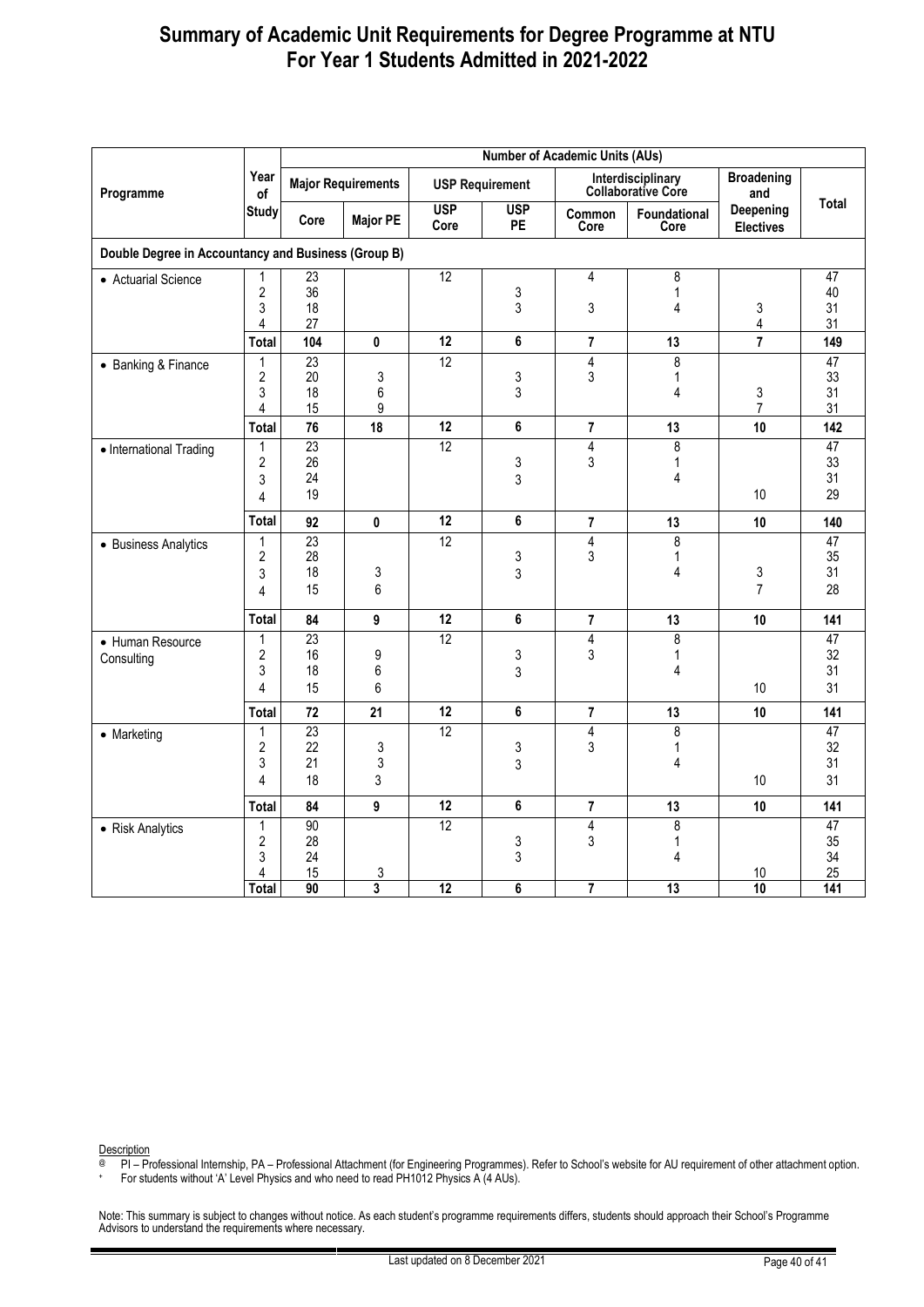|                                                     |                                                     | <b>Number of Academic Units (AUs)</b> |                              |                                    |                        |                                   |                                         |                               |                                   |  |  |
|-----------------------------------------------------|-----------------------------------------------------|---------------------------------------|------------------------------|------------------------------------|------------------------|-----------------------------------|-----------------------------------------|-------------------------------|-----------------------------------|--|--|
| Programme                                           | Year<br>of                                          | <b>Major Requirements</b>             |                              |                                    | <b>USP Requirement</b> |                                   | Interdisciplinary<br>Collaborative Core | <b>Broadening</b><br>and      |                                   |  |  |
|                                                     | <b>Study</b>                                        | Core                                  | <b>Major PE</b>              | <b>USP</b><br>Core                 | <b>USP</b><br>PE       | Common<br>Core                    | Foundational<br>Core                    | Deepening<br><b>Electives</b> | <b>Total</b>                      |  |  |
| Double Degree in Accountancy and Business (Group B) |                                                     |                                       |                              |                                    |                        |                                   |                                         |                               |                                   |  |  |
| • Actuarial Science                                 | 1<br>$\overline{2}$<br>3<br>4                       | 23<br>36<br>18<br>27                  |                              | $\overline{12}$                    | 3<br>3                 | 4<br>3                            | 8<br>$\mathbf{1}$<br>4                  | 3<br>4                        | 47<br>40<br>31<br>31              |  |  |
|                                                     | <b>Total</b>                                        | 104                                   | $\bf{0}$                     | 12                                 | 6                      | $\overline{7}$                    | 13                                      | $\overline{7}$                | 149                               |  |  |
| • Banking & Finance                                 | 1<br>$\overline{2}$<br>3<br>4                       | 23<br>20<br>18<br>15                  | 3<br>6<br>9                  | 12                                 | 3<br>3                 | $\overline{4}$<br>3               | $\overline{8}$<br>1<br>4                | 3<br>$\overline{7}$           | 47<br>33<br>31<br>31              |  |  |
|                                                     | <b>Total</b>                                        | 76                                    | 18                           | 12                                 | 6                      | $\overline{\mathbf{r}}$           | 13                                      | 10                            | 142                               |  |  |
| • International Trading                             | 1<br>$\overline{2}$<br>3<br>4                       | $\overline{23}$<br>26<br>24<br>19     |                              | $\overline{12}$                    | 3<br>3                 | 4<br>3                            | 8<br>1<br>4                             | 10                            | 47<br>33<br>31<br>29              |  |  |
|                                                     | <b>Total</b>                                        | 92                                    | 0                            | 12                                 | 6                      | 7                                 | 13                                      | 10                            | 140                               |  |  |
| • Business Analytics                                | $\mathbf{1}$<br>2<br>3<br>$\overline{4}$            | 23<br>28<br>18<br>15                  | 3<br>6                       | 12                                 | 3<br>3                 | $\overline{4}$<br>3               | $\overline{8}$<br>$\mathbf{1}$<br>4     | 3<br>$\overline{7}$           | 47<br>35<br>31<br>28              |  |  |
|                                                     | <b>Total</b>                                        | 84                                    | 9                            | 12                                 | 6                      | $\overline{\mathbf{r}}$           | 13                                      | 10                            | 141                               |  |  |
| • Human Resource<br>Consulting                      | 1<br>$\overline{\mathbf{c}}$<br>3<br>$\overline{4}$ | 23<br>16<br>18<br>15                  | 9<br>6<br>6                  | 12                                 | 3<br>3                 | 4<br>3                            | $\overline{8}$<br>$\mathbf{1}$<br>4     | 10                            | $\overline{47}$<br>32<br>31<br>31 |  |  |
|                                                     | <b>Total</b>                                        | 72                                    | 21                           | 12                                 | 6                      | 7                                 | 13                                      | 10                            | 141                               |  |  |
| • Marketing                                         | $\mathbf{1}$<br>$\overline{2}$<br>3<br>4            | 23<br>22<br>21<br>18                  | 3<br>3<br>3                  | 12                                 | 3<br>3                 | $\overline{4}$<br>3               | $\overline{8}$<br>$\mathbf{1}$<br>4     | 10                            | $\overline{47}$<br>32<br>31<br>31 |  |  |
|                                                     | <b>Total</b>                                        | 84                                    | 9                            | 12                                 | 6                      | 7                                 | 13                                      | 10                            | 141                               |  |  |
| • Risk Analytics                                    | 1<br>$\overline{2}$<br>3<br>4<br><b>Total</b>       | 90<br>28<br>24<br>15<br>90            | 3<br>$\overline{\mathbf{3}}$ | $\overline{12}$<br>$\overline{12}$ | 3<br>3<br>6            | 4<br>3<br>$\overline{\mathbf{7}}$ | 8<br>1<br>4<br>$\overline{13}$          | 10<br>10                      | 47<br>35<br>34<br>25<br>141       |  |  |

Description

@ PI – Professional Internship, PA – Professional Attachment (for Engineering Programmes). Refer to School's website for AU requirement of other attachment option.

+ For students without 'A' Level Physics and who need to read PH1012 Physics A (4 AUs).